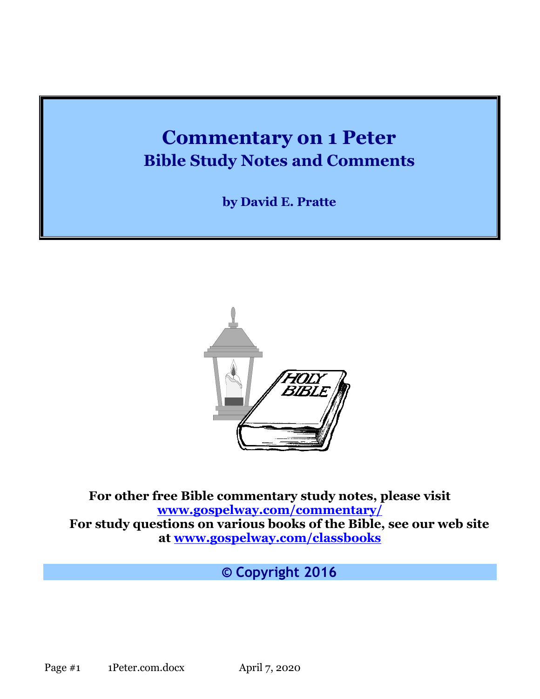# **Commentary on 1 Peter Bible Study Notes and Comments**

**by David E. Pratte**



**For other free Bible commentary study notes, please visit [www.gospelway.com/commentary/](http://www.gospelway.com/commentary/) For study questions on various books of the Bible, see our web site at [www.gospelway.com/classbooks](http://www.gospelway.com/classbooks)**

**© Copyright 2016**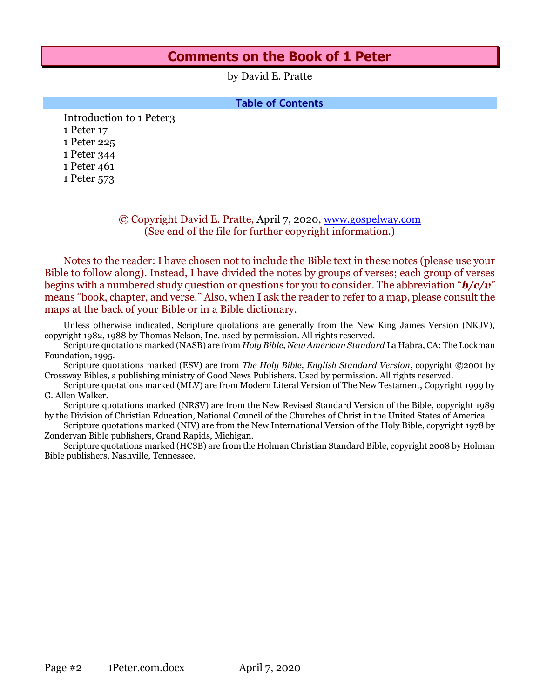# **Comments on the Book of 1 Peter**

by David E. Pratte

**Table of Contents**

[Introduction to 1 Peter3](#page-2-0) [1 Peter 17](#page-6-0) [1 Peter 225](#page-24-0) [1 Peter 344](#page-43-0) [1 Peter 461](#page-60-0) [1 Peter 573](#page-72-0)

#### © Copyright David E. Pratte, April 7, 2020, [www.gospelway.com](http://www.gospelway.com/) (See end of the file for further copyright information.)

Notes to the reader: I have chosen not to include the Bible text in these notes (please use your Bible to follow along). Instead, I have divided the notes by groups of verses; each group of verses begins with a numbered study question or questions for you to consider. The abbreviation "*b/c/v*" means "book, chapter, and verse." Also, when I ask the reader to refer to a map, please consult the maps at the back of your Bible or in a Bible dictionary.

Unless otherwise indicated, Scripture quotations are generally from the New King James Version (NKJV), copyright 1982, 1988 by Thomas Nelson, Inc. used by permission. All rights reserved.

Scripture quotations marked (NASB) are from *Holy Bible, New American Standard* La Habra, CA: The Lockman Foundation, 1995.

Scripture quotations marked (ESV) are from *The Holy Bible, English Standard Version*, copyright ©2001 by Crossway Bibles, a publishing ministry of Good News Publishers. Used by permission. All rights reserved.

Scripture quotations marked (MLV) are from Modern Literal Version of The New Testament, Copyright 1999 by G. Allen Walker.

Scripture quotations marked (NRSV) are from the New Revised Standard Version of the Bible, copyright 1989 by the Division of Christian Education, National Council of the Churches of Christ in the United States of America.

Scripture quotations marked (NIV) are from the New International Version of the Holy Bible, copyright 1978 by Zondervan Bible publishers, Grand Rapids, Michigan.

Scripture quotations marked (HCSB) are from the Holman Christian Standard Bible, copyright 2008 by Holman Bible publishers, Nashville, Tennessee.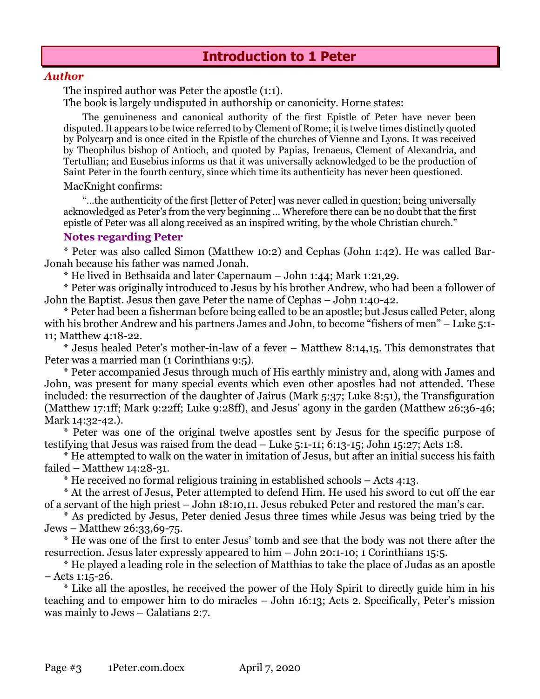#### <span id="page-2-0"></span>*Author*

The inspired author was Peter the apostle (1:1).

The book is largely undisputed in authorship or canonicity. Horne states:

The genuineness and canonical authority of the first Epistle of Peter have never been disputed. It appears to be twice referred to by Clement of Rome; it is twelve times distinctly quoted by Polycarp and is once cited in the Epistle of the churches of Vienne and Lyons. It was received by Theophilus bishop of Antioch, and quoted by Papias, Irenaeus, Clement of Alexandria, and Tertullian; and Eusebius informs us that it was universally acknowledged to be the production of Saint Peter in the fourth century, since which time its authenticity has never been questioned.

#### MacKnight confirms:

"…the authenticity of the first [letter of Peter] was never called in question; being universally acknowledged as Peter's from the very beginning … Wherefore there can be no doubt that the first epistle of Peter was all along received as an inspired writing, by the whole Christian church."

#### **Notes regarding Peter**

\* Peter was also called Simon (Matthew 10:2) and Cephas (John 1:42). He was called Bar-Jonah because his father was named Jonah.

\* He lived in Bethsaida and later Capernaum – John 1:44; Mark 1:21,29.

\* Peter was originally introduced to Jesus by his brother Andrew, who had been a follower of John the Baptist. Jesus then gave Peter the name of Cephas – John 1:40-42.

\* Peter had been a fisherman before being called to be an apostle; but Jesus called Peter, along with his brother Andrew and his partners James and John, to become "fishers of men" – Luke 5:1-11; Matthew 4:18-22.

\* Jesus healed Peter's mother-in-law of a fever – Matthew 8:14,15. This demonstrates that Peter was a married man (1 Corinthians 9:5).

\* Peter accompanied Jesus through much of His earthly ministry and, along with James and John, was present for many special events which even other apostles had not attended. These included: the resurrection of the daughter of Jairus (Mark 5:37; Luke 8:51), the Transfiguration (Matthew 17:1ff; Mark 9:22ff; Luke 9:28ff), and Jesus' agony in the garden (Matthew 26:36-46; Mark 14:32-42.).

\* Peter was one of the original twelve apostles sent by Jesus for the specific purpose of testifying that Jesus was raised from the dead – Luke 5:1-11; 6:13-15; John 15:27; Acts 1:8.

\* He attempted to walk on the water in imitation of Jesus, but after an initial success his faith failed – Matthew 14:28-31.

\* He received no formal religious training in established schools – Acts 4:13.

\* At the arrest of Jesus, Peter attempted to defend Him. He used his sword to cut off the ear of a servant of the high priest – John 18:10,11. Jesus rebuked Peter and restored the man's ear.

\* As predicted by Jesus, Peter denied Jesus three times while Jesus was being tried by the Jews – Matthew 26:33,69-75.

\* He was one of the first to enter Jesus' tomb and see that the body was not there after the resurrection. Jesus later expressly appeared to him – John 20:1-10; 1 Corinthians 15:5.

\* He played a leading role in the selection of Matthias to take the place of Judas as an apostle – Acts 1:15-26.

\* Like all the apostles, he received the power of the Holy Spirit to directly guide him in his teaching and to empower him to do miracles – John 16:13; Acts 2. Specifically, Peter's mission was mainly to Jews – Galatians 2:7.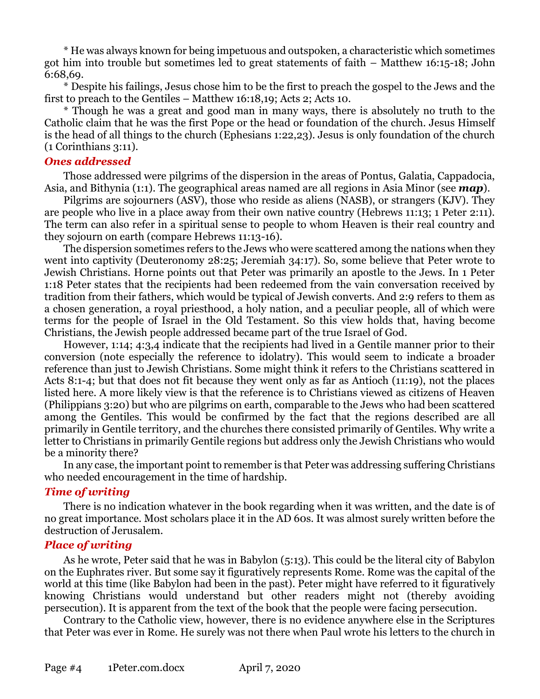\* He was always known for being impetuous and outspoken, a characteristic which sometimes got him into trouble but sometimes led to great statements of faith – Matthew 16:15-18; John 6:68,69.

\* Despite his failings, Jesus chose him to be the first to preach the gospel to the Jews and the first to preach to the Gentiles – Matthew 16:18,19; Acts 2; Acts 10.

\* Though he was a great and good man in many ways, there is absolutely no truth to the Catholic claim that he was the first Pope or the head or foundation of the church. Jesus Himself is the head of all things to the church (Ephesians 1:22,23). Jesus is only foundation of the church (1 Corinthians 3:11).

#### *Ones addressed*

Those addressed were pilgrims of the dispersion in the areas of Pontus, Galatia, Cappadocia, Asia, and Bithynia (1:1). The geographical areas named are all regions in Asia Minor (see *map*).

Pilgrims are sojourners (ASV), those who reside as aliens (NASB), or strangers (KJV). They are people who live in a place away from their own native country (Hebrews 11:13; 1 Peter 2:11). The term can also refer in a spiritual sense to people to whom Heaven is their real country and they sojourn on earth (compare Hebrews 11:13-16).

The dispersion sometimes refers to the Jews who were scattered among the nations when they went into captivity (Deuteronomy 28:25; Jeremiah 34:17). So, some believe that Peter wrote to Jewish Christians. Horne points out that Peter was primarily an apostle to the Jews. In 1 Peter 1:18 Peter states that the recipients had been redeemed from the vain conversation received by tradition from their fathers, which would be typical of Jewish converts. And 2:9 refers to them as a chosen generation, a royal priesthood, a holy nation, and a peculiar people, all of which were terms for the people of Israel in the Old Testament. So this view holds that, having become Christians, the Jewish people addressed became part of the true Israel of God.

However, 1:14; 4:3,4 indicate that the recipients had lived in a Gentile manner prior to their conversion (note especially the reference to idolatry). This would seem to indicate a broader reference than just to Jewish Christians. Some might think it refers to the Christians scattered in Acts 8:1-4; but that does not fit because they went only as far as Antioch (11:19), not the places listed here. A more likely view is that the reference is to Christians viewed as citizens of Heaven (Philippians 3:20) but who are pilgrims on earth, comparable to the Jews who had been scattered among the Gentiles. This would be confirmed by the fact that the regions described are all primarily in Gentile territory, and the churches there consisted primarily of Gentiles. Why write a letter to Christians in primarily Gentile regions but address only the Jewish Christians who would be a minority there?

In any case, the important point to remember is that Peter was addressing suffering Christians who needed encouragement in the time of hardship.

#### *Time of writing*

There is no indication whatever in the book regarding when it was written, and the date is of no great importance. Most scholars place it in the AD 60s. It was almost surely written before the destruction of Jerusalem.

#### *Place of writing*

As he wrote, Peter said that he was in Babylon (5:13). This could be the literal city of Babylon on the Euphrates river. But some say it figuratively represents Rome. Rome was the capital of the world at this time (like Babylon had been in the past). Peter might have referred to it figuratively knowing Christians would understand but other readers might not (thereby avoiding persecution). It is apparent from the text of the book that the people were facing persecution.

Contrary to the Catholic view, however, there is no evidence anywhere else in the Scriptures that Peter was ever in Rome. He surely was not there when Paul wrote his letters to the church in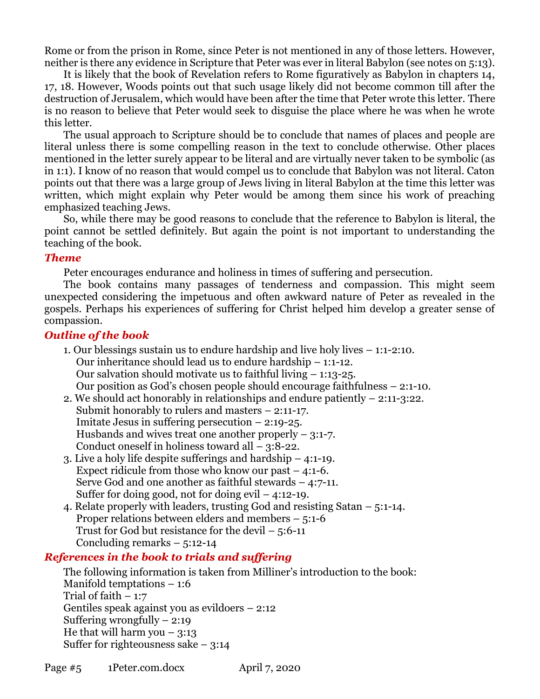Rome or from the prison in Rome, since Peter is not mentioned in any of those letters. However, neither is there any evidence in Scripture that Peter was ever in literal Babylon (see notes on 5:13).

It is likely that the book of Revelation refers to Rome figuratively as Babylon in chapters 14, 17, 18. However, Woods points out that such usage likely did not become common till after the destruction of Jerusalem, which would have been after the time that Peter wrote this letter. There is no reason to believe that Peter would seek to disguise the place where he was when he wrote this letter.

The usual approach to Scripture should be to conclude that names of places and people are literal unless there is some compelling reason in the text to conclude otherwise. Other places mentioned in the letter surely appear to be literal and are virtually never taken to be symbolic (as in 1:1). I know of no reason that would compel us to conclude that Babylon was not literal. Caton points out that there was a large group of Jews living in literal Babylon at the time this letter was written, which might explain why Peter would be among them since his work of preaching emphasized teaching Jews.

So, while there may be good reasons to conclude that the reference to Babylon is literal, the point cannot be settled definitely. But again the point is not important to understanding the teaching of the book.

#### *Theme*

Peter encourages endurance and holiness in times of suffering and persecution.

The book contains many passages of tenderness and compassion. This might seem unexpected considering the impetuous and often awkward nature of Peter as revealed in the gospels. Perhaps his experiences of suffering for Christ helped him develop a greater sense of compassion.

# *Outline of the book*

- 1. Our blessings sustain us to endure hardship and live holy lives 1:1-2:10. Our inheritance should lead us to endure hardship – 1:1-12. Our salvation should motivate us to faithful living – 1:13-25. Our position as God's chosen people should encourage faithfulness – 2:1-10.
- 2. We should act honorably in relationships and endure patiently 2:11-3:22. Submit honorably to rulers and masters – 2:11-17. Imitate Jesus in suffering persecution – 2:19-25. Husbands and wives treat one another properly  $-$  3:1-7. Conduct oneself in holiness toward all  $-$  3:8-22.
- 3. Live a holy life despite sufferings and hardship 4:1-19. Expect ridicule from those who know our past  $-4:1-6$ . Serve God and one another as faithful stewards – 4:7-11. Suffer for doing good, not for doing  $evil - 4:12-19$ .
- 4. Relate properly with leaders, trusting God and resisting Satan 5:1-14. Proper relations between elders and members – 5:1-6 Trust for God but resistance for the devil  $-5:6-11$ Concluding remarks – 5:12-14

## *References in the book to trials and suffering*

The following information is taken from Milliner's introduction to the book: Manifold temptations – 1:6 Trial of faith  $-1:7$ Gentiles speak against you as evildoers – 2:12 Suffering wrongfully  $-2:19$ He that will harm you  $-3:13$ Suffer for righteousness sake  $-3:14$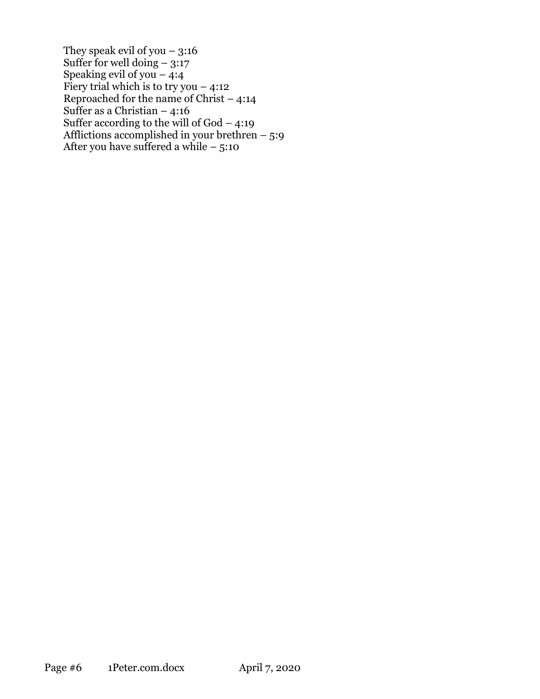They speak evil of you  $-3:16$ Suffer for well doing  $-3:17$ Speaking evil of you  $-4:4$ Fiery trial which is to try you  $-4:12$ Reproached for the name of Christ  $-4:14$ Suffer as a Christian – 4:16 Suffer according to the will of God – 4:19 Afflictions accomplished in your brethren – 5:9 After you have suffered a while  $-5:10$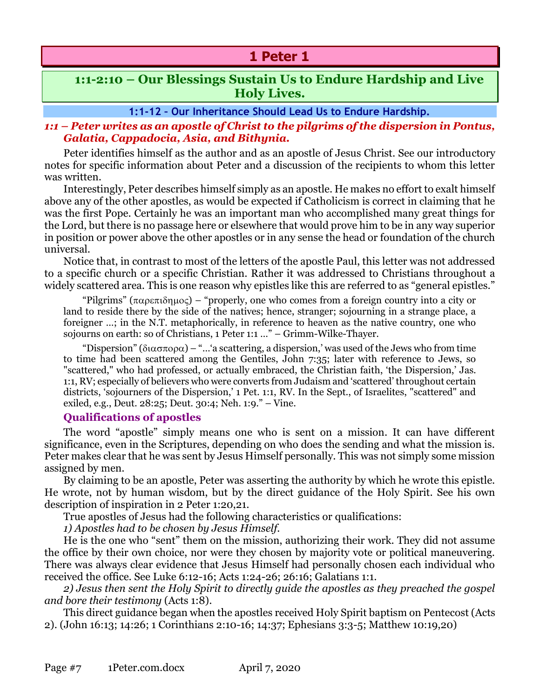# **1 Peter 1**

# <span id="page-6-0"></span>**1:1-2:10 – Our Blessings Sustain Us to Endure Hardship and Live Holy Lives.**

**1:1-12 – Our Inheritance Should Lead Us to Endure Hardship.**

# *1:1 – Peter writes as an apostle of Christ to the pilgrims of the dispersion in Pontus, Galatia, Cappadocia, Asia, and Bithynia.*

Peter identifies himself as the author and as an apostle of Jesus Christ. See our introductory notes for specific information about Peter and a discussion of the recipients to whom this letter was written.

Interestingly, Peter describes himself simply as an apostle. He makes no effort to exalt himself above any of the other apostles, as would be expected if Catholicism is correct in claiming that he was the first Pope. Certainly he was an important man who accomplished many great things for the Lord, but there is no passage here or elsewhere that would prove him to be in any way superior in position or power above the other apostles or in any sense the head or foundation of the church universal.

Notice that, in contrast to most of the letters of the apostle Paul, this letter was not addressed to a specific church or a specific Christian. Rather it was addressed to Christians throughout a widely scattered area. This is one reason why epistles like this are referred to as "general epistles."

"Pilgrims" ( $\pi \alpha \rho \epsilon \pi \delta \eta \mu o \zeta$ ) – "properly, one who comes from a foreign country into a city or land to reside there by the side of the natives; hence, stranger; sojourning in a strange place, a foreigner …; in the N.T. metaphorically, in reference to heaven as the native country, one who sojourns on earth: so of Christians, 1 Peter 1:1 …" – Grimm-Wilke-Thayer.

"Dispersion" ( $\delta$ ιασπορα) – "...'a scattering, a dispersion,' was used of the Jews who from time to time had been scattered among the Gentiles, John 7:35; later with reference to Jews, so "scattered," who had professed, or actually embraced, the Christian faith, 'the Dispersion,' Jas. 1:1, RV; especially of believers who were converts from Judaism and 'scattered' throughout certain districts, 'sojourners of the Dispersion,' 1 Pet. 1:1, RV. In the Sept., of Israelites, "scattered" and exiled, e.g., Deut. 28:25; Deut. 30:4; Neh. 1:9." – Vine.

## **Qualifications of apostles**

The word "apostle" simply means one who is sent on a mission. It can have different significance, even in the Scriptures, depending on who does the sending and what the mission is. Peter makes clear that he was sent by Jesus Himself personally. This was not simply some mission assigned by men.

By claiming to be an apostle, Peter was asserting the authority by which he wrote this epistle. He wrote, not by human wisdom, but by the direct guidance of the Holy Spirit. See his own description of inspiration in 2 Peter 1:20,21.

True apostles of Jesus had the following characteristics or qualifications:

*1) Apostles had to be chosen by Jesus Himself.*

He is the one who "sent" them on the mission, authorizing their work. They did not assume the office by their own choice, nor were they chosen by majority vote or political maneuvering. There was always clear evidence that Jesus Himself had personally chosen each individual who received the office. See Luke 6:12-16; Acts 1:24-26; 26:16; Galatians 1:1.

*2) Jesus then sent the Holy Spirit to directly guide the apostles as they preached the gospel and bore their testimony* (Acts 1:8).

This direct guidance began when the apostles received Holy Spirit baptism on Pentecost (Acts 2). (John 16:13; 14:26; 1 Corinthians 2:10-16; 14:37; Ephesians 3:3-5; Matthew 10:19,20)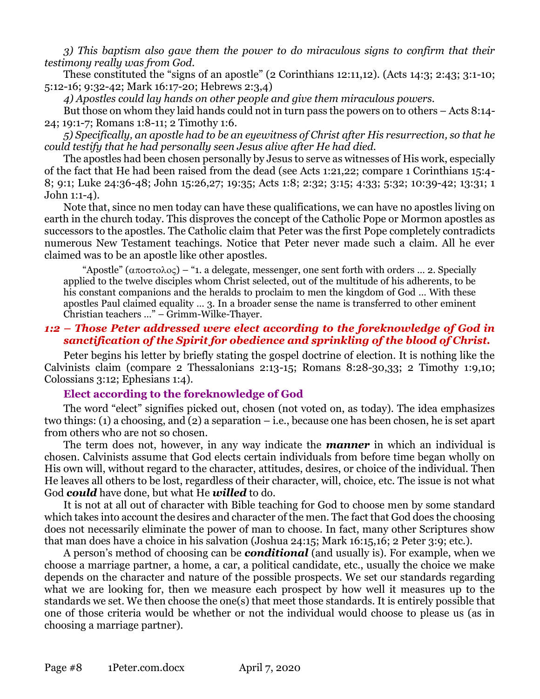*3) This baptism also gave them the power to do miraculous signs to confirm that their testimony really was from God.*

These constituted the "signs of an apostle" (2 Corinthians 12:11,12). (Acts 14:3; 2:43; 3:1-10; 5:12-16; 9:32-42; Mark 16:17-20; Hebrews 2:3,4)

*4) Apostles could lay hands on other people and give them miraculous powers.*

But those on whom they laid hands could not in turn pass the powers on to others – Acts 8:14- 24; 19:1-7; Romans 1:8-11; 2 Timothy 1:6.

*5) Specifically, an apostle had to be an eyewitness of Christ after His resurrection, so that he could testify that he had personally seen Jesus alive after He had died.*

The apostles had been chosen personally by Jesus to serve as witnesses of His work, especially of the fact that He had been raised from the dead (see Acts 1:21,22; compare 1 Corinthians 15:4- 8; 9:1; Luke 24:36-48; John 15:26,27; 19:35; Acts 1:8; 2:32; 3:15; 4:33; 5:32; 10:39-42; 13:31; 1 John 1:1-4).

Note that, since no men today can have these qualifications, we can have no apostles living on earth in the church today. This disproves the concept of the Catholic Pope or Mormon apostles as successors to the apostles. The Catholic claim that Peter was the first Pope completely contradicts numerous New Testament teachings. Notice that Peter never made such a claim. All he ever claimed was to be an apostle like other apostles.

"Apostle"  $(\alpha \pi \circ \sigma \tau \circ \lambda \circ \varsigma)$  – "1. a delegate, messenger, one sent forth with orders ... 2. Specially applied to the twelve disciples whom Christ selected, out of the multitude of his adherents, to be his constant companions and the heralds to proclaim to men the kingdom of God … With these apostles Paul claimed equality … 3. In a broader sense the name is transferred to other eminent Christian teachers …" – Grimm-Wilke-Thayer.

## *1:2 – Those Peter addressed were elect according to the foreknowledge of God in sanctification of the Spirit for obedience and sprinkling of the blood of Christ.*

Peter begins his letter by briefly stating the gospel doctrine of election. It is nothing like the Calvinists claim (compare 2 Thessalonians 2:13-15; Romans 8:28-30,33; 2 Timothy 1:9,10; Colossians 3:12; Ephesians 1:4).

## **Elect according to the foreknowledge of God**

The word "elect" signifies picked out, chosen (not voted on, as today). The idea emphasizes two things: (1) a choosing, and (2) a separation – i.e., because one has been chosen, he is set apart from others who are not so chosen.

The term does not, however, in any way indicate the *manner* in which an individual is chosen. Calvinists assume that God elects certain individuals from before time began wholly on His own will, without regard to the character, attitudes, desires, or choice of the individual. Then He leaves all others to be lost, regardless of their character, will, choice, etc. The issue is not what God *could* have done, but what He *willed* to do.

It is not at all out of character with Bible teaching for God to choose men by some standard which takes into account the desires and character of the men. The fact that God does the choosing does not necessarily eliminate the power of man to choose. In fact, many other Scriptures show that man does have a choice in his salvation (Joshua 24:15; Mark 16:15,16; 2 Peter 3:9; etc.).

A person's method of choosing can be *conditional* (and usually is). For example, when we choose a marriage partner, a home, a car, a political candidate, etc., usually the choice we make depends on the character and nature of the possible prospects. We set our standards regarding what we are looking for, then we measure each prospect by how well it measures up to the standards we set. We then choose the one(s) that meet those standards. It is entirely possible that one of those criteria would be whether or not the individual would choose to please us (as in choosing a marriage partner).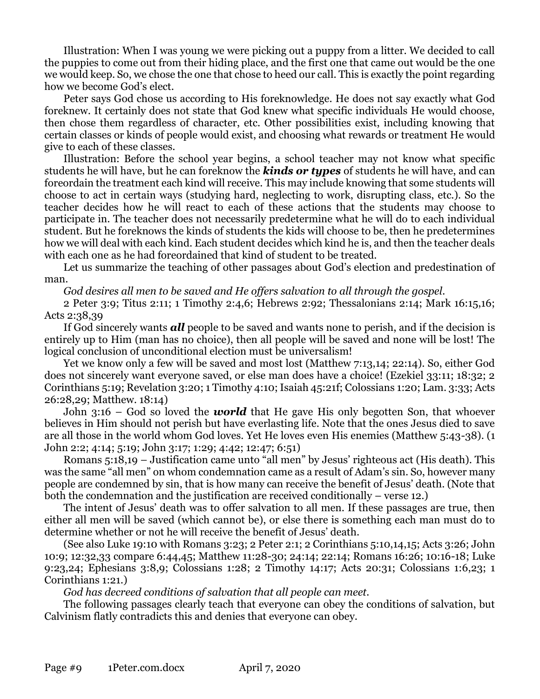Illustration: When I was young we were picking out a puppy from a litter. We decided to call the puppies to come out from their hiding place, and the first one that came out would be the one we would keep. So, we chose the one that chose to heed our call. This is exactly the point regarding how we become God's elect.

Peter says God chose us according to His foreknowledge. He does not say exactly what God foreknew. It certainly does not state that God knew what specific individuals He would choose, then chose them regardless of character, etc. Other possibilities exist, including knowing that certain classes or kinds of people would exist, and choosing what rewards or treatment He would give to each of these classes.

Illustration: Before the school year begins, a school teacher may not know what specific students he will have, but he can foreknow the *kinds or types* of students he will have, and can foreordain the treatment each kind will receive. This may include knowing that some students will choose to act in certain ways (studying hard, neglecting to work, disrupting class, etc.). So the teacher decides how he will react to each of these actions that the students may choose to participate in. The teacher does not necessarily predetermine what he will do to each individual student. But he foreknows the kinds of students the kids will choose to be, then he predetermines how we will deal with each kind. Each student decides which kind he is, and then the teacher deals with each one as he had foreordained that kind of student to be treated.

Let us summarize the teaching of other passages about God's election and predestination of man.

*God desires all men to be saved and He offers salvation to all through the gospel.*

2 Peter 3:9; Titus 2:11; 1 Timothy 2:4,6; Hebrews 2:92; Thessalonians 2:14; Mark 16:15,16; Acts 2:38,39

If God sincerely wants *all* people to be saved and wants none to perish, and if the decision is entirely up to Him (man has no choice), then all people will be saved and none will be lost! The logical conclusion of unconditional election must be universalism!

Yet we know only a few will be saved and most lost (Matthew 7:13,14; 22:14). So, either God does not sincerely want everyone saved, or else man does have a choice! (Ezekiel 33:11; 18:32; 2 Corinthians 5:19; Revelation 3:20; 1 Timothy 4:10; Isaiah 45:21f; Colossians 1:20; Lam. 3:33; Acts 26:28,29; Matthew. 18:14)

John 3:16 – God so loved the *world* that He gave His only begotten Son, that whoever believes in Him should not perish but have everlasting life. Note that the ones Jesus died to save are all those in the world whom God loves. Yet He loves even His enemies (Matthew 5:43-38). (1 John 2:2; 4:14; 5:19; John 3:17; 1:29; 4:42; 12:47; 6:51)

Romans 5:18,19 – Justification came unto "all men" by Jesus' righteous act (His death). This was the same "all men" on whom condemnation came as a result of Adam's sin. So, however many people are condemned by sin, that is how many can receive the benefit of Jesus' death. (Note that both the condemnation and the justification are received conditionally – verse 12.)

The intent of Jesus' death was to offer salvation to all men. If these passages are true, then either all men will be saved (which cannot be), or else there is something each man must do to determine whether or not he will receive the benefit of Jesus' death.

(See also Luke 19:10 with Romans 3:23; 2 Peter 2:1; 2 Corinthians 5:10,14,15; Acts 3:26; John 10:9; 12:32,33 compare 6:44,45; Matthew 11:28-30; 24:14; 22:14; Romans 16:26; 10:16-18; Luke 9:23,24; Ephesians 3:8,9; Colossians 1:28; 2 Timothy 14:17; Acts 20:31; Colossians 1:6,23; 1 Corinthians 1:21.)

*God has decreed conditions of salvation that all people can meet.*

The following passages clearly teach that everyone can obey the conditions of salvation, but Calvinism flatly contradicts this and denies that everyone can obey.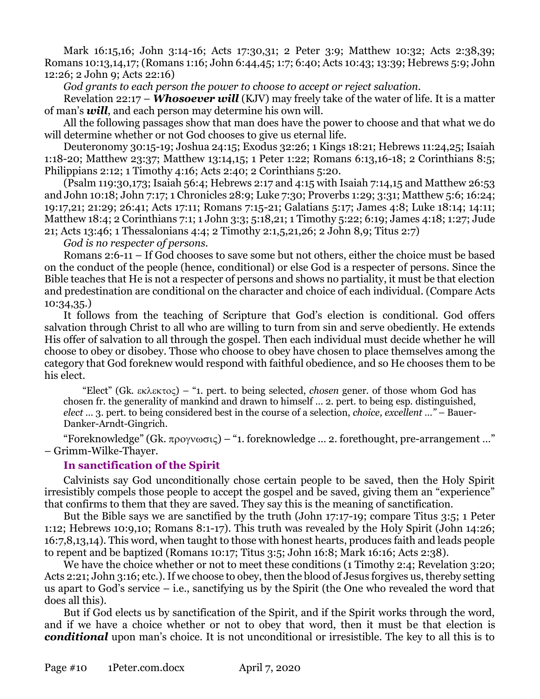Mark 16:15,16; John 3:14-16; Acts 17:30,31; 2 Peter 3:9; Matthew 10:32; Acts 2:38,39; Romans 10:13,14,17; (Romans 1:16; John 6:44,45; 1:7; 6:40; Acts 10:43; 13:39; Hebrews 5:9; John 12:26; 2 John 9; Acts 22:16)

*God grants to each person the power to choose to accept or reject salvation.*

Revelation 22:17 – *Whosoever will* (KJV) may freely take of the water of life. It is a matter of man's *will*, and each person may determine his own will.

All the following passages show that man does have the power to choose and that what we do will determine whether or not God chooses to give us eternal life.

Deuteronomy 30:15-19; Joshua 24:15; Exodus 32:26; 1 Kings 18:21; Hebrews 11:24,25; Isaiah 1:18-20; Matthew 23:37; Matthew 13:14,15; 1 Peter 1:22; Romans 6:13,16-18; 2 Corinthians 8:5; Philippians 2:12; 1 Timothy 4:16; Acts 2:40; 2 Corinthians 5:20.

(Psalm 119:30,173; Isaiah 56:4; Hebrews 2:17 and 4:15 with Isaiah 7:14,15 and Matthew 26:53 and John 10:18; John 7:17; 1 Chronicles 28:9; Luke 7:30; Proverbs 1:29; 3:31; Matthew 5:6; 16:24; 19:17,21; 21:29; 26:41; Acts 17:11; Romans 7:15-21; Galatians 5:17; James 4:8; Luke 18:14; 14:11; Matthew 18:4; 2 Corinthians 7:1; 1 John 3:3; 5:18,21; 1 Timothy 5:22; 6:19; James 4:18; 1:27; Jude 21; Acts 13:46; 1 Thessalonians 4:4; 2 Timothy 2:1,5,21,26; 2 John 8,9; Titus 2:7)

*God is no respecter of persons.*

Romans 2:6-11 – If God chooses to save some but not others, either the choice must be based on the conduct of the people (hence, conditional) or else God is a respecter of persons. Since the Bible teaches that He is not a respecter of persons and shows no partiality, it must be that election and predestination are conditional on the character and choice of each individual. (Compare Acts 10:34,35.)

It follows from the teaching of Scripture that God's election is conditional. God offers salvation through Christ to all who are willing to turn from sin and serve obediently. He extends His offer of salvation to all through the gospel. Then each individual must decide whether he will choose to obey or disobey. Those who choose to obey have chosen to place themselves among the category that God foreknew would respond with faithful obedience, and so He chooses them to be his elect.

"Elect" (Gk. ) – "1. pert. to being selected, *chosen* gener. of those whom God has chosen fr. the generality of mankind and drawn to himself … 2. pert. to being esp. distinguished, *elect …* 3. pert. to being considered best in the course of a selection, *choice, excellent …"* – Bauer-Danker-Arndt-Gingrich.

"Foreknowledge" (Gk.  $\pi$ ρογνωσις) – "1. foreknowledge ... 2. forethought, pre-arrangement ..." – Grimm-Wilke-Thayer.

# **In sanctification of the Spirit**

Calvinists say God unconditionally chose certain people to be saved, then the Holy Spirit irresistibly compels those people to accept the gospel and be saved, giving them an "experience" that confirms to them that they are saved. They say this is the meaning of sanctification.

But the Bible says we are sanctified by the truth (John 17:17-19; compare Titus 3:5; 1 Peter 1:12; Hebrews 10:9,10; Romans 8:1-17). This truth was revealed by the Holy Spirit (John 14:26; 16:7,8,13,14). This word, when taught to those with honest hearts, produces faith and leads people to repent and be baptized (Romans 10:17; Titus 3:5; John 16:8; Mark 16:16; Acts 2:38).

We have the choice whether or not to meet these conditions (1 Timothy 2:4; Revelation 3:20; Acts 2:21; John 3:16; etc.). If we choose to obey, then the blood of Jesus forgives us, thereby setting us apart to God's service – i.e., sanctifying us by the Spirit (the One who revealed the word that does all this).

But if God elects us by sanctification of the Spirit, and if the Spirit works through the word, and if we have a choice whether or not to obey that word, then it must be that election is *conditional* upon man's choice. It is not unconditional or irresistible. The key to all this is to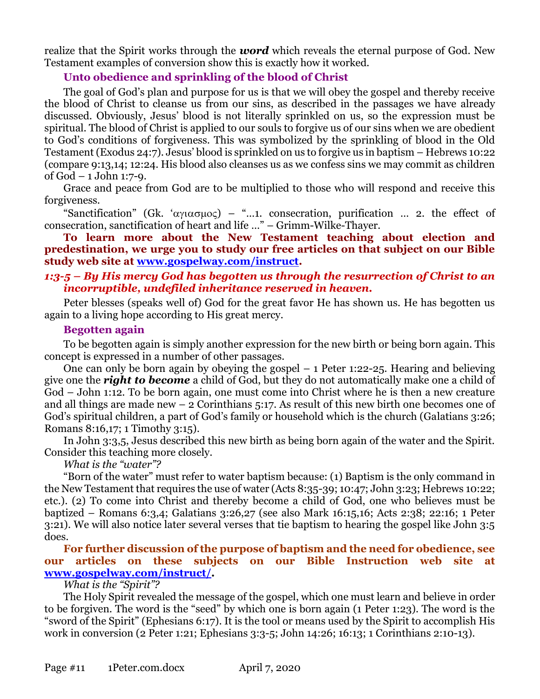realize that the Spirit works through the *word* which reveals the eternal purpose of God. New Testament examples of conversion show this is exactly how it worked.

# **Unto obedience and sprinkling of the blood of Christ**

The goal of God's plan and purpose for us is that we will obey the gospel and thereby receive the blood of Christ to cleanse us from our sins, as described in the passages we have already discussed. Obviously, Jesus' blood is not literally sprinkled on us, so the expression must be spiritual. The blood of Christ is applied to our souls to forgive us of our sins when we are obedient to God's conditions of forgiveness. This was symbolized by the sprinkling of blood in the Old Testament (Exodus 24:7). Jesus' blood is sprinkled on us to forgive us in baptism – Hebrews 10:22 (compare 9:13,14; 12:24. His blood also cleanses us as we confess sins we may commit as children of God – 1 John 1:7-9.

Grace and peace from God are to be multiplied to those who will respond and receive this forgiveness.

"Sanctification" (Gk. ' $\alpha\gamma\alpha\sigma\mu$  $\alpha\varsigma$ ) – "...1. consecration, purification ... 2. the effect of consecration, sanctification of heart and life …" – Grimm-Wilke-Thayer.

**To learn more about the New Testament teaching about election and predestination, we urge you to study our free articles on that subject on our Bible study web site at [www.gospelway.com/instruct.](http://www.gospelway.com/instruct)**

#### *1:3-5 – By His mercy God has begotten us through the resurrection of Christ to an incorruptible, undefiled inheritance reserved in heaven.*

Peter blesses (speaks well of) God for the great favor He has shown us. He has begotten us again to a living hope according to His great mercy.

#### **Begotten again**

To be begotten again is simply another expression for the new birth or being born again. This concept is expressed in a number of other passages.

One can only be born again by obeying the gospel – 1 Peter 1:22-25. Hearing and believing give one the *right to become* a child of God, but they do not automatically make one a child of God – John 1:12. To be born again, one must come into Christ where he is then a new creature and all things are made new – 2 Corinthians 5:17. As result of this new birth one becomes one of God's spiritual children, a part of God's family or household which is the church (Galatians 3:26; Romans 8:16,17; 1 Timothy 3:15).

In John 3:3,5, Jesus described this new birth as being born again of the water and the Spirit. Consider this teaching more closely.

*What is the "water"?* 

"Born of the water" must refer to water baptism because: (1) Baptism is the only command in the New Testament that requires the use of water (Acts 8:35-39; 10:47; John 3:23; Hebrews 10:22; etc.). (2) To come into Christ and thereby become a child of God, one who believes must be baptized – Romans 6:3,4; Galatians 3:26,27 (see also Mark 16:15,16; Acts 2:38; 22:16; 1 Peter 3:21). We will also notice later several verses that tie baptism to hearing the gospel like John 3:5 does.

## **For further discussion of the purpose of baptism and the need for obedience, see our articles on these subjects on our Bible Instruction web site at [www.gospelway.com/instruct/.](http://www.gospelway.com/instruct/)**

*What is the "Spirit"?* 

The Holy Spirit revealed the message of the gospel, which one must learn and believe in order to be forgiven. The word is the "seed" by which one is born again (1 Peter 1:23). The word is the "sword of the Spirit" (Ephesians 6:17). It is the tool or means used by the Spirit to accomplish His work in conversion (2 Peter 1:21; Ephesians 3:3-5; John 14:26; 16:13; 1 Corinthians 2:10-13).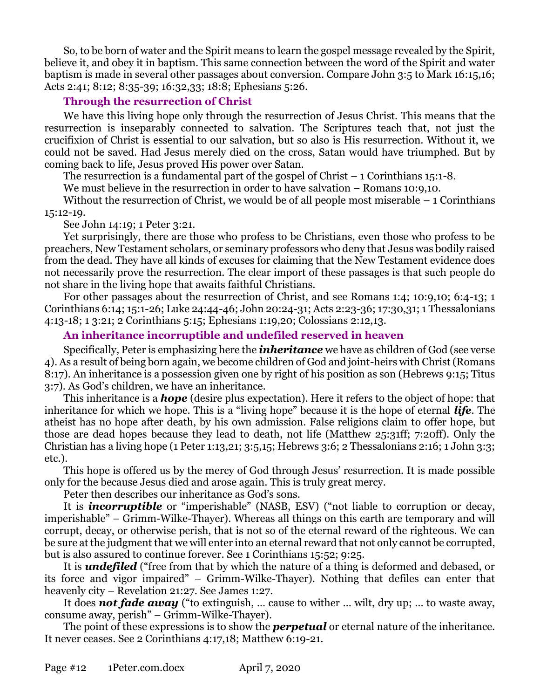So, to be born of water and the Spirit means to learn the gospel message revealed by the Spirit, believe it, and obey it in baptism. This same connection between the word of the Spirit and water baptism is made in several other passages about conversion. Compare John 3:5 to Mark 16:15,16; Acts 2:41; 8:12; 8:35-39; 16:32,33; 18:8; Ephesians 5:26.

# **Through the resurrection of Christ**

We have this living hope only through the resurrection of Jesus Christ. This means that the resurrection is inseparably connected to salvation. The Scriptures teach that, not just the crucifixion of Christ is essential to our salvation, but so also is His resurrection. Without it, we could not be saved. Had Jesus merely died on the cross, Satan would have triumphed. But by coming back to life, Jesus proved His power over Satan.

The resurrection is a fundamental part of the gospel of Christ  $-1$  Corinthians 15:1-8.

We must believe in the resurrection in order to have salvation – Romans 10:9,10.

Without the resurrection of Christ, we would be of all people most miserable  $-1$  Corinthians 15:12-19.

See John 14:19; 1 Peter 3:21.

Yet surprisingly, there are those who profess to be Christians, even those who profess to be preachers, New Testament scholars, or seminary professors who deny that Jesus was bodily raised from the dead. They have all kinds of excuses for claiming that the New Testament evidence does not necessarily prove the resurrection. The clear import of these passages is that such people do not share in the living hope that awaits faithful Christians.

For other passages about the resurrection of Christ, and see Romans 1:4; 10:9,10; 6:4-13; 1 Corinthians 6:14; 15:1-26; Luke 24:44-46; John 20:24-31; Acts 2:23-36; 17:30,31; 1 Thessalonians 4:13-18; 1 3:21; 2 Corinthians 5:15; Ephesians 1:19,20; Colossians 2:12,13.

# **An inheritance incorruptible and undefiled reserved in heaven**

Specifically, Peter is emphasizing here the *inheritance* we have as children of God (see verse 4). As a result of being born again, we become children of God and joint-heirs with Christ (Romans 8:17). An inheritance is a possession given one by right of his position as son (Hebrews 9:15; Titus 3:7). As God's children, we have an inheritance.

This inheritance is a *hope* (desire plus expectation). Here it refers to the object of hope: that inheritance for which we hope. This is a "living hope" because it is the hope of eternal *life*. The atheist has no hope after death, by his own admission. False religions claim to offer hope, but those are dead hopes because they lead to death, not life (Matthew 25:31ff; 7:20ff). Only the Christian has a living hope (1 Peter 1:13,21; 3:5,15; Hebrews 3:6; 2 Thessalonians 2:16; 1 John 3:3; etc.).

This hope is offered us by the mercy of God through Jesus' resurrection. It is made possible only for the because Jesus died and arose again. This is truly great mercy.

Peter then describes our inheritance as God's sons.

It is *incorruptible* or "imperishable" (NASB, ESV) ("not liable to corruption or decay, imperishable" – Grimm-Wilke-Thayer). Whereas all things on this earth are temporary and will corrupt, decay, or otherwise perish, that is not so of the eternal reward of the righteous. We can be sure at the judgment that we will enter into an eternal reward that not only cannot be corrupted, but is also assured to continue forever. See 1 Corinthians 15:52; 9:25.

It is *undefiled* ("free from that by which the nature of a thing is deformed and debased, or its force and vigor impaired" – Grimm-Wilke-Thayer). Nothing that defiles can enter that heavenly city – Revelation 21:27. See James 1:27.

It does *not fade away* ("to extinguish, … cause to wither … wilt, dry up; … to waste away, consume away, perish" – Grimm-Wilke-Thayer).

The point of these expressions is to show the *perpetual* or eternal nature of the inheritance. It never ceases. See 2 Corinthians 4:17,18; Matthew 6:19-21.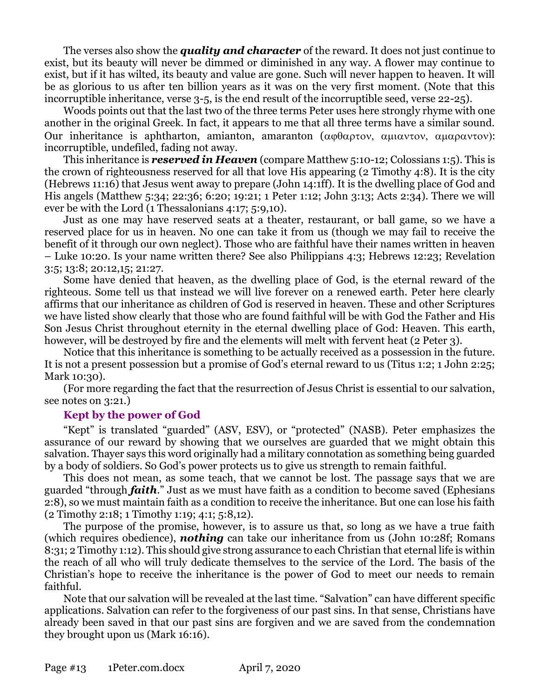The verses also show the *quality and character* of the reward. It does not just continue to exist, but its beauty will never be dimmed or diminished in any way. A flower may continue to exist, but if it has wilted, its beauty and value are gone. Such will never happen to heaven. It will be as glorious to us after ten billion years as it was on the very first moment. (Note that this incorruptible inheritance, verse 3-5, is the end result of the incorruptible seed, verse 22-25).

Woods points out that the last two of the three terms Peter uses here strongly rhyme with one another in the original Greek. In fact, it appears to me that all three terms have a similar sound. Our inheritance is aphtharton, amianton, amaranton ( $\alpha\varphi\theta\alpha\rho\tau\circ v$ ,  $\alpha\mu\alpha\varphi\tau\circ v$ ): incorruptible, undefiled, fading not away.

This inheritance is *reserved in Heaven* (compare Matthew 5:10-12; Colossians 1:5). This is the crown of righteousness reserved for all that love His appearing (2 Timothy 4:8). It is the city (Hebrews 11:16) that Jesus went away to prepare (John 14:1ff). It is the dwelling place of God and His angels (Matthew 5:34; 22:36; 6:20; 19:21; 1 Peter 1:12; John 3:13; Acts 2:34). There we will ever be with the Lord (1 Thessalonians 4:17; 5:9,10).

Just as one may have reserved seats at a theater, restaurant, or ball game, so we have a reserved place for us in heaven. No one can take it from us (though we may fail to receive the benefit of it through our own neglect). Those who are faithful have their names written in heaven – Luke 10:20. Is your name written there? See also Philippians 4:3; Hebrews 12:23; Revelation 3:5; 13:8; 20:12,15; 21:27.

Some have denied that heaven, as the dwelling place of God, is the eternal reward of the righteous. Some tell us that instead we will live forever on a renewed earth. Peter here clearly affirms that our inheritance as children of God is reserved in heaven. These and other Scriptures we have listed show clearly that those who are found faithful will be with God the Father and His Son Jesus Christ throughout eternity in the eternal dwelling place of God: Heaven. This earth, however, will be destroyed by fire and the elements will melt with fervent heat (2 Peter 3).

Notice that this inheritance is something to be actually received as a possession in the future. It is not a present possession but a promise of God's eternal reward to us (Titus 1:2; 1 John 2:25; Mark 10:30).

(For more regarding the fact that the resurrection of Jesus Christ is essential to our salvation, see notes on 3:21.)

## **Kept by the power of God**

"Kept" is translated "guarded" (ASV, ESV), or "protected" (NASB). Peter emphasizes the assurance of our reward by showing that we ourselves are guarded that we might obtain this salvation. Thayer says this word originally had a military connotation as something being guarded by a body of soldiers. So God's power protects us to give us strength to remain faithful.

This does not mean, as some teach, that we cannot be lost. The passage says that we are guarded "through *faith*." Just as we must have faith as a condition to become saved (Ephesians 2:8), so we must maintain faith as a condition to receive the inheritance. But one can lose his faith (2 Timothy 2:18; 1 Timothy 1:19; 4:1; 5:8,12).

The purpose of the promise, however, is to assure us that, so long as we have a true faith (which requires obedience), *nothing* can take our inheritance from us (John 10:28f; Romans 8:31; 2 Timothy 1:12). This should give strong assurance to each Christian that eternal life is within the reach of all who will truly dedicate themselves to the service of the Lord. The basis of the Christian's hope to receive the inheritance is the power of God to meet our needs to remain faithful.

Note that our salvation will be revealed at the last time. "Salvation" can have different specific applications. Salvation can refer to the forgiveness of our past sins. In that sense, Christians have already been saved in that our past sins are forgiven and we are saved from the condemnation they brought upon us (Mark 16:16).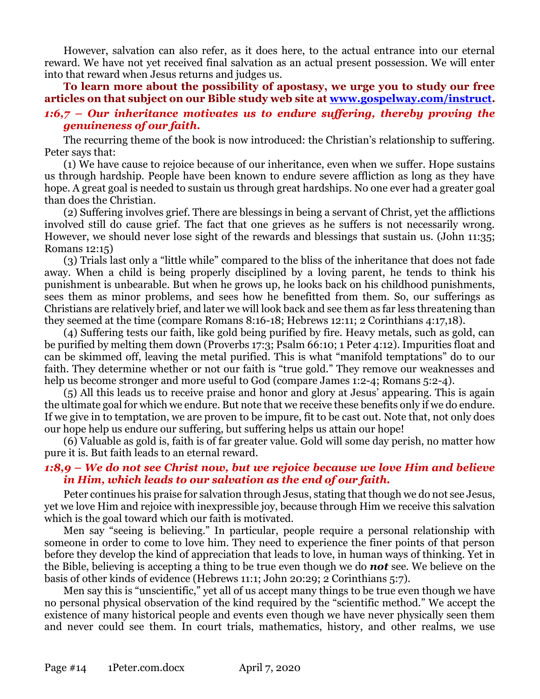However, salvation can also refer, as it does here, to the actual entrance into our eternal reward. We have not yet received final salvation as an actual present possession. We will enter into that reward when Jesus returns and judges us.

**To learn more about the possibility of apostasy, we urge you to study our free articles on that subject on our Bible study web site at [www.gospelway.com/instruct.](http://www.gospelway.com/instruct)** *1:6,7 – Our inheritance motivates us to endure suffering, thereby proving the genuineness of our faith.*

The recurring theme of the book is now introduced: the Christian's relationship to suffering. Peter says that:

(1) We have cause to rejoice because of our inheritance, even when we suffer. Hope sustains us through hardship. People have been known to endure severe affliction as long as they have hope. A great goal is needed to sustain us through great hardships. No one ever had a greater goal than does the Christian.

(2) Suffering involves grief. There are blessings in being a servant of Christ, yet the afflictions involved still do cause grief. The fact that one grieves as he suffers is not necessarily wrong. However, we should never lose sight of the rewards and blessings that sustain us. (John 11:35; Romans 12:15)

(3) Trials last only a "little while" compared to the bliss of the inheritance that does not fade away. When a child is being properly disciplined by a loving parent, he tends to think his punishment is unbearable. But when he grows up, he looks back on his childhood punishments, sees them as minor problems, and sees how he benefitted from them. So, our sufferings as Christians are relatively brief, and later we will look back and see them as far less threatening than they seemed at the time (compare Romans 8:16-18; Hebrews 12:11; 2 Corinthians 4:17,18).

(4) Suffering tests our faith, like gold being purified by fire. Heavy metals, such as gold, can be purified by melting them down (Proverbs 17:3; Psalm 66:10; 1 Peter 4:12). Impurities float and can be skimmed off, leaving the metal purified. This is what "manifold temptations" do to our faith. They determine whether or not our faith is "true gold." They remove our weaknesses and help us become stronger and more useful to God (compare James 1:2-4; Romans 5:2-4).

(5) All this leads us to receive praise and honor and glory at Jesus' appearing. This is again the ultimate goal for which we endure. But note that we receive these benefits only if we do endure. If we give in to temptation, we are proven to be impure, fit to be cast out. Note that, not only does our hope help us endure our suffering, but suffering helps us attain our hope!

(6) Valuable as gold is, faith is of far greater value. Gold will some day perish, no matter how pure it is. But faith leads to an eternal reward.

# *1:8,9 – We do not see Christ now, but we rejoice because we love Him and believe in Him, which leads to our salvation as the end of our faith.*

Peter continues his praise for salvation through Jesus, stating that though we do not see Jesus, yet we love Him and rejoice with inexpressible joy, because through Him we receive this salvation which is the goal toward which our faith is motivated.

Men say "seeing is believing." In particular, people require a personal relationship with someone in order to come to love him. They need to experience the finer points of that person before they develop the kind of appreciation that leads to love, in human ways of thinking. Yet in the Bible, believing is accepting a thing to be true even though we do *not* see. We believe on the basis of other kinds of evidence (Hebrews 11:1; John 20:29; 2 Corinthians 5:7).

Men say this is "unscientific," yet all of us accept many things to be true even though we have no personal physical observation of the kind required by the "scientific method." We accept the existence of many historical people and events even though we have never physically seen them and never could see them. In court trials, mathematics, history, and other realms, we use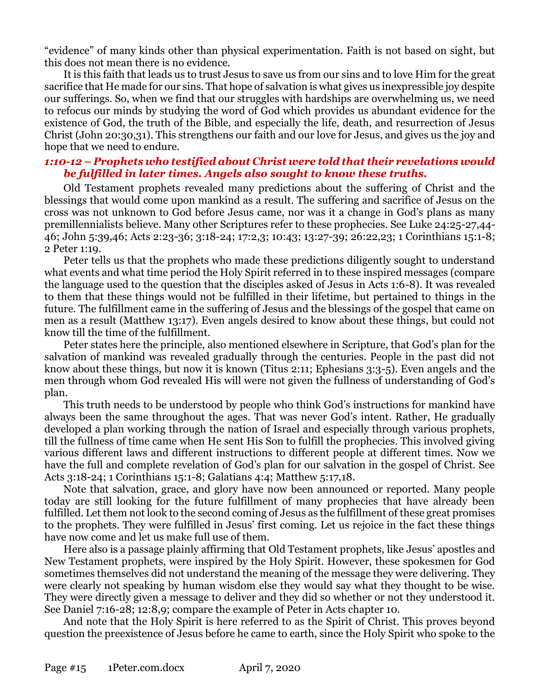"evidence" of many kinds other than physical experimentation. Faith is not based on sight, but this does not mean there is no evidence.

It is this faith that leads us to trust Jesus to save us from our sins and to love Him for the great sacrifice that He made for our sins. That hope of salvation is what gives us inexpressible joy despite our sufferings. So, when we find that our struggles with hardships are overwhelming us, we need to refocus our minds by studying the word of God which provides us abundant evidence for the existence of God, the truth of the Bible, and especially the life, death, and resurrection of Jesus Christ (John 20:30,31). This strengthens our faith and our love for Jesus, and gives us the joy and hope that we need to endure.

# *1:10-12 – Prophets who testified about Christ were told that their revelations would be fulfilled in later times. Angels also sought to know these truths.*

Old Testament prophets revealed many predictions about the suffering of Christ and the blessings that would come upon mankind as a result. The suffering and sacrifice of Jesus on the cross was not unknown to God before Jesus came, nor was it a change in God's plans as many premillennialists believe. Many other Scriptures refer to these prophecies. See Luke 24:25-27,44- 46; John 5:39,46; Acts 2:23-36; 3:18-24; 17:2,3; 10:43; 13:27-39; 26:22,23; 1 Corinthians 15:1-8; 2 Peter 1:19.

Peter tells us that the prophets who made these predictions diligently sought to understand what events and what time period the Holy Spirit referred in to these inspired messages (compare the language used to the question that the disciples asked of Jesus in Acts 1:6-8). It was revealed to them that these things would not be fulfilled in their lifetime, but pertained to things in the future. The fulfillment came in the suffering of Jesus and the blessings of the gospel that came on men as a result (Matthew 13:17). Even angels desired to know about these things, but could not know till the time of the fulfillment.

Peter states here the principle, also mentioned elsewhere in Scripture, that God's plan for the salvation of mankind was revealed gradually through the centuries. People in the past did not know about these things, but now it is known (Titus 2:11; Ephesians 3:3-5). Even angels and the men through whom God revealed His will were not given the fullness of understanding of God's plan.

This truth needs to be understood by people who think God's instructions for mankind have always been the same throughout the ages. That was never God's intent. Rather, He gradually developed a plan working through the nation of Israel and especially through various prophets, till the fullness of time came when He sent His Son to fulfill the prophecies. This involved giving various different laws and different instructions to different people at different times. Now we have the full and complete revelation of God's plan for our salvation in the gospel of Christ. See Acts 3:18-24; 1 Corinthians 15:1-8; Galatians 4:4; Matthew 5:17,18.

Note that salvation, grace, and glory have now been announced or reported. Many people today are still looking for the future fulfillment of many prophecies that have already been fulfilled. Let them not look to the second coming of Jesus as the fulfillment of these great promises to the prophets. They were fulfilled in Jesus' first coming. Let us rejoice in the fact these things have now come and let us make full use of them.

Here also is a passage plainly affirming that Old Testament prophets, like Jesus' apostles and New Testament prophets, were inspired by the Holy Spirit. However, these spokesmen for God sometimes themselves did not understand the meaning of the message they were delivering. They were clearly not speaking by human wisdom else they would say what they thought to be wise. They were directly given a message to deliver and they did so whether or not they understood it. See Daniel 7:16-28; 12:8,9; compare the example of Peter in Acts chapter 10.

And note that the Holy Spirit is here referred to as the Spirit of Christ. This proves beyond question the preexistence of Jesus before he came to earth, since the Holy Spirit who spoke to the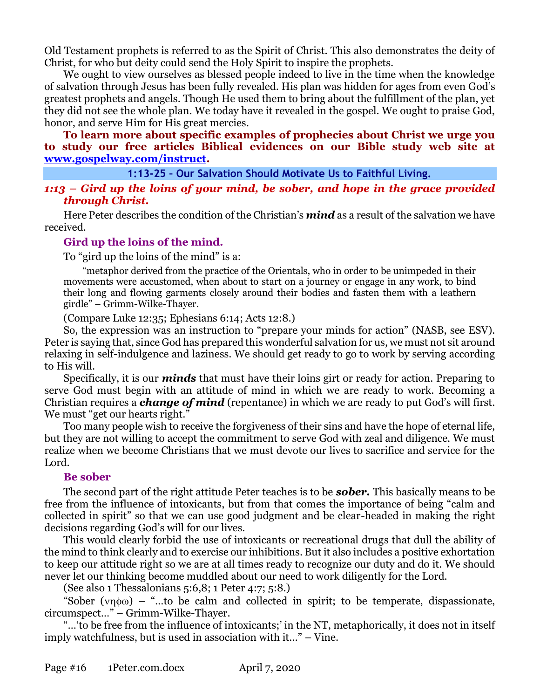Old Testament prophets is referred to as the Spirit of Christ. This also demonstrates the deity of Christ, for who but deity could send the Holy Spirit to inspire the prophets.

We ought to view ourselves as blessed people indeed to live in the time when the knowledge of salvation through Jesus has been fully revealed. His plan was hidden for ages from even God's greatest prophets and angels. Though He used them to bring about the fulfillment of the plan, yet they did not see the whole plan. We today have it revealed in the gospel. We ought to praise God, honor, and serve Him for His great mercies.

**To learn more about specific examples of prophecies about Christ we urge you to study our free articles Biblical evidences on our Bible study web site at [www.gospelway.com/instruct.](http://www.gospelway.com/instruct)**

#### **1:13-25 – Our Salvation Should Motivate Us to Faithful Living.**

*1:13 – Gird up the loins of your mind, be sober, and hope in the grace provided through Christ.*

Here Peter describes the condition of the Christian's *mind* as a result of the salvation we have received.

## **Gird up the loins of the mind.**

To "gird up the loins of the mind" is a:

"metaphor derived from the practice of the Orientals, who in order to be unimpeded in their movements were accustomed, when about to start on a journey or engage in any work, to bind their long and flowing garments closely around their bodies and fasten them with a leathern girdle" – Grimm-Wilke-Thayer.

(Compare Luke 12:35; Ephesians 6:14; Acts 12:8.)

So, the expression was an instruction to "prepare your minds for action" (NASB, see ESV). Peter is saying that, since God has prepared this wonderful salvation for us, we must not sit around relaxing in self-indulgence and laziness. We should get ready to go to work by serving according to His will.

Specifically, it is our *minds* that must have their loins girt or ready for action. Preparing to serve God must begin with an attitude of mind in which we are ready to work. Becoming a Christian requires a *change of mind* (repentance) in which we are ready to put God's will first. We must "get our hearts right."

Too many people wish to receive the forgiveness of their sins and have the hope of eternal life, but they are not willing to accept the commitment to serve God with zeal and diligence. We must realize when we become Christians that we must devote our lives to sacrifice and service for the Lord.

## **Be sober**

The second part of the right attitude Peter teaches is to be *sober.* This basically means to be free from the influence of intoxicants, but from that comes the importance of being "calm and collected in spirit" so that we can use good judgment and be clear-headed in making the right decisions regarding God's will for our lives.

This would clearly forbid the use of intoxicants or recreational drugs that dull the ability of the mind to think clearly and to exercise our inhibitions. But it also includes a positive exhortation to keep our attitude right so we are at all times ready to recognize our duty and do it. We should never let our thinking become muddled about our need to work diligently for the Lord.

(See also 1 Thessalonians 5:6,8; 1 Peter 4:7; 5:8.)

"Sober ( $\nu$ n $\phi$ ω) – "...to be calm and collected in spirit; to be temperate, dispassionate, circumspect…" – Grimm-Wilke-Thayer.

"…'to be free from the influence of intoxicants;' in the NT, metaphorically, it does not in itself imply watchfulness, but is used in association with it…" – Vine.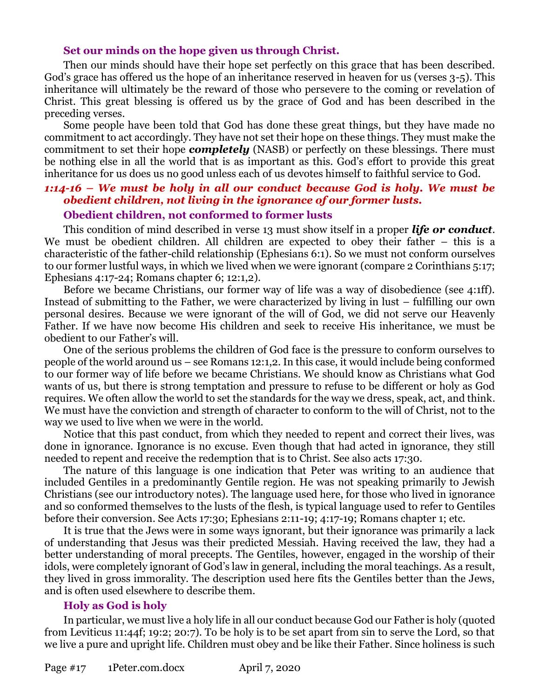#### **Set our minds on the hope given us through Christ.**

Then our minds should have their hope set perfectly on this grace that has been described. God's grace has offered us the hope of an inheritance reserved in heaven for us (verses 3-5). This inheritance will ultimately be the reward of those who persevere to the coming or revelation of Christ. This great blessing is offered us by the grace of God and has been described in the preceding verses.

Some people have been told that God has done these great things, but they have made no commitment to act accordingly. They have not set their hope on these things. They must make the commitment to set their hope *completely* (NASB) or perfectly on these blessings. There must be nothing else in all the world that is as important as this. God's effort to provide this great inheritance for us does us no good unless each of us devotes himself to faithful service to God.

#### *1:14-16 – We must be holy in all our conduct because God is holy. We must be obedient children, not living in the ignorance of our former lusts.* **Obedient children, not conformed to former lusts**

This condition of mind described in verse 13 must show itself in a proper *life or conduct*. We must be obedient children. All children are expected to obey their father – this is a characteristic of the father-child relationship (Ephesians 6:1). So we must not conform ourselves to our former lustful ways, in which we lived when we were ignorant (compare 2 Corinthians 5:17; Ephesians 4:17-24; Romans chapter 6; 12:1,2).

Before we became Christians, our former way of life was a way of disobedience (see 4:1ff). Instead of submitting to the Father, we were characterized by living in lust – fulfilling our own personal desires. Because we were ignorant of the will of God, we did not serve our Heavenly Father. If we have now become His children and seek to receive His inheritance, we must be obedient to our Father's will.

One of the serious problems the children of God face is the pressure to conform ourselves to people of the world around us – see Romans 12:1,2. In this case, it would include being conformed to our former way of life before we became Christians. We should know as Christians what God wants of us, but there is strong temptation and pressure to refuse to be different or holy as God requires. We often allow the world to set the standards for the way we dress, speak, act, and think. We must have the conviction and strength of character to conform to the will of Christ, not to the way we used to live when we were in the world.

Notice that this past conduct, from which they needed to repent and correct their lives, was done in ignorance. Ignorance is no excuse. Even though that had acted in ignorance, they still needed to repent and receive the redemption that is to Christ. See also acts 17:30.

The nature of this language is one indication that Peter was writing to an audience that included Gentiles in a predominantly Gentile region. He was not speaking primarily to Jewish Christians (see our introductory notes). The language used here, for those who lived in ignorance and so conformed themselves to the lusts of the flesh, is typical language used to refer to Gentiles before their conversion. See Acts 17:30; Ephesians 2:11-19; 4:17-19; Romans chapter 1; etc.

It is true that the Jews were in some ways ignorant, but their ignorance was primarily a lack of understanding that Jesus was their predicted Messiah. Having received the law, they had a better understanding of moral precepts. The Gentiles, however, engaged in the worship of their idols, were completely ignorant of God's law in general, including the moral teachings. As a result, they lived in gross immorality. The description used here fits the Gentiles better than the Jews, and is often used elsewhere to describe them.

#### **Holy as God is holy**

In particular, we must live a holy life in all our conduct because God our Father is holy (quoted from Leviticus 11:44f; 19:2; 20:7). To be holy is to be set apart from sin to serve the Lord, so that we live a pure and upright life. Children must obey and be like their Father. Since holiness is such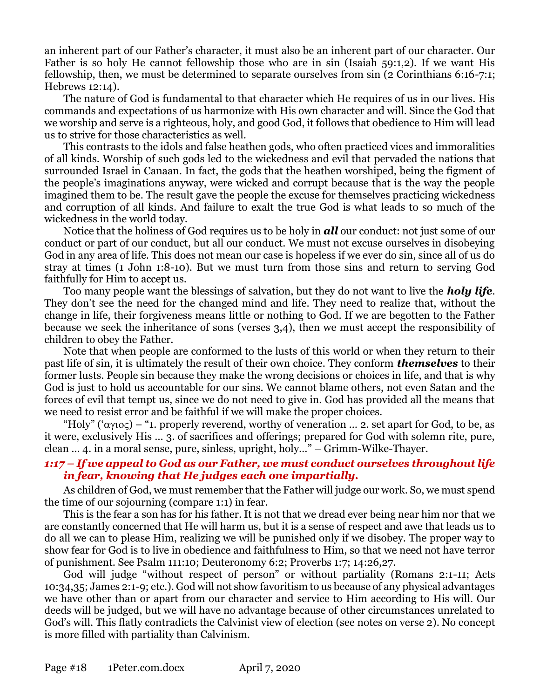an inherent part of our Father's character, it must also be an inherent part of our character. Our Father is so holy He cannot fellowship those who are in sin (Isaiah 59:1,2). If we want His fellowship, then, we must be determined to separate ourselves from sin (2 Corinthians 6:16-7:1; Hebrews 12:14).

The nature of God is fundamental to that character which He requires of us in our lives. His commands and expectations of us harmonize with His own character and will. Since the God that we worship and serve is a righteous, holy, and good God, it follows that obedience to Him will lead us to strive for those characteristics as well.

This contrasts to the idols and false heathen gods, who often practiced vices and immoralities of all kinds. Worship of such gods led to the wickedness and evil that pervaded the nations that surrounded Israel in Canaan. In fact, the gods that the heathen worshiped, being the figment of the people's imaginations anyway, were wicked and corrupt because that is the way the people imagined them to be. The result gave the people the excuse for themselves practicing wickedness and corruption of all kinds. And failure to exalt the true God is what leads to so much of the wickedness in the world today.

Notice that the holiness of God requires us to be holy in *all* our conduct: not just some of our conduct or part of our conduct, but all our conduct. We must not excuse ourselves in disobeying God in any area of life. This does not mean our case is hopeless if we ever do sin, since all of us do stray at times (1 John 1:8-10). But we must turn from those sins and return to serving God faithfully for Him to accept us.

Too many people want the blessings of salvation, but they do not want to live the *holy life*. They don't see the need for the changed mind and life. They need to realize that, without the change in life, their forgiveness means little or nothing to God. If we are begotten to the Father because we seek the inheritance of sons (verses 3,4), then we must accept the responsibility of children to obey the Father.

Note that when people are conformed to the lusts of this world or when they return to their past life of sin, it is ultimately the result of their own choice. They conform *themselves* to their former lusts. People sin because they make the wrong decisions or choices in life, and that is why God is just to hold us accountable for our sins. We cannot blame others, not even Satan and the forces of evil that tempt us, since we do not need to give in. God has provided all the means that we need to resist error and be faithful if we will make the proper choices.

"Holy" (' $\alpha$  $\gamma$ io $\varsigma$ ) – "1. properly reverend, worthy of veneration ... 2. set apart for God, to be, as it were, exclusively His … 3. of sacrifices and offerings; prepared for God with solemn rite, pure, clean … 4. in a moral sense, pure, sinless, upright, holy…" – Grimm-Wilke-Thayer.

# *1:17 – If we appeal to God as our Father, we must conduct ourselves throughout life in fear, knowing that He judges each one impartially.*

As children of God, we must remember that the Father will judge our work. So, we must spend the time of our sojourning (compare 1:1) in fear.

This is the fear a son has for his father. It is not that we dread ever being near him nor that we are constantly concerned that He will harm us, but it is a sense of respect and awe that leads us to do all we can to please Him, realizing we will be punished only if we disobey. The proper way to show fear for God is to live in obedience and faithfulness to Him, so that we need not have terror of punishment. See Psalm 111:10; Deuteronomy 6:2; Proverbs 1:7; 14:26,27.

God will judge "without respect of person" or without partiality (Romans 2:1-11; Acts 10:34,35; James 2:1-9; etc.). God will not show favoritism to us because of any physical advantages we have other than or apart from our character and service to Him according to His will. Our deeds will be judged, but we will have no advantage because of other circumstances unrelated to God's will. This flatly contradicts the Calvinist view of election (see notes on verse 2). No concept is more filled with partiality than Calvinism.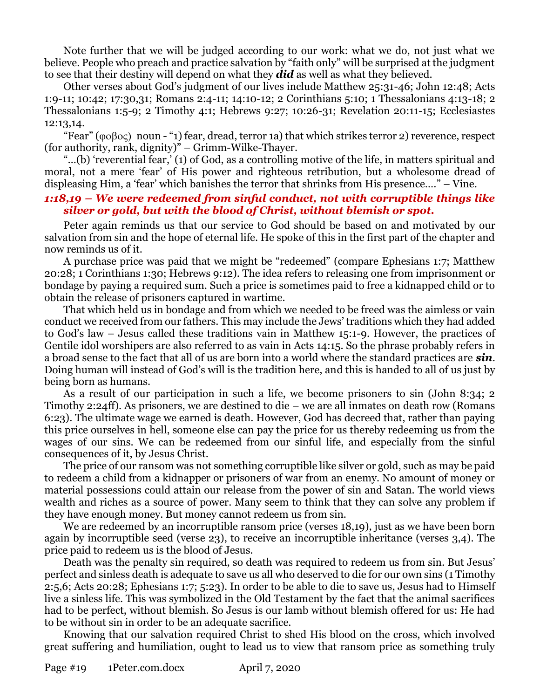Note further that we will be judged according to our work: what we do, not just what we believe. People who preach and practice salvation by "faith only" will be surprised at the judgment to see that their destiny will depend on what they *did* as well as what they believed.

Other verses about God's judgment of our lives include Matthew 25:31-46; John 12:48; Acts 1:9-11; 10:42; 17:30,31; Romans 2:4-11; 14:10-12; 2 Corinthians 5:10; 1 Thessalonians 4:13-18; 2 Thessalonians 1:5-9; 2 Timothy 4:1; Hebrews 9:27; 10:26-31; Revelation 20:11-15; Ecclesiastes 12:13,14.

"Fear" ( $\varphi \circ \beta$  o $\varsigma$ ) noun - "1) fear, dread, terror 1a) that which strikes terror 2) reverence, respect (for authority, rank, dignity)" – Grimm-Wilke-Thayer.

"…(b) 'reverential fear,' (1) of God, as a controlling motive of the life, in matters spiritual and moral, not a mere 'fear' of His power and righteous retribution, but a wholesome dread of displeasing Him, a 'fear' which banishes the terror that shrinks from His presence…." – Vine.

#### *1:18,19 – We were redeemed from sinful conduct, not with corruptible things like silver or gold, but with the blood of Christ, without blemish or spot.*

Peter again reminds us that our service to God should be based on and motivated by our salvation from sin and the hope of eternal life. He spoke of this in the first part of the chapter and now reminds us of it.

A purchase price was paid that we might be "redeemed" (compare Ephesians 1:7; Matthew 20:28; 1 Corinthians 1:30; Hebrews 9:12). The idea refers to releasing one from imprisonment or bondage by paying a required sum. Such a price is sometimes paid to free a kidnapped child or to obtain the release of prisoners captured in wartime.

That which held us in bondage and from which we needed to be freed was the aimless or vain conduct we received from our fathers. This may include the Jews' traditions which they had added to God's law – Jesus called these traditions vain in Matthew 15:1-9. However, the practices of Gentile idol worshipers are also referred to as vain in Acts 14:15. So the phrase probably refers in a broad sense to the fact that all of us are born into a world where the standard practices are *sin*. Doing human will instead of God's will is the tradition here, and this is handed to all of us just by being born as humans.

As a result of our participation in such a life, we become prisoners to sin (John 8:34; 2 Timothy 2:24ff). As prisoners, we are destined to die – we are all inmates on death row (Romans 6:23). The ultimate wage we earned is death. However, God has decreed that, rather than paying this price ourselves in hell, someone else can pay the price for us thereby redeeming us from the wages of our sins. We can be redeemed from our sinful life, and especially from the sinful consequences of it, by Jesus Christ.

The price of our ransom was not something corruptible like silver or gold, such as may be paid to redeem a child from a kidnapper or prisoners of war from an enemy. No amount of money or material possessions could attain our release from the power of sin and Satan. The world views wealth and riches as a source of power. Many seem to think that they can solve any problem if they have enough money. But money cannot redeem us from sin.

We are redeemed by an incorruptible ransom price (verses 18,19), just as we have been born again by incorruptible seed (verse 23), to receive an incorruptible inheritance (verses 3,4). The price paid to redeem us is the blood of Jesus.

Death was the penalty sin required, so death was required to redeem us from sin. But Jesus' perfect and sinless death is adequate to save us all who deserved to die for our own sins (1 Timothy 2:5,6; Acts 20:28; Ephesians 1:7; 5:23). In order to be able to die to save us, Jesus had to Himself live a sinless life. This was symbolized in the Old Testament by the fact that the animal sacrifices had to be perfect, without blemish. So Jesus is our lamb without blemish offered for us: He had to be without sin in order to be an adequate sacrifice.

Knowing that our salvation required Christ to shed His blood on the cross, which involved great suffering and humiliation, ought to lead us to view that ransom price as something truly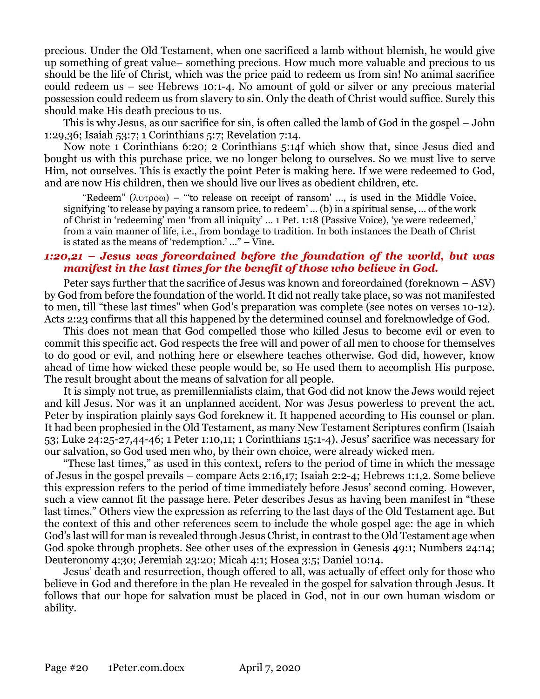precious. Under the Old Testament, when one sacrificed a lamb without blemish, he would give up something of great value– something precious. How much more valuable and precious to us should be the life of Christ, which was the price paid to redeem us from sin! No animal sacrifice could redeem us – see Hebrews 10:1-4. No amount of gold or silver or any precious material possession could redeem us from slavery to sin. Only the death of Christ would suffice. Surely this should make His death precious to us.

This is why Jesus, as our sacrifice for sin, is often called the lamb of God in the gospel – John 1:29,36; Isaiah 53:7; 1 Corinthians 5:7; Revelation 7:14.

Now note 1 Corinthians 6:20; 2 Corinthians 5:14f which show that, since Jesus died and bought us with this purchase price, we no longer belong to ourselves. So we must live to serve Him, not ourselves. This is exactly the point Peter is making here. If we were redeemed to God, and are now His children, then we should live our lives as obedient children, etc.

"Redeem" ( $\lambda v \tau \rho o \omega$ ) – "'to release on receipt of ransom' ..., is used in the Middle Voice, signifying 'to release by paying a ransom price, to redeem' … (b) in a spiritual sense, … of the work of Christ in 'redeeming' men 'from all iniquity' … 1 Pet. 1:18 (Passive Voice), 'ye were redeemed,' from a vain manner of life, i.e., from bondage to tradition. In both instances the Death of Christ is stated as the means of 'redemption.' …" – Vine.

#### *1:20,21 – Jesus was foreordained before the foundation of the world, but was manifest in the last times for the benefit of those who believe in God.*

Peter says further that the sacrifice of Jesus was known and foreordained (foreknown – ASV) by God from before the foundation of the world. It did not really take place, so was not manifested to men, till "these last times" when God's preparation was complete (see notes on verses 10-12). Acts 2:23 confirms that all this happened by the determined counsel and foreknowledge of God.

This does not mean that God compelled those who killed Jesus to become evil or even to commit this specific act. God respects the free will and power of all men to choose for themselves to do good or evil, and nothing here or elsewhere teaches otherwise. God did, however, know ahead of time how wicked these people would be, so He used them to accomplish His purpose. The result brought about the means of salvation for all people.

It is simply not true, as premillennialists claim, that God did not know the Jews would reject and kill Jesus. Nor was it an unplanned accident. Nor was Jesus powerless to prevent the act. Peter by inspiration plainly says God foreknew it. It happened according to His counsel or plan. It had been prophesied in the Old Testament, as many New Testament Scriptures confirm (Isaiah 53; Luke 24:25-27,44-46; 1 Peter 1:10,11; 1 Corinthians 15:1-4). Jesus' sacrifice was necessary for our salvation, so God used men who, by their own choice, were already wicked men.

"These last times," as used in this context, refers to the period of time in which the message of Jesus in the gospel prevails – compare Acts 2:16,17; Isaiah 2:2-4; Hebrews 1:1,2. Some believe this expression refers to the period of time immediately before Jesus' second coming. However, such a view cannot fit the passage here. Peter describes Jesus as having been manifest in "these last times." Others view the expression as referring to the last days of the Old Testament age. But the context of this and other references seem to include the whole gospel age: the age in which God's last will for man is revealed through Jesus Christ, in contrast to the Old Testament age when God spoke through prophets. See other uses of the expression in Genesis 49:1; Numbers 24:14; Deuteronomy 4:30; Jeremiah 23:20; Micah 4:1; Hosea 3:5; Daniel 10:14.

Jesus' death and resurrection, though offered to all, was actually of effect only for those who believe in God and therefore in the plan He revealed in the gospel for salvation through Jesus. It follows that our hope for salvation must be placed in God, not in our own human wisdom or ability.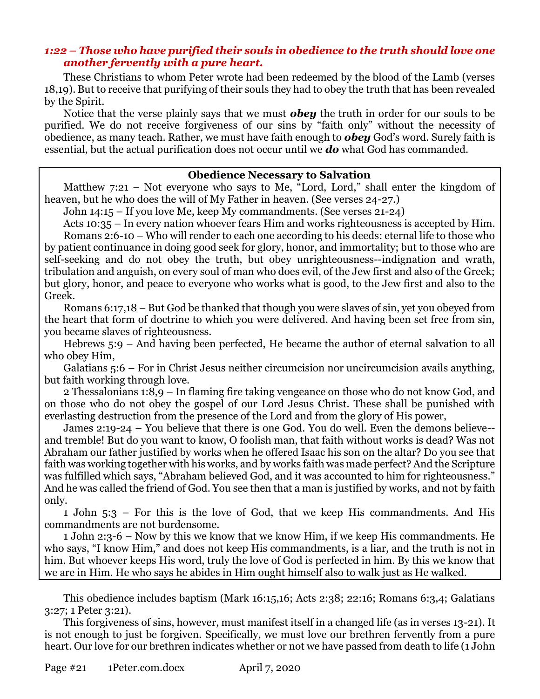# *1:22 – Those who have purified their souls in obedience to the truth should love one another fervently with a pure heart.*

These Christians to whom Peter wrote had been redeemed by the blood of the Lamb (verses 18,19). But to receive that purifying of their souls they had to obey the truth that has been revealed by the Spirit.

Notice that the verse plainly says that we must *obey* the truth in order for our souls to be purified. We do not receive forgiveness of our sins by "faith only" without the necessity of obedience, as many teach. Rather, we must have faith enough to *obey* God's word. Surely faith is essential, but the actual purification does not occur until we *do* what God has commanded.

#### **Obedience Necessary to Salvation**

Matthew 7:21 – Not everyone who says to Me, "Lord, Lord," shall enter the kingdom of heaven, but he who does the will of My Father in heaven. (See verses 24-27.)

John 14:15 – If you love Me, keep My commandments. (See verses 21-24)

Acts 10:35 – In every nation whoever fears Him and works righteousness is accepted by Him. Romans 2:6-10 – Who will render to each one according to his deeds: eternal life to those who by patient continuance in doing good seek for glory, honor, and immortality; but to those who are self-seeking and do not obey the truth, but obey unrighteousness--indignation and wrath, tribulation and anguish, on every soul of man who does evil, of the Jew first and also of the Greek; but glory, honor, and peace to everyone who works what is good, to the Jew first and also to the Greek.

Romans 6:17,18 – But God be thanked that though you were slaves of sin, yet you obeyed from the heart that form of doctrine to which you were delivered. And having been set free from sin, you became slaves of righteousness.

Hebrews 5:9 – And having been perfected, He became the author of eternal salvation to all who obey Him,

Galatians 5:6 – For in Christ Jesus neither circumcision nor uncircumcision avails anything, but faith working through love.

2 Thessalonians 1:8,9 – In flaming fire taking vengeance on those who do not know God, and on those who do not obey the gospel of our Lord Jesus Christ. These shall be punished with everlasting destruction from the presence of the Lord and from the glory of His power,

James 2:19-24 – You believe that there is one God. You do well. Even the demons believe- and tremble! But do you want to know, O foolish man, that faith without works is dead? Was not Abraham our father justified by works when he offered Isaac his son on the altar? Do you see that faith was working together with his works, and by works faith was made perfect? And the Scripture was fulfilled which says, "Abraham believed God, and it was accounted to him for righteousness." And he was called the friend of God. You see then that a man is justified by works, and not by faith only.

1 John 5:3 – For this is the love of God, that we keep His commandments. And His commandments are not burdensome.

1 John 2:3-6 – Now by this we know that we know Him, if we keep His commandments. He who says, "I know Him," and does not keep His commandments, is a liar, and the truth is not in him. But whoever keeps His word, truly the love of God is perfected in him. By this we know that we are in Him. He who says he abides in Him ought himself also to walk just as He walked.

This obedience includes baptism (Mark 16:15,16; Acts 2:38; 22:16; Romans 6:3,4; Galatians 3:27; 1 Peter 3:21).

This forgiveness of sins, however, must manifest itself in a changed life (as in verses 13-21). It is not enough to just be forgiven. Specifically, we must love our brethren fervently from a pure heart. Our love for our brethren indicates whether or not we have passed from death to life (1 John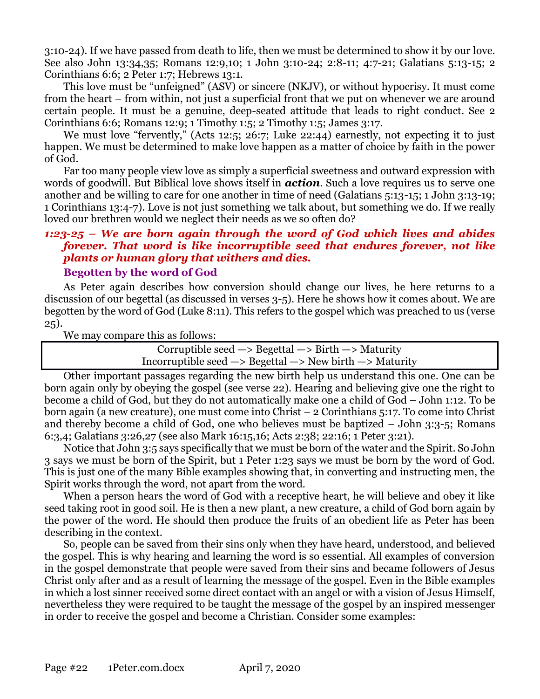3:10-24). If we have passed from death to life, then we must be determined to show it by our love. See also John 13:34,35; Romans 12:9,10; 1 John 3:10-24; 2:8-11; 4:7-21; Galatians 5:13-15; 2 Corinthians 6:6; 2 Peter 1:7; Hebrews 13:1.

This love must be "unfeigned" (ASV) or sincere (NKJV), or without hypocrisy. It must come from the heart – from within, not just a superficial front that we put on whenever we are around certain people. It must be a genuine, deep-seated attitude that leads to right conduct. See 2 Corinthians 6:6; Romans 12:9; 1 Timothy 1:5; 2 Timothy 1:5; James 3:17.

We must love "fervently," (Acts 12:5; 26:7; Luke 22:44) earnestly, not expecting it to just happen. We must be determined to make love happen as a matter of choice by faith in the power of God.

Far too many people view love as simply a superficial sweetness and outward expression with words of goodwill. But Biblical love shows itself in *action*. Such a love requires us to serve one another and be willing to care for one another in time of need (Galatians 5:13-15; 1 John 3:13-19; 1 Corinthians 13:4-7). Love is not just something we talk about, but something we do. If we really loved our brethren would we neglect their needs as we so often do?

# *1:23-25 – We are born again through the word of God which lives and abides forever. That word is like incorruptible seed that endures forever, not like plants or human glory that withers and dies.*

# **Begotten by the word of God**

As Peter again describes how conversion should change our lives, he here returns to a discussion of our begettal (as discussed in verses 3-5). Here he shows how it comes about. We are begotten by the word of God (Luke 8:11). This refers to the gospel which was preached to us (verse 25).

We may compare this as follows:

Corruptible seed  $\rightarrow$  Begettal  $\rightarrow$  Birth  $\rightarrow$  Maturity Incorruptible seed —> Begettal —> New birth —> Maturity

Other important passages regarding the new birth help us understand this one. One can be born again only by obeying the gospel (see verse 22). Hearing and believing give one the right to become a child of God, but they do not automatically make one a child of God – John 1:12. To be born again (a new creature), one must come into Christ – 2 Corinthians 5:17. To come into Christ and thereby become a child of God, one who believes must be baptized – John 3:3-5; Romans 6:3,4; Galatians 3:26,27 (see also Mark 16:15,16; Acts 2:38; 22:16; 1 Peter 3:21).

Notice that John 3:5 says specifically that we must be born of the water and the Spirit. So John 3 says we must be born of the Spirit, but 1 Peter 1:23 says we must be born by the word of God. This is just one of the many Bible examples showing that, in converting and instructing men, the Spirit works through the word, not apart from the word.

When a person hears the word of God with a receptive heart, he will believe and obey it like seed taking root in good soil. He is then a new plant, a new creature, a child of God born again by the power of the word. He should then produce the fruits of an obedient life as Peter has been describing in the context.

So, people can be saved from their sins only when they have heard, understood, and believed the gospel. This is why hearing and learning the word is so essential. All examples of conversion in the gospel demonstrate that people were saved from their sins and became followers of Jesus Christ only after and as a result of learning the message of the gospel. Even in the Bible examples in which a lost sinner received some direct contact with an angel or with a vision of Jesus Himself, nevertheless they were required to be taught the message of the gospel by an inspired messenger in order to receive the gospel and become a Christian. Consider some examples: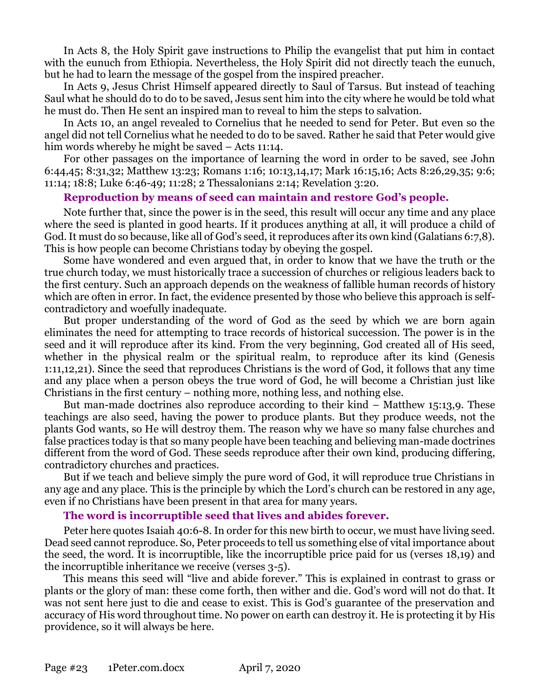In Acts 8, the Holy Spirit gave instructions to Philip the evangelist that put him in contact with the eunuch from Ethiopia. Nevertheless, the Holy Spirit did not directly teach the eunuch, but he had to learn the message of the gospel from the inspired preacher.

In Acts 9, Jesus Christ Himself appeared directly to Saul of Tarsus. But instead of teaching Saul what he should do to do to be saved, Jesus sent him into the city where he would be told what he must do. Then He sent an inspired man to reveal to him the steps to salvation.

In Acts 10, an angel revealed to Cornelius that he needed to send for Peter. But even so the angel did not tell Cornelius what he needed to do to be saved. Rather he said that Peter would give him words whereby he might be saved – Acts 11:14.

For other passages on the importance of learning the word in order to be saved, see John 6:44,45; 8:31,32; Matthew 13:23; Romans 1:16; 10:13,14,17; Mark 16:15,16; Acts 8:26,29,35; 9:6; 11:14; 18:8; Luke 6:46-49; 11:28; 2 Thessalonians 2:14; Revelation 3:20.

#### **Reproduction by means of seed can maintain and restore God's people.**

Note further that, since the power is in the seed, this result will occur any time and any place where the seed is planted in good hearts. If it produces anything at all, it will produce a child of God. It must do so because, like all of God's seed, it reproduces after its own kind (Galatians 6:7,8). This is how people can become Christians today by obeying the gospel.

Some have wondered and even argued that, in order to know that we have the truth or the true church today, we must historically trace a succession of churches or religious leaders back to the first century. Such an approach depends on the weakness of fallible human records of history which are often in error. In fact, the evidence presented by those who believe this approach is selfcontradictory and woefully inadequate.

But proper understanding of the word of God as the seed by which we are born again eliminates the need for attempting to trace records of historical succession. The power is in the seed and it will reproduce after its kind. From the very beginning, God created all of His seed, whether in the physical realm or the spiritual realm, to reproduce after its kind (Genesis 1:11,12,21). Since the seed that reproduces Christians is the word of God, it follows that any time and any place when a person obeys the true word of God, he will become a Christian just like Christians in the first century – nothing more, nothing less, and nothing else.

But man-made doctrines also reproduce according to their kind  $-$  Matthew 15:13,9. These teachings are also seed, having the power to produce plants. But they produce weeds, not the plants God wants, so He will destroy them. The reason why we have so many false churches and false practices today is that so many people have been teaching and believing man-made doctrines different from the word of God. These seeds reproduce after their own kind, producing differing, contradictory churches and practices.

But if we teach and believe simply the pure word of God, it will reproduce true Christians in any age and any place. This is the principle by which the Lord's church can be restored in any age, even if no Christians have been present in that area for many years.

#### **The word is incorruptible seed that lives and abides forever.**

Peter here quotes Isaiah 40:6-8. In order for this new birth to occur, we must have living seed. Dead seed cannot reproduce. So, Peter proceeds to tell us something else of vital importance about the seed, the word. It is incorruptible, like the incorruptible price paid for us (verses 18,19) and the incorruptible inheritance we receive (verses 3-5).

This means this seed will "live and abide forever." This is explained in contrast to grass or plants or the glory of man: these come forth, then wither and die. God's word will not do that. It was not sent here just to die and cease to exist. This is God's guarantee of the preservation and accuracy of His word throughout time. No power on earth can destroy it. He is protecting it by His providence, so it will always be here.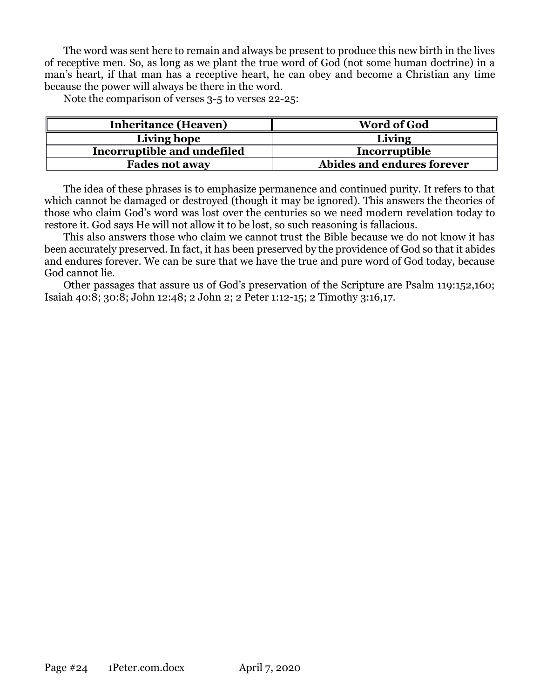The word was sent here to remain and always be present to produce this new birth in the lives of receptive men. So, as long as we plant the true word of God (not some human doctrine) in a man's heart, if that man has a receptive heart, he can obey and become a Christian any time because the power will always be there in the word.

Note the comparison of verses 3-5 to verses 22-25:

| <b>Inheritance (Heaven)</b> | <b>Word of God</b>         |
|-----------------------------|----------------------------|
| Living hope                 | Living                     |
| Incorruptible and undefiled | Incorruptible              |
| <b>Fades not away</b>       | Abides and endures forever |

The idea of these phrases is to emphasize permanence and continued purity. It refers to that which cannot be damaged or destroyed (though it may be ignored). This answers the theories of those who claim God's word was lost over the centuries so we need modern revelation today to restore it. God says He will not allow it to be lost, so such reasoning is fallacious.

This also answers those who claim we cannot trust the Bible because we do not know it has been accurately preserved. In fact, it has been preserved by the providence of God so that it abides and endures forever. We can be sure that we have the true and pure word of God today, because God cannot lie.

Other passages that assure us of God's preservation of the Scripture are Psalm 119:152,160; Isaiah 40:8; 30:8; John 12:48; 2 John 2; 2 Peter 1:12-15; 2 Timothy 3:16,17.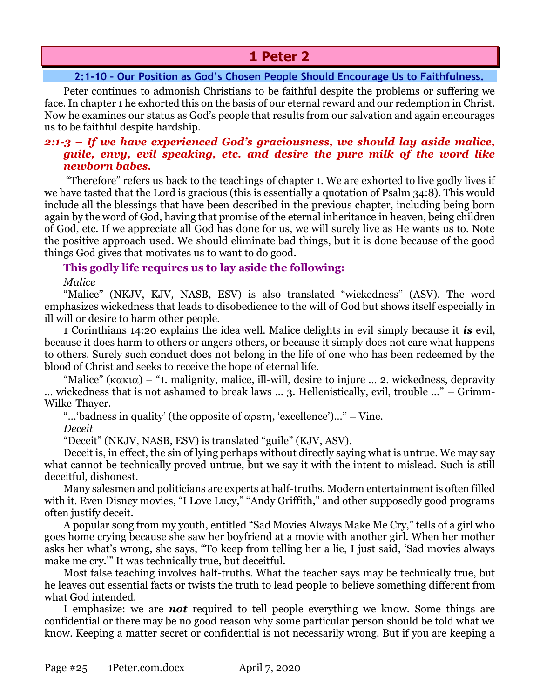# **1 Peter 2**

# **2:1-10 – Our Position as God's Chosen People Should Encourage Us to Faithfulness.**

<span id="page-24-0"></span>Peter continues to admonish Christians to be faithful despite the problems or suffering we face. In chapter 1 he exhorted this on the basis of our eternal reward and our redemption in Christ. Now he examines our status as God's people that results from our salvation and again encourages us to be faithful despite hardship.

## *2:1-3 – If we have experienced God's graciousness, we should lay aside malice, guile, envy, evil speaking, etc. and desire the pure milk of the word like newborn babes.*

"Therefore" refers us back to the teachings of chapter 1. We are exhorted to live godly lives if we have tasted that the Lord is gracious (this is essentially a quotation of Psalm 34:8). This would include all the blessings that have been described in the previous chapter, including being born again by the word of God, having that promise of the eternal inheritance in heaven, being children of God, etc. If we appreciate all God has done for us, we will surely live as He wants us to. Note the positive approach used. We should eliminate bad things, but it is done because of the good things God gives that motivates us to want to do good.

# **This godly life requires us to lay aside the following:**

*Malice*

"Malice" (NKJV, KJV, NASB, ESV) is also translated "wickedness" (ASV). The word emphasizes wickedness that leads to disobedience to the will of God but shows itself especially in ill will or desire to harm other people.

1 Corinthians 14:20 explains the idea well. Malice delights in evil simply because it *is* evil, because it does harm to others or angers others, or because it simply does not care what happens to others. Surely such conduct does not belong in the life of one who has been redeemed by the blood of Christ and seeks to receive the hope of eternal life.

"Malice" ( $\kappa \alpha \kappa \alpha$ ) – "1. malignity, malice, ill-will, desire to injure ... 2. wickedness, depravity … wickedness that is not ashamed to break laws … 3. Hellenistically, evil, trouble …" – Grimm-Wilke-Thayer.

"...'badness in quality' (the opposite of  $\alpha \rho \epsilon \tau \eta$ , 'excellence')..." – Vine.

*Deceit*

"Deceit" (NKJV, NASB, ESV) is translated "guile" (KJV, ASV).

Deceit is, in effect, the sin of lying perhaps without directly saying what is untrue. We may say what cannot be technically proved untrue, but we say it with the intent to mislead. Such is still deceitful, dishonest.

Many salesmen and politicians are experts at half-truths. Modern entertainment is often filled with it. Even Disney movies, "I Love Lucy," "Andy Griffith," and other supposedly good programs often justify deceit.

A popular song from my youth, entitled "Sad Movies Always Make Me Cry," tells of a girl who goes home crying because she saw her boyfriend at a movie with another girl. When her mother asks her what's wrong, she says, "To keep from telling her a lie, I just said, 'Sad movies always make me cry.'" It was technically true, but deceitful.

Most false teaching involves half-truths. What the teacher says may be technically true, but he leaves out essential facts or twists the truth to lead people to believe something different from what God intended.

I emphasize: we are *not* required to tell people everything we know. Some things are confidential or there may be no good reason why some particular person should be told what we know. Keeping a matter secret or confidential is not necessarily wrong. But if you are keeping a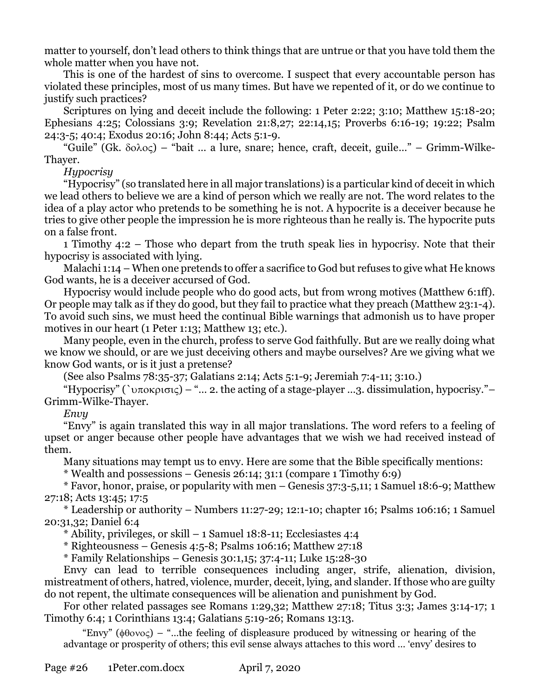matter to yourself, don't lead others to think things that are untrue or that you have told them the whole matter when you have not.

This is one of the hardest of sins to overcome. I suspect that every accountable person has violated these principles, most of us many times. But have we repented of it, or do we continue to justify such practices?

Scriptures on lying and deceit include the following: 1 Peter 2:22; 3:10; Matthew 15:18-20; Ephesians 4:25; Colossians 3:9; Revelation 21:8,27; 22:14,15; Proverbs 6:16-19; 19:22; Psalm 24:3-5; 40:4; Exodus 20:16; John 8:44; Acts 5:1-9.

"Guile" (Gk.  $\delta$ o $\lambda$ o $\varsigma$ ) – "bait ... a lure, snare; hence, craft, deceit, guile..." – Grimm-Wilke-Thayer.

*Hypocrisy*

"Hypocrisy" (so translated here in all major translations) is a particular kind of deceit in which we lead others to believe we are a kind of person which we really are not. The word relates to the idea of a play actor who pretends to be something he is not. A hypocrite is a deceiver because he tries to give other people the impression he is more righteous than he really is. The hypocrite puts on a false front.

1 Timothy 4:2 – Those who depart from the truth speak lies in hypocrisy. Note that their hypocrisy is associated with lying.

Malachi 1:14 – When one pretends to offer a sacrifice to God but refuses to give what He knows God wants, he is a deceiver accursed of God.

Hypocrisy would include people who do good acts, but from wrong motives (Matthew 6:1ff). Or people may talk as if they do good, but they fail to practice what they preach (Matthew 23:1-4). To avoid such sins, we must heed the continual Bible warnings that admonish us to have proper motives in our heart (1 Peter 1:13; Matthew 13; etc.).

Many people, even in the church, profess to serve God faithfully. But are we really doing what we know we should, or are we just deceiving others and maybe ourselves? Are we giving what we know God wants, or is it just a pretense?

(See also Psalms 78:35-37; Galatians 2:14; Acts 5:1-9; Jeremiah 7:4-11; 3:10.)

"Hypocrisy" (` $\nu\pi$ οκρισις) – "... 2. the acting of a stage-player ...3. dissimulation, hypocrisy." – Grimm-Wilke-Thayer.

*Envy*

"Envy" is again translated this way in all major translations. The word refers to a feeling of upset or anger because other people have advantages that we wish we had received instead of them.

Many situations may tempt us to envy. Here are some that the Bible specifically mentions:

 $*$  Wealth and possessions – Genesis 26:14; 31:1 (compare 1 Timothy 6:9)

\* Favor, honor, praise, or popularity with men – Genesis 37:3-5,11; 1 Samuel 18:6-9; Matthew 27:18; Acts 13:45; 17:5

\* Leadership or authority – Numbers 11:27-29; 12:1-10; chapter 16; Psalms 106:16; 1 Samuel 20:31,32; Daniel 6:4

\* Ability, privileges, or skill – 1 Samuel 18:8-11; Ecclesiastes 4:4

 $*$  Righteousness – Genesis 4:5-8; Psalms 106:16; Matthew 27:18

\* Family Relationships – Genesis 30:1,15; 37:4-11; Luke 15:28-30

Envy can lead to terrible consequences including anger, strife, alienation, division, mistreatment of others, hatred, violence, murder, deceit, lying, and slander. If those who are guilty do not repent, the ultimate consequences will be alienation and punishment by God.

For other related passages see Romans 1:29,32; Matthew 27:18; Titus 3:3; James 3:14-17; 1 Timothy 6:4; 1 Corinthians 13:4; Galatians 5:19-26; Romans 13:13.

"Envy" ( $\phi\theta$ ovo $\zeta$ ) – "...the feeling of displeasure produced by witnessing or hearing of the advantage or prosperity of others; this evil sense always attaches to this word … 'envy' desires to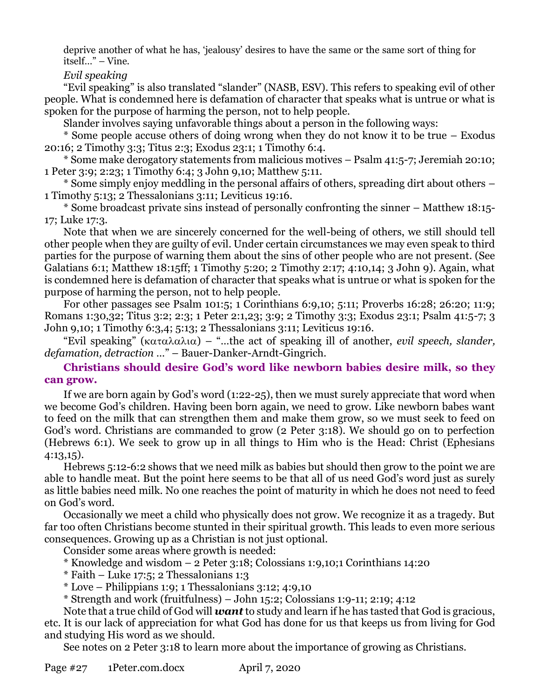deprive another of what he has, 'jealousy' desires to have the same or the same sort of thing for itself…" – Vine.

*Evil speaking*

"Evil speaking" is also translated "slander" (NASB, ESV). This refers to speaking evil of other people. What is condemned here is defamation of character that speaks what is untrue or what is spoken for the purpose of harming the person, not to help people.

Slander involves saying unfavorable things about a person in the following ways:

\* Some people accuse others of doing wrong when they do not know it to be true – Exodus 20:16; 2 Timothy 3:3; Titus 2:3; Exodus 23:1; 1 Timothy 6:4.

\* Some make derogatory statements from malicious motives – Psalm 41:5-7; Jeremiah 20:10; 1 Peter 3:9; 2:23; 1 Timothy 6:4; 3 John 9,10; Matthew 5:11.

\* Some simply enjoy meddling in the personal affairs of others, spreading dirt about others – 1 Timothy 5:13; 2 Thessalonians 3:11; Leviticus 19:16.

\* Some broadcast private sins instead of personally confronting the sinner – Matthew 18:15- 17; Luke 17:3.

Note that when we are sincerely concerned for the well-being of others, we still should tell other people when they are guilty of evil. Under certain circumstances we may even speak to third parties for the purpose of warning them about the sins of other people who are not present. (See Galatians 6:1; Matthew 18:15ff; 1 Timothy 5:20; 2 Timothy 2:17; 4:10,14; 3 John 9). Again, what is condemned here is defamation of character that speaks what is untrue or what is spoken for the purpose of harming the person, not to help people.

For other passages see Psalm 101:5; 1 Corinthians 6:9,10; 5:11; Proverbs 16:28; 26:20; 11:9; Romans 1:30,32; Titus 3:2; 2:3; 1 Peter 2:1,23; 3:9; 2 Timothy 3:3; Exodus 23:1; Psalm 41:5-7; 3 John 9,10; 1 Timothy 6:3,4; 5:13; 2 Thessalonians 3:11; Leviticus 19:16.

"Evil speaking" ( $\kappa \alpha \tau \alpha \lambda \alpha \lambda \alpha$ ) – "...the act of speaking ill of another, *evil speech, slander, defamation, detraction* …" – Bauer-Danker-Arndt-Gingrich.

**Christians should desire God's word like newborn babies desire milk, so they can grow.**

If we are born again by God's word (1:22-25), then we must surely appreciate that word when we become God's children. Having been born again, we need to grow. Like newborn babes want to feed on the milk that can strengthen them and make them grow, so we must seek to feed on God's word. Christians are commanded to grow (2 Peter 3:18). We should go on to perfection (Hebrews 6:1). We seek to grow up in all things to Him who is the Head: Christ (Ephesians 4:13,15).

Hebrews 5:12-6:2 shows that we need milk as babies but should then grow to the point we are able to handle meat. But the point here seems to be that all of us need God's word just as surely as little babies need milk. No one reaches the point of maturity in which he does not need to feed on God's word.

Occasionally we meet a child who physically does not grow. We recognize it as a tragedy. But far too often Christians become stunted in their spiritual growth. This leads to even more serious consequences. Growing up as a Christian is not just optional.

Consider some areas where growth is needed:

\* Knowledge and wisdom – 2 Peter 3:18; Colossians 1:9,10;1 Corinthians 14:20

 $*$  Faith – Luke 17:5; 2 Thessalonians 1:3

 $*$  Love – Philippians 1:9; 1 Thessalonians 3:12; 4:9,10

\* Strength and work (fruitfulness) – John 15:2; Colossians 1:9-11; 2:19; 4:12

Note that a true child of God will *want* to study and learn if he has tasted that God is gracious, etc. It is our lack of appreciation for what God has done for us that keeps us from living for God and studying His word as we should.

See notes on 2 Peter 3:18 to learn more about the importance of growing as Christians.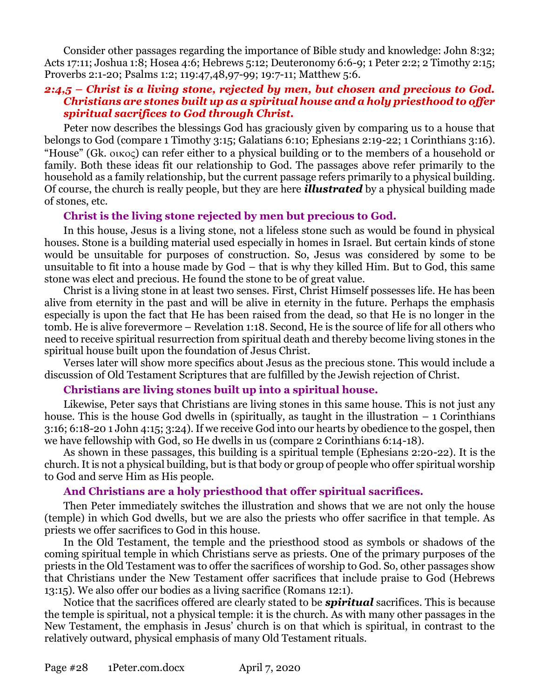Consider other passages regarding the importance of Bible study and knowledge: John 8:32; Acts 17:11; Joshua 1:8; Hosea 4:6; Hebrews 5:12; Deuteronomy 6:6-9; 1 Peter 2:2; 2 Timothy 2:15; Proverbs 2:1-20; Psalms 1:2; 119:47,48,97-99; 19:7-11; Matthew 5:6.

# *2:4,5 – Christ is a living stone, rejected by men, but chosen and precious to God. Christians are stones built up as a spiritual house and a holy priesthood to offer spiritual sacrifices to God through Christ.*

Peter now describes the blessings God has graciously given by comparing us to a house that belongs to God (compare 1 Timothy 3:15; Galatians 6:10; Ephesians 2:19-22; 1 Corinthians 3:16). "House" (Gk.  $\alpha$ <sub>ko</sub>) can refer either to a physical building or to the members of a household or family. Both these ideas fit our relationship to God. The passages above refer primarily to the household as a family relationship, but the current passage refers primarily to a physical building. Of course, the church is really people, but they are here *illustrated* by a physical building made of stones, etc.

# **Christ is the living stone rejected by men but precious to God.**

In this house, Jesus is a living stone, not a lifeless stone such as would be found in physical houses. Stone is a building material used especially in homes in Israel. But certain kinds of stone would be unsuitable for purposes of construction. So, Jesus was considered by some to be unsuitable to fit into a house made by God – that is why they killed Him. But to God, this same stone was elect and precious. He found the stone to be of great value.

Christ is a living stone in at least two senses. First, Christ Himself possesses life. He has been alive from eternity in the past and will be alive in eternity in the future. Perhaps the emphasis especially is upon the fact that He has been raised from the dead, so that He is no longer in the tomb. He is alive forevermore – Revelation 1:18. Second, He is the source of life for all others who need to receive spiritual resurrection from spiritual death and thereby become living stones in the spiritual house built upon the foundation of Jesus Christ.

Verses later will show more specifics about Jesus as the precious stone. This would include a discussion of Old Testament Scriptures that are fulfilled by the Jewish rejection of Christ.

## **Christians are living stones built up into a spiritual house.**

Likewise, Peter says that Christians are living stones in this same house. This is not just any house. This is the house God dwells in (spiritually, as taught in the illustration  $-1$  Corinthians 3:16; 6:18-20 1 John 4:15; 3:24). If we receive God into our hearts by obedience to the gospel, then we have fellowship with God, so He dwells in us (compare 2 Corinthians 6:14-18).

As shown in these passages, this building is a spiritual temple (Ephesians 2:20-22). It is the church. It is not a physical building, but is that body or group of people who offer spiritual worship to God and serve Him as His people.

# **And Christians are a holy priesthood that offer spiritual sacrifices.**

Then Peter immediately switches the illustration and shows that we are not only the house (temple) in which God dwells, but we are also the priests who offer sacrifice in that temple. As priests we offer sacrifices to God in this house.

In the Old Testament, the temple and the priesthood stood as symbols or shadows of the coming spiritual temple in which Christians serve as priests. One of the primary purposes of the priests in the Old Testament was to offer the sacrifices of worship to God. So, other passages show that Christians under the New Testament offer sacrifices that include praise to God (Hebrews 13:15). We also offer our bodies as a living sacrifice (Romans 12:1).

Notice that the sacrifices offered are clearly stated to be *spiritual* sacrifices. This is because the temple is spiritual, not a physical temple: it is the church. As with many other passages in the New Testament, the emphasis in Jesus' church is on that which is spiritual, in contrast to the relatively outward, physical emphasis of many Old Testament rituals.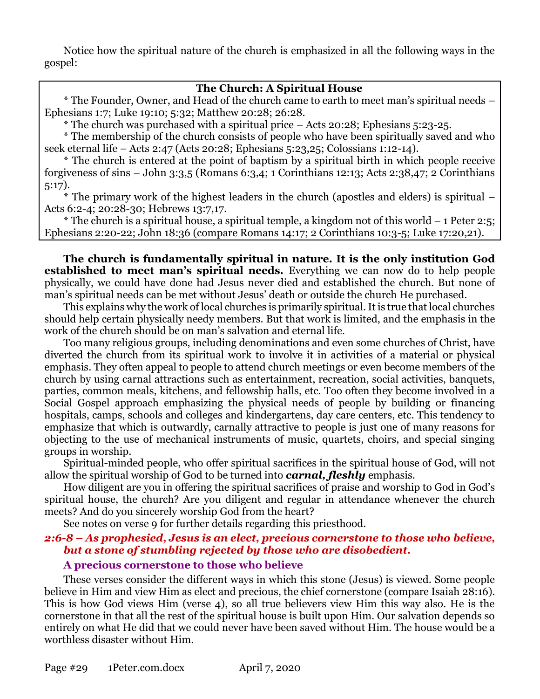Notice how the spiritual nature of the church is emphasized in all the following ways in the gospel:

# **The Church: A Spiritual House**

\* The Founder, Owner, and Head of the church came to earth to meet man's spiritual needs – Ephesians 1:7; Luke 19:10; 5:32; Matthew 20:28; 26:28.

\* The church was purchased with a spiritual price – Acts 20:28; Ephesians 5:23-25.

\* The membership of the church consists of people who have been spiritually saved and who seek eternal life – Acts 2:47 (Acts 20:28; Ephesians 5:23,25; Colossians 1:12-14).

\* The church is entered at the point of baptism by a spiritual birth in which people receive forgiveness of sins – John 3:3,5 (Romans 6:3,4; 1 Corinthians 12:13; Acts 2:38,47; 2 Corinthians 5:17).

\* The primary work of the highest leaders in the church (apostles and elders) is spiritual – Acts 6:2-4; 20:28-30; Hebrews 13:7,17.

\* The church is a spiritual house, a spiritual temple, a kingdom not of this world  $-1$  Peter 2:5; Ephesians 2:20-22; John 18:36 (compare Romans 14:17; 2 Corinthians 10:3-5; Luke 17:20,21).

**The church is fundamentally spiritual in nature. It is the only institution God established to meet man's spiritual needs.** Everything we can now do to help people physically, we could have done had Jesus never died and established the church. But none of man's spiritual needs can be met without Jesus' death or outside the church He purchased.

This explains why the work of local churches is primarily spiritual. It is true that local churches should help certain physically needy members. But that work is limited, and the emphasis in the work of the church should be on man's salvation and eternal life.

Too many religious groups, including denominations and even some churches of Christ, have diverted the church from its spiritual work to involve it in activities of a material or physical emphasis. They often appeal to people to attend church meetings or even become members of the church by using carnal attractions such as entertainment, recreation, social activities, banquets, parties, common meals, kitchens, and fellowship halls, etc. Too often they become involved in a Social Gospel approach emphasizing the physical needs of people by building or financing hospitals, camps, schools and colleges and kindergartens, day care centers, etc. This tendency to emphasize that which is outwardly, carnally attractive to people is just one of many reasons for objecting to the use of mechanical instruments of music, quartets, choirs, and special singing groups in worship.

Spiritual-minded people, who offer spiritual sacrifices in the spiritual house of God, will not allow the spiritual worship of God to be turned into *carnal, fleshly* emphasis.

How diligent are you in offering the spiritual sacrifices of praise and worship to God in God's spiritual house, the church? Are you diligent and regular in attendance whenever the church meets? And do you sincerely worship God from the heart?

See notes on verse 9 for further details regarding this priesthood.

# *2:6-8 – As prophesied, Jesus is an elect, precious cornerstone to those who believe, but a stone of stumbling rejected by those who are disobedient.* **A precious cornerstone to those who believe**

These verses consider the different ways in which this stone (Jesus) is viewed. Some people believe in Him and view Him as elect and precious, the chief cornerstone (compare Isaiah 28:16). This is how God views Him (verse 4), so all true believers view Him this way also. He is the cornerstone in that all the rest of the spiritual house is built upon Him. Our salvation depends so entirely on what He did that we could never have been saved without Him. The house would be a worthless disaster without Him.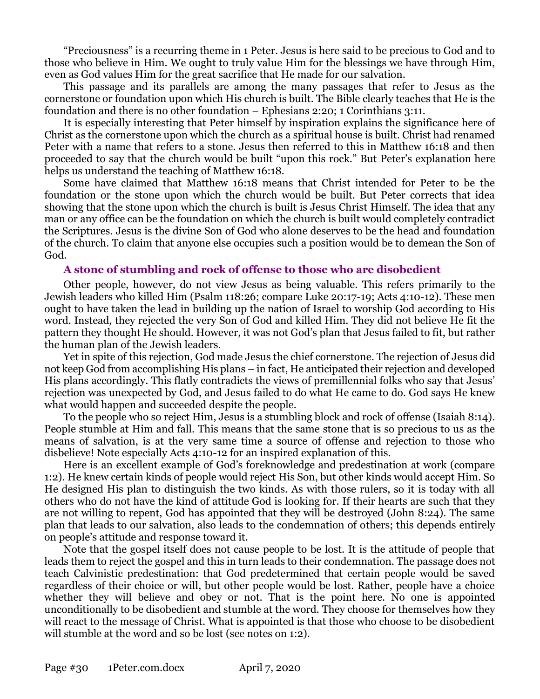"Preciousness" is a recurring theme in 1 Peter. Jesus is here said to be precious to God and to those who believe in Him. We ought to truly value Him for the blessings we have through Him, even as God values Him for the great sacrifice that He made for our salvation.

This passage and its parallels are among the many passages that refer to Jesus as the cornerstone or foundation upon which His church is built. The Bible clearly teaches that He is the foundation and there is no other foundation – Ephesians 2:20; 1 Corinthians 3:11.

It is especially interesting that Peter himself by inspiration explains the significance here of Christ as the cornerstone upon which the church as a spiritual house is built. Christ had renamed Peter with a name that refers to a stone. Jesus then referred to this in Matthew 16:18 and then proceeded to say that the church would be built "upon this rock." But Peter's explanation here helps us understand the teaching of Matthew 16:18.

Some have claimed that Matthew 16:18 means that Christ intended for Peter to be the foundation or the stone upon which the church would be built. But Peter corrects that idea showing that the stone upon which the church is built is Jesus Christ Himself. The idea that any man or any office can be the foundation on which the church is built would completely contradict the Scriptures. Jesus is the divine Son of God who alone deserves to be the head and foundation of the church. To claim that anyone else occupies such a position would be to demean the Son of God.

#### **A stone of stumbling and rock of offense to those who are disobedient**

Other people, however, do not view Jesus as being valuable. This refers primarily to the Jewish leaders who killed Him (Psalm 118:26; compare Luke 20:17-19; Acts 4:10-12). These men ought to have taken the lead in building up the nation of Israel to worship God according to His word. Instead, they rejected the very Son of God and killed Him. They did not believe He fit the pattern they thought He should. However, it was not God's plan that Jesus failed to fit, but rather the human plan of the Jewish leaders.

Yet in spite of this rejection, God made Jesus the chief cornerstone. The rejection of Jesus did not keep God from accomplishing His plans – in fact, He anticipated their rejection and developed His plans accordingly. This flatly contradicts the views of premillennial folks who say that Jesus' rejection was unexpected by God, and Jesus failed to do what He came to do. God says He knew what would happen and succeeded despite the people.

To the people who so reject Him, Jesus is a stumbling block and rock of offense (Isaiah 8:14). People stumble at Him and fall. This means that the same stone that is so precious to us as the means of salvation, is at the very same time a source of offense and rejection to those who disbelieve! Note especially Acts 4:10-12 for an inspired explanation of this.

Here is an excellent example of God's foreknowledge and predestination at work (compare 1:2). He knew certain kinds of people would reject His Son, but other kinds would accept Him. So He designed His plan to distinguish the two kinds. As with those rulers, so it is today with all others who do not have the kind of attitude God is looking for. If their hearts are such that they are not willing to repent, God has appointed that they will be destroyed (John 8:24). The same plan that leads to our salvation, also leads to the condemnation of others; this depends entirely on people's attitude and response toward it.

Note that the gospel itself does not cause people to be lost. It is the attitude of people that leads them to reject the gospel and this in turn leads to their condemnation. The passage does not teach Calvinistic predestination: that God predetermined that certain people would be saved regardless of their choice or will, but other people would be lost. Rather, people have a choice whether they will believe and obey or not. That is the point here. No one is appointed unconditionally to be disobedient and stumble at the word. They choose for themselves how they will react to the message of Christ. What is appointed is that those who choose to be disobedient will stumble at the word and so be lost (see notes on 1:2).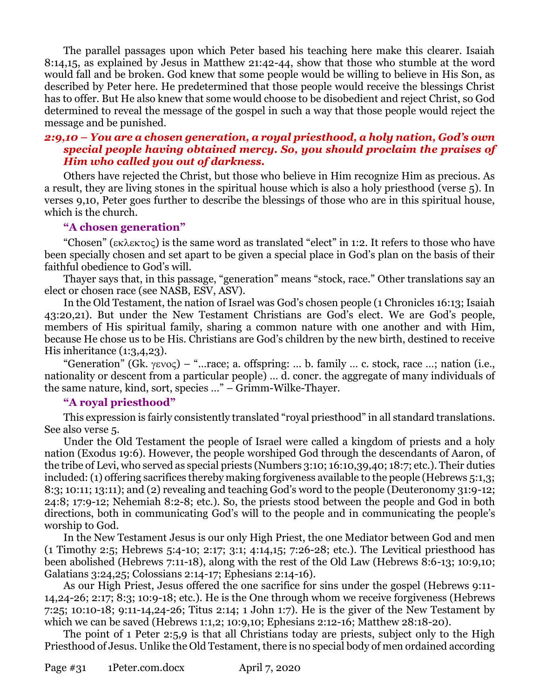The parallel passages upon which Peter based his teaching here make this clearer. Isaiah 8:14,15, as explained by Jesus in Matthew 21:42-44, show that those who stumble at the word would fall and be broken. God knew that some people would be willing to believe in His Son, as described by Peter here. He predetermined that those people would receive the blessings Christ has to offer. But He also knew that some would choose to be disobedient and reject Christ, so God determined to reveal the message of the gospel in such a way that those people would reject the message and be punished.

## *2:9,10 – You are a chosen generation, a royal priesthood, a holy nation, God's own special people having obtained mercy. So, you should proclaim the praises of Him who called you out of darkness.*

Others have rejected the Christ, but those who believe in Him recognize Him as precious. As a result, they are living stones in the spiritual house which is also a holy priesthood (verse 5). In verses 9,10, Peter goes further to describe the blessings of those who are in this spiritual house, which is the church.

#### **"A chosen generation"**

"Chosen" ( $\epsilon \kappa \lambda \epsilon \kappa \tau$ o $\varsigma$ ) is the same word as translated "elect" in 1:2. It refers to those who have been specially chosen and set apart to be given a special place in God's plan on the basis of their faithful obedience to God's will.

Thayer says that, in this passage, "generation" means "stock, race." Other translations say an elect or chosen race (see NASB, ESV, ASV).

In the Old Testament, the nation of Israel was God's chosen people (1 Chronicles 16:13; Isaiah 43:20,21). But under the New Testament Christians are God's elect. We are God's people, members of His spiritual family, sharing a common nature with one another and with Him, because He chose us to be His. Christians are God's children by the new birth, destined to receive His inheritance (1:3,4,23).

"Generation" (Gk.  $\gamma$ ενος) – "...race; a. offspring: ... b. family ... c. stock, race ...; nation (i.e., nationality or descent from a particular people) … d. concr. the aggregate of many individuals of the same nature, kind, sort, species …" – Grimm-Wilke-Thayer.

## **"A royal priesthood"**

This expression is fairly consistently translated "royal priesthood" in all standard translations. See also verse 5.

Under the Old Testament the people of Israel were called a kingdom of priests and a holy nation (Exodus 19:6). However, the people worshiped God through the descendants of Aaron, of the tribe of Levi, who served as special priests (Numbers 3:10; 16:10,39,40; 18:7; etc.). Their duties included: (1) offering sacrifices thereby making forgiveness available to the people (Hebrews 5:1,3; 8:3; 10:11; 13:11); and (2) revealing and teaching God's word to the people (Deuteronomy 31:9-12; 24:8; 17:9-12; Nehemiah 8:2-8; etc.). So, the priests stood between the people and God in both directions, both in communicating God's will to the people and in communicating the people's worship to God.

In the New Testament Jesus is our only High Priest, the one Mediator between God and men (1 Timothy 2:5; Hebrews 5:4-10; 2:17; 3:1; 4:14,15; 7:26-28; etc.). The Levitical priesthood has been abolished (Hebrews 7:11-18), along with the rest of the Old Law (Hebrews 8:6-13; 10:9,10; Galatians 3:24,25; Colossians 2:14-17; Ephesians 2:14-16).

As our High Priest, Jesus offered the one sacrifice for sins under the gospel (Hebrews 9:11- 14,24-26; 2:17; 8:3; 10:9-18; etc.). He is the One through whom we receive forgiveness (Hebrews 7:25; 10:10-18; 9:11-14,24-26; Titus 2:14; 1 John 1:7). He is the giver of the New Testament by which we can be saved (Hebrews 1:1,2; 10:9,10; Ephesians 2:12-16; Matthew 28:18-20).

The point of 1 Peter 2:5,9 is that all Christians today are priests, subject only to the High Priesthood of Jesus. Unlike the Old Testament, there is no special body of men ordained according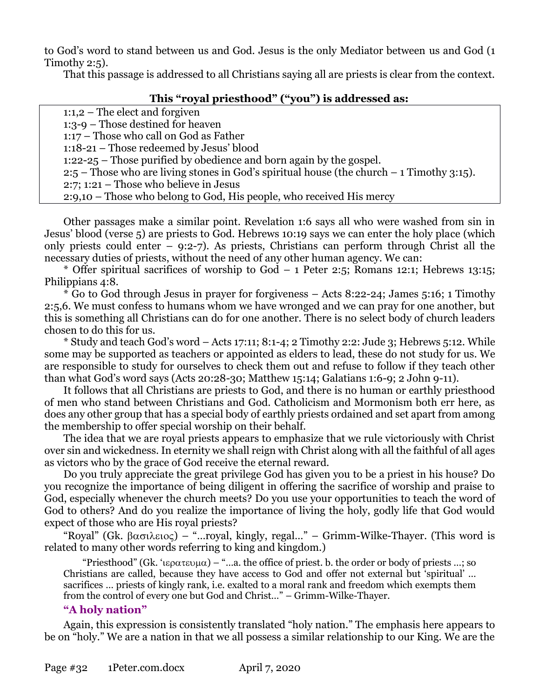to God's word to stand between us and God. Jesus is the only Mediator between us and God (1 Timothy 2:5).

That this passage is addressed to all Christians saying all are priests is clear from the context.

# **This "royal priesthood" ("you") is addressed as:**

1:1,2 – The elect and forgiven 1:3-9 – Those destined for heaven 1:17 – Those who call on God as Father 1:18-21 – Those redeemed by Jesus' blood 1:22-25 – Those purified by obedience and born again by the gospel. 2:5 – Those who are living stones in God's spiritual house (the church – 1 Timothy 3:15). 2:7; 1:21 – Those who believe in Jesus 2:9,10 – Those who belong to God, His people, who received His mercy

Other passages make a similar point. Revelation 1:6 says all who were washed from sin in Jesus' blood (verse 5) are priests to God. Hebrews 10:19 says we can enter the holy place (which only priests could enter – 9:2-7). As priests, Christians can perform through Christ all the necessary duties of priests, without the need of any other human agency. We can:

\* Offer spiritual sacrifices of worship to God  $-1$  Peter 2:5; Romans 12:1; Hebrews 13:15; Philippians 4:8.

\* Go to God through Jesus in prayer for forgiveness – Acts 8:22-24; James 5:16; 1 Timothy 2:5,6. We must confess to humans whom we have wronged and we can pray for one another, but this is something all Christians can do for one another. There is no select body of church leaders chosen to do this for us.

\* Study and teach God's word – Acts 17:11; 8:1-4; 2 Timothy 2:2: Jude 3; Hebrews 5:12. While some may be supported as teachers or appointed as elders to lead, these do not study for us. We are responsible to study for ourselves to check them out and refuse to follow if they teach other than what God's word says (Acts 20:28-30; Matthew 15:14; Galatians 1:6-9; 2 John 9-11).

It follows that all Christians are priests to God, and there is no human or earthly priesthood of men who stand between Christians and God. Catholicism and Mormonism both err here, as does any other group that has a special body of earthly priests ordained and set apart from among the membership to offer special worship on their behalf.

The idea that we are royal priests appears to emphasize that we rule victoriously with Christ over sin and wickedness. In eternity we shall reign with Christ along with all the faithful of all ages as victors who by the grace of God receive the eternal reward.

Do you truly appreciate the great privilege God has given you to be a priest in his house? Do you recognize the importance of being diligent in offering the sacrifice of worship and praise to God, especially whenever the church meets? Do you use your opportunities to teach the word of God to others? And do you realize the importance of living the holy, godly life that God would expect of those who are His royal priests?

"Royal" (Gk.  $\beta \alpha \sigma \lambda \epsilon \omega \varsigma$ ) – "...royal, kingly, regal..." – Grimm-Wilke-Thayer. (This word is related to many other words referring to king and kingdom.)

"Priesthood" (Gk. ' $i\epsilon \rho \alpha \tau \epsilon \nu \mu \alpha$ ) – "...a. the office of priest. b. the order or body of priests ...; so Christians are called, because they have access to God and offer not external but 'spiritual' … sacrifices … priests of kingly rank, i.e. exalted to a moral rank and freedom which exempts them from the control of every one but God and Christ…" – Grimm-Wilke-Thayer.

# **"A holy nation"**

Again, this expression is consistently translated "holy nation." The emphasis here appears to be on "holy." We are a nation in that we all possess a similar relationship to our King. We are the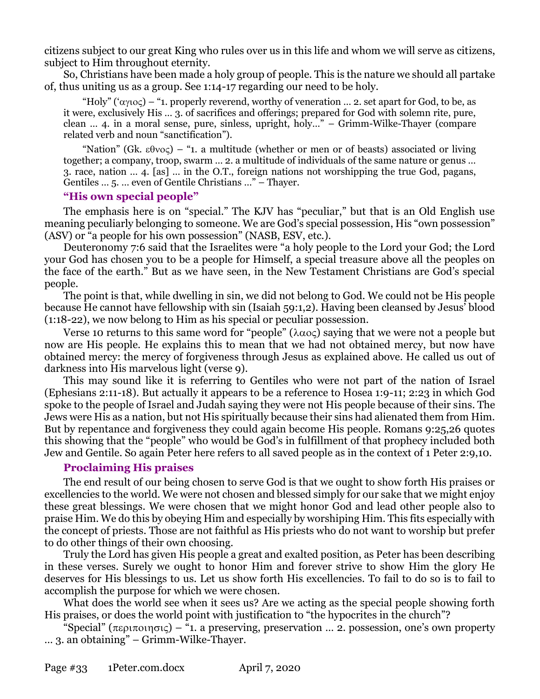citizens subject to our great King who rules over us in this life and whom we will serve as citizens, subject to Him throughout eternity.

So, Christians have been made a holy group of people. This is the nature we should all partake of, thus uniting us as a group. See 1:14-17 regarding our need to be holy.

"Holy" (' $\alpha y_1 \circ c$ ) – "1. properly reverend, worthy of veneration ... 2. set apart for God, to be, as it were, exclusively His … 3. of sacrifices and offerings; prepared for God with solemn rite, pure, clean … 4. in a moral sense, pure, sinless, upright, holy…" – Grimm-Wilke-Thayer (compare related verb and noun "sanctification").

"Nation" (Gk.  $\epsilon \theta v \circ \zeta$ ) – "1. a multitude (whether or men or of beasts) associated or living together; a company, troop, swarm … 2. a multitude of individuals of the same nature or genus … 3. race, nation … 4. [as] … in the O.T., foreign nations not worshipping the true God, pagans, Gentiles … 5. … even of Gentile Christians …" – Thayer.

#### **"His own special people"**

The emphasis here is on "special." The KJV has "peculiar," but that is an Old English use meaning peculiarly belonging to someone. We are God's special possession, His "own possession" (ASV) or "a people for his own possession" (NASB, ESV, etc.).

Deuteronomy 7:6 said that the Israelites were "a holy people to the Lord your God; the Lord your God has chosen you to be a people for Himself, a special treasure above all the peoples on the face of the earth." But as we have seen, in the New Testament Christians are God's special people.

The point is that, while dwelling in sin, we did not belong to God. We could not be His people because He cannot have fellowship with sin (Isaiah 59:1,2). Having been cleansed by Jesus' blood (1:18-22), we now belong to Him as his special or peculiar possession.

Verse 10 returns to this same word for "people" ( $\lambda \alpha o \varsigma$ ) saying that we were not a people but now are His people. He explains this to mean that we had not obtained mercy, but now have obtained mercy: the mercy of forgiveness through Jesus as explained above. He called us out of darkness into His marvelous light (verse 9).

This may sound like it is referring to Gentiles who were not part of the nation of Israel (Ephesians 2:11-18). But actually it appears to be a reference to Hosea 1:9-11; 2:23 in which God spoke to the people of Israel and Judah saying they were not His people because of their sins. The Jews were His as a nation, but not His spiritually because their sins had alienated them from Him. But by repentance and forgiveness they could again become His people. Romans 9:25,26 quotes this showing that the "people" who would be God's in fulfillment of that prophecy included both Jew and Gentile. So again Peter here refers to all saved people as in the context of 1 Peter 2:9,10.

## **Proclaiming His praises**

The end result of our being chosen to serve God is that we ought to show forth His praises or excellencies to the world. We were not chosen and blessed simply for our sake that we might enjoy these great blessings. We were chosen that we might honor God and lead other people also to praise Him. We do this by obeying Him and especially by worshiping Him. This fits especially with the concept of priests. Those are not faithful as His priests who do not want to worship but prefer to do other things of their own choosing.

Truly the Lord has given His people a great and exalted position, as Peter has been describing in these verses. Surely we ought to honor Him and forever strive to show Him the glory He deserves for His blessings to us. Let us show forth His excellencies. To fail to do so is to fail to accomplish the purpose for which we were chosen.

What does the world see when it sees us? Are we acting as the special people showing forth His praises, or does the world point with justification to "the hypocrites in the church"?

"Special" ( $\pi \epsilon \rho \pi o(\eta \sigma \zeta)$  – "1. a preserving, preservation ... 2. possession, one's own property … 3. an obtaining" – Grimm-Wilke-Thayer.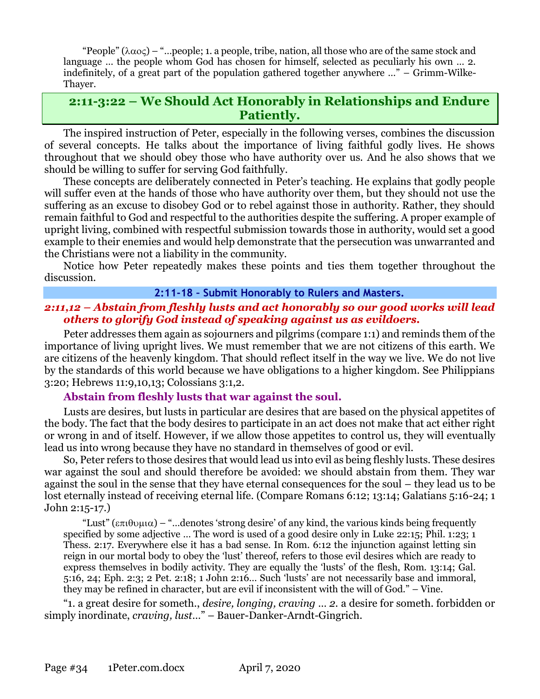"People"  $(\lambda \alpha o\varsigma)$  – "...people; 1. a people, tribe, nation, all those who are of the same stock and language … the people whom God has chosen for himself, selected as peculiarly his own … 2. indefinitely, of a great part of the population gathered together anywhere …" – Grimm-Wilke-Thayer.

# **2:11-3:22 – We Should Act Honorably in Relationships and Endure Patiently.**

The inspired instruction of Peter, especially in the following verses, combines the discussion of several concepts. He talks about the importance of living faithful godly lives. He shows throughout that we should obey those who have authority over us. And he also shows that we should be willing to suffer for serving God faithfully.

These concepts are deliberately connected in Peter's teaching. He explains that godly people will suffer even at the hands of those who have authority over them, but they should not use the suffering as an excuse to disobey God or to rebel against those in authority. Rather, they should remain faithful to God and respectful to the authorities despite the suffering. A proper example of upright living, combined with respectful submission towards those in authority, would set a good example to their enemies and would help demonstrate that the persecution was unwarranted and the Christians were not a liability in the community.

Notice how Peter repeatedly makes these points and ties them together throughout the discussion.

#### **2:11-18 – Submit Honorably to Rulers and Masters.**

## *2:11,12 – Abstain from fleshly lusts and act honorably so our good works will lead others to glorify God instead of speaking against us as evildoers.*

Peter addresses them again as sojourners and pilgrims (compare 1:1) and reminds them of the importance of living upright lives. We must remember that we are not citizens of this earth. We are citizens of the heavenly kingdom. That should reflect itself in the way we live. We do not live by the standards of this world because we have obligations to a higher kingdom. See Philippians 3:20; Hebrews 11:9,10,13; Colossians 3:1,2.

## **Abstain from fleshly lusts that war against the soul.**

Lusts are desires, but lusts in particular are desires that are based on the physical appetites of the body. The fact that the body desires to participate in an act does not make that act either right or wrong in and of itself. However, if we allow those appetites to control us, they will eventually lead us into wrong because they have no standard in themselves of good or evil.

So, Peter refers to those desires that would lead us into evil as being fleshly lusts. These desires war against the soul and should therefore be avoided: we should abstain from them. They war against the soul in the sense that they have eternal consequences for the soul – they lead us to be lost eternally instead of receiving eternal life. (Compare Romans 6:12; 13:14; Galatians 5:16-24; 1 John 2:15-17.)

"Lust" ( $\epsilon \pi i \theta \nu \mu \alpha$ ) – "...denotes 'strong desire' of any kind, the various kinds being frequently specified by some adjective … The word is used of a good desire only in Luke 22:15; Phil. 1:23; 1 Thess. 2:17. Everywhere else it has a bad sense. In Rom. 6:12 the injunction against letting sin reign in our mortal body to obey the 'lust' thereof, refers to those evil desires which are ready to express themselves in bodily activity. They are equally the 'lusts' of the flesh, Rom. 13:14; Gal. 5:16, 24; Eph. 2:3; 2 Pet. 2:18; 1 John 2:16… Such 'lusts' are not necessarily base and immoral, they may be refined in character, but are evil if inconsistent with the will of God." – Vine.

"1. a great desire for someth., *desire, longing, craving … 2.* a desire for someth. forbidden or simply inordinate, *craving, lust*…" – Bauer-Danker-Arndt-Gingrich.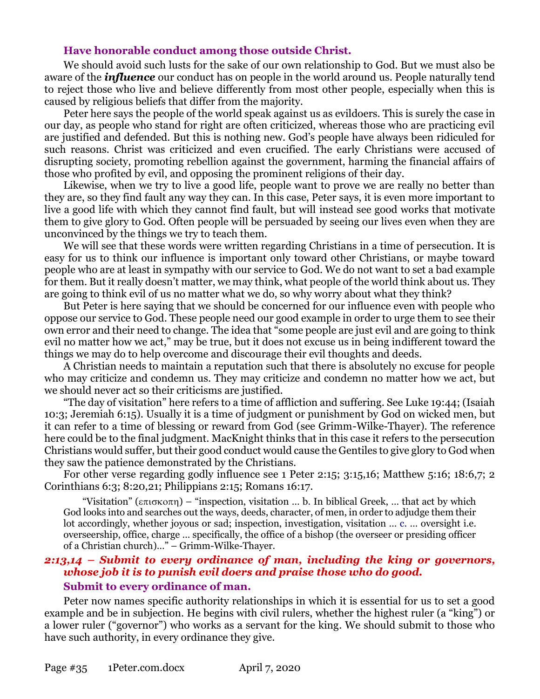#### **Have honorable conduct among those outside Christ.**

We should avoid such lusts for the sake of our own relationship to God. But we must also be aware of the *influence* our conduct has on people in the world around us. People naturally tend to reject those who live and believe differently from most other people, especially when this is caused by religious beliefs that differ from the majority.

Peter here says the people of the world speak against us as evildoers. This is surely the case in our day, as people who stand for right are often criticized, whereas those who are practicing evil are justified and defended. But this is nothing new. God's people have always been ridiculed for such reasons. Christ was criticized and even crucified. The early Christians were accused of disrupting society, promoting rebellion against the government, harming the financial affairs of those who profited by evil, and opposing the prominent religions of their day.

Likewise, when we try to live a good life, people want to prove we are really no better than they are, so they find fault any way they can. In this case, Peter says, it is even more important to live a good life with which they cannot find fault, but will instead see good works that motivate them to give glory to God. Often people will be persuaded by seeing our lives even when they are unconvinced by the things we try to teach them.

We will see that these words were written regarding Christians in a time of persecution. It is easy for us to think our influence is important only toward other Christians, or maybe toward people who are at least in sympathy with our service to God. We do not want to set a bad example for them. But it really doesn't matter, we may think, what people of the world think about us. They are going to think evil of us no matter what we do, so why worry about what they think?

But Peter is here saying that we should be concerned for our influence even with people who oppose our service to God. These people need our good example in order to urge them to see their own error and their need to change. The idea that "some people are just evil and are going to think evil no matter how we act," may be true, but it does not excuse us in being indifferent toward the things we may do to help overcome and discourage their evil thoughts and deeds.

A Christian needs to maintain a reputation such that there is absolutely no excuse for people who may criticize and condemn us. They may criticize and condemn no matter how we act, but we should never act so their criticisms are justified.

"The day of visitation" here refers to a time of affliction and suffering. See Luke 19:44; (Isaiah 10:3; Jeremiah 6:15). Usually it is a time of judgment or punishment by God on wicked men, but it can refer to a time of blessing or reward from God (see Grimm-Wilke-Thayer). The reference here could be to the final judgment. MacKnight thinks that in this case it refers to the persecution Christians would suffer, but their good conduct would cause the Gentiles to give glory to God when they saw the patience demonstrated by the Christians.

For other verse regarding godly influence see 1 Peter 2:15; 3:15,16; Matthew 5:16; 18:6,7; 2 Corinthians 6:3; 8:20,21; Philippians 2:15; Romans 16:17.

"Visitation" ( $\epsilon \pi i \sigma \kappa$ ) – "inspection, visitation ... b. In biblical Greek, ... that act by which God looks into and searches out the ways, deeds, character, of men, in order to adjudge them their lot accordingly, whether joyous or sad; inspection, investigation, visitation … c. … oversight i.e. overseership, office, charge … specifically, the office of a bishop (the overseer or presiding officer of a Christian church)…" – Grimm-Wilke-Thayer.

# *2:13,14 – Submit to every ordinance of man, including the king or governors, whose job it is to punish evil doers and praise those who do good.*  **Submit to every ordinance of man.**

Peter now names specific authority relationships in which it is essential for us to set a good example and be in subjection. He begins with civil rulers, whether the highest ruler (a "king") or a lower ruler ("governor") who works as a servant for the king. We should submit to those who have such authority, in every ordinance they give.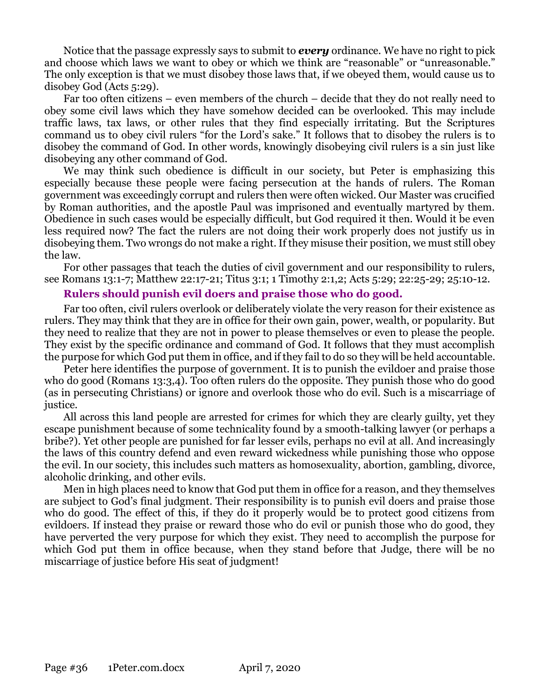Notice that the passage expressly says to submit to *every* ordinance. We have no right to pick and choose which laws we want to obey or which we think are "reasonable" or "unreasonable." The only exception is that we must disobey those laws that, if we obeyed them, would cause us to disobey God (Acts 5:29).

Far too often citizens – even members of the church – decide that they do not really need to obey some civil laws which they have somehow decided can be overlooked. This may include traffic laws, tax laws, or other rules that they find especially irritating. But the Scriptures command us to obey civil rulers "for the Lord's sake." It follows that to disobey the rulers is to disobey the command of God. In other words, knowingly disobeying civil rulers is a sin just like disobeying any other command of God.

We may think such obedience is difficult in our society, but Peter is emphasizing this especially because these people were facing persecution at the hands of rulers. The Roman government was exceedingly corrupt and rulers then were often wicked. Our Master was crucified by Roman authorities, and the apostle Paul was imprisoned and eventually martyred by them. Obedience in such cases would be especially difficult, but God required it then. Would it be even less required now? The fact the rulers are not doing their work properly does not justify us in disobeying them. Two wrongs do not make a right. If they misuse their position, we must still obey the law.

For other passages that teach the duties of civil government and our responsibility to rulers, see Romans 13:1-7; Matthew 22:17-21; Titus 3:1; 1 Timothy 2:1,2; Acts 5:29; 22:25-29; 25:10-12.

## **Rulers should punish evil doers and praise those who do good.**

Far too often, civil rulers overlook or deliberately violate the very reason for their existence as rulers. They may think that they are in office for their own gain, power, wealth, or popularity. But they need to realize that they are not in power to please themselves or even to please the people. They exist by the specific ordinance and command of God. It follows that they must accomplish the purpose for which God put them in office, and if they fail to do so they will be held accountable.

Peter here identifies the purpose of government. It is to punish the evildoer and praise those who do good (Romans 13:3,4). Too often rulers do the opposite. They punish those who do good (as in persecuting Christians) or ignore and overlook those who do evil. Such is a miscarriage of justice.

All across this land people are arrested for crimes for which they are clearly guilty, yet they escape punishment because of some technicality found by a smooth-talking lawyer (or perhaps a bribe?). Yet other people are punished for far lesser evils, perhaps no evil at all. And increasingly the laws of this country defend and even reward wickedness while punishing those who oppose the evil. In our society, this includes such matters as homosexuality, abortion, gambling, divorce, alcoholic drinking, and other evils.

Men in high places need to know that God put them in office for a reason, and they themselves are subject to God's final judgment. Their responsibility is to punish evil doers and praise those who do good. The effect of this, if they do it properly would be to protect good citizens from evildoers. If instead they praise or reward those who do evil or punish those who do good, they have perverted the very purpose for which they exist. They need to accomplish the purpose for which God put them in office because, when they stand before that Judge, there will be no miscarriage of justice before His seat of judgment!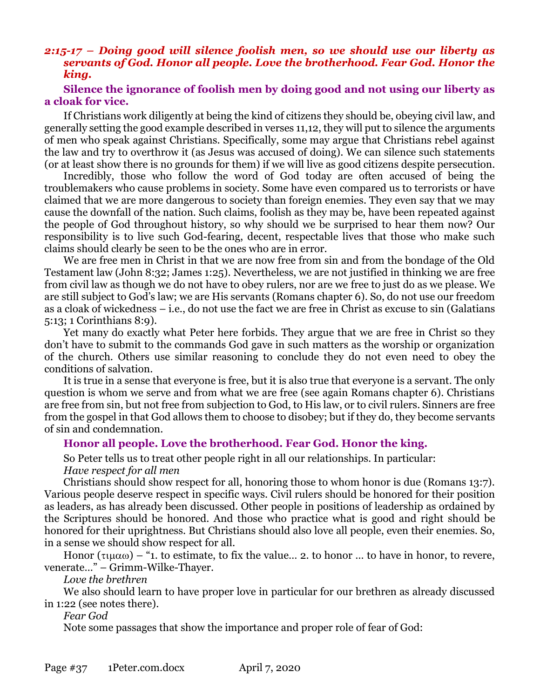## *2:15-17 – Doing good will silence foolish men, so we should use our liberty as servants of God. Honor all people. Love the brotherhood. Fear God. Honor the king.*

## **Silence the ignorance of foolish men by doing good and not using our liberty as a cloak for vice.**

If Christians work diligently at being the kind of citizens they should be, obeying civil law, and generally setting the good example described in verses 11,12, they will put to silence the arguments of men who speak against Christians. Specifically, some may argue that Christians rebel against the law and try to overthrow it (as Jesus was accused of doing). We can silence such statements (or at least show there is no grounds for them) if we will live as good citizens despite persecution.

Incredibly, those who follow the word of God today are often accused of being the troublemakers who cause problems in society. Some have even compared us to terrorists or have claimed that we are more dangerous to society than foreign enemies. They even say that we may cause the downfall of the nation. Such claims, foolish as they may be, have been repeated against the people of God throughout history, so why should we be surprised to hear them now? Our responsibility is to live such God-fearing, decent, respectable lives that those who make such claims should clearly be seen to be the ones who are in error.

We are free men in Christ in that we are now free from sin and from the bondage of the Old Testament law (John 8:32; James 1:25). Nevertheless, we are not justified in thinking we are free from civil law as though we do not have to obey rulers, nor are we free to just do as we please. We are still subject to God's law; we are His servants (Romans chapter 6). So, do not use our freedom as a cloak of wickedness – i.e., do not use the fact we are free in Christ as excuse to sin (Galatians 5:13; 1 Corinthians 8:9).

Yet many do exactly what Peter here forbids. They argue that we are free in Christ so they don't have to submit to the commands God gave in such matters as the worship or organization of the church. Others use similar reasoning to conclude they do not even need to obey the conditions of salvation.

It is true in a sense that everyone is free, but it is also true that everyone is a servant. The only question is whom we serve and from what we are free (see again Romans chapter 6). Christians are free from sin, but not free from subjection to God, to His law, or to civil rulers. Sinners are free from the gospel in that God allows them to choose to disobey; but if they do, they become servants of sin and condemnation.

## **Honor all people. Love the brotherhood. Fear God. Honor the king.**

So Peter tells us to treat other people right in all our relationships. In particular: *Have respect for all men* 

Christians should show respect for all, honoring those to whom honor is due (Romans 13:7). Various people deserve respect in specific ways. Civil rulers should be honored for their position as leaders, as has already been discussed. Other people in positions of leadership as ordained by the Scriptures should be honored. And those who practice what is good and right should be honored for their uprightness. But Christians should also love all people, even their enemies. So, in a sense we should show respect for all.

Honor ( $\tau$ μαω) – "1. to estimate, to fix the value... 2. to honor ... to have in honor, to revere, venerate…" – Grimm-Wilke-Thayer.

*Love the brethren* 

We also should learn to have proper love in particular for our brethren as already discussed in 1:22 (see notes there).

*Fear God* 

Note some passages that show the importance and proper role of fear of God: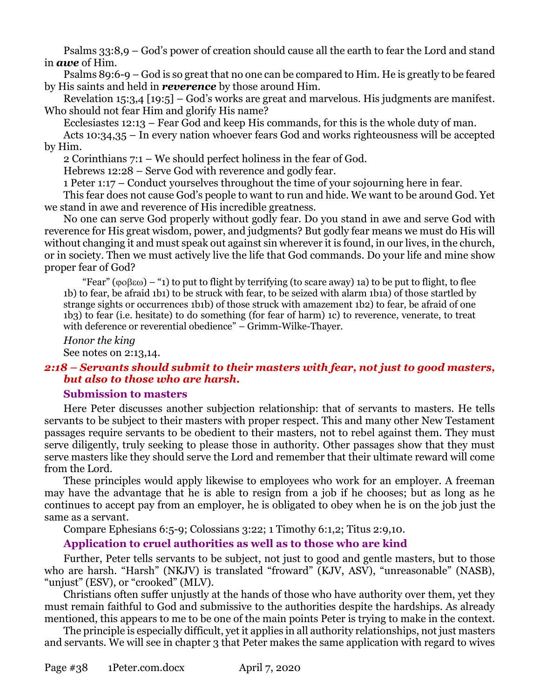Psalms 33:8,9 – God's power of creation should cause all the earth to fear the Lord and stand in *awe* of Him.

Psalms 89:6-9 – God is so great that no one can be compared to Him. He is greatly to be feared by His saints and held in *reverence* by those around Him.

Revelation 15:3,4 [19:5] – God's works are great and marvelous. His judgments are manifest. Who should not fear Him and glorify His name?

Ecclesiastes 12:13 – Fear God and keep His commands, for this is the whole duty of man.

Acts 10:34,35 – In every nation whoever fears God and works righteousness will be accepted by Him.

2 Corinthians 7:1 – We should perfect holiness in the fear of God.

Hebrews 12:28 – Serve God with reverence and godly fear.

1 Peter 1:17 – Conduct yourselves throughout the time of your sojourning here in fear.

This fear does not cause God's people to want to run and hide. We want to be around God. Yet we stand in awe and reverence of His incredible greatness.

No one can serve God properly without godly fear. Do you stand in awe and serve God with reverence for His great wisdom, power, and judgments? But godly fear means we must do His will without changing it and must speak out against sin wherever it is found, in our lives, in the church, or in society. Then we must actively live the life that God commands. Do your life and mine show proper fear of God?

"Fear" ( $\phi$  $\phi$  $\beta$  $\infty$ ) – "1) to put to flight by terrifying (to scare away) 1a) to be put to flight, to flee 1b) to fear, be afraid 1b1) to be struck with fear, to be seized with alarm 1b1a) of those startled by strange sights or occurrences 1b1b) of those struck with amazement 1b2) to fear, be afraid of one 1b3) to fear (i.e. hesitate) to do something (for fear of harm) 1c) to reverence, venerate, to treat with deference or reverential obedience" – Grimm-Wilke-Thayer.

*Honor the king* See notes on 2:13,14.

## *2:18 – Servants should submit to their masters with fear, not just to good masters, but also to those who are harsh.*

## **Submission to masters**

Here Peter discusses another subjection relationship: that of servants to masters. He tells servants to be subject to their masters with proper respect. This and many other New Testament passages require servants to be obedient to their masters, not to rebel against them. They must serve diligently, truly seeking to please those in authority. Other passages show that they must serve masters like they should serve the Lord and remember that their ultimate reward will come from the Lord.

These principles would apply likewise to employees who work for an employer. A freeman may have the advantage that he is able to resign from a job if he chooses; but as long as he continues to accept pay from an employer, he is obligated to obey when he is on the job just the same as a servant.

Compare Ephesians 6:5-9; Colossians 3:22; 1 Timothy 6:1,2; Titus 2:9,10.

## **Application to cruel authorities as well as to those who are kind**

Further, Peter tells servants to be subject, not just to good and gentle masters, but to those who are harsh. "Harsh" (NKJV) is translated "froward" (KJV, ASV), "unreasonable" (NASB), "unjust" (ESV), or "crooked" (MLV).

Christians often suffer unjustly at the hands of those who have authority over them, yet they must remain faithful to God and submissive to the authorities despite the hardships. As already mentioned, this appears to me to be one of the main points Peter is trying to make in the context.

The principle is especially difficult, yet it applies in all authority relationships, not just masters and servants. We will see in chapter 3 that Peter makes the same application with regard to wives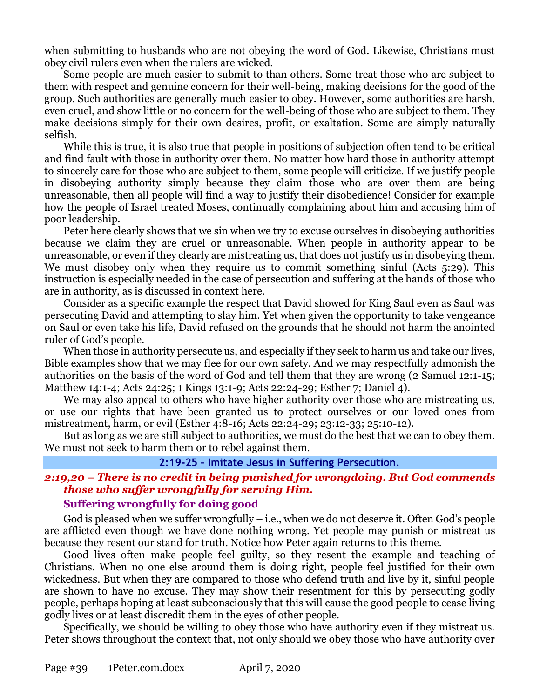when submitting to husbands who are not obeying the word of God. Likewise, Christians must obey civil rulers even when the rulers are wicked.

Some people are much easier to submit to than others. Some treat those who are subject to them with respect and genuine concern for their well-being, making decisions for the good of the group. Such authorities are generally much easier to obey. However, some authorities are harsh, even cruel, and show little or no concern for the well-being of those who are subject to them. They make decisions simply for their own desires, profit, or exaltation. Some are simply naturally selfish.

While this is true, it is also true that people in positions of subjection often tend to be critical and find fault with those in authority over them. No matter how hard those in authority attempt to sincerely care for those who are subject to them, some people will criticize. If we justify people in disobeying authority simply because they claim those who are over them are being unreasonable, then all people will find a way to justify their disobedience! Consider for example how the people of Israel treated Moses, continually complaining about him and accusing him of poor leadership.

Peter here clearly shows that we sin when we try to excuse ourselves in disobeying authorities because we claim they are cruel or unreasonable. When people in authority appear to be unreasonable, or even if they clearly are mistreating us, that does not justify us in disobeying them. We must disobey only when they require us to commit something sinful (Acts 5:29). This instruction is especially needed in the case of persecution and suffering at the hands of those who are in authority, as is discussed in context here.

Consider as a specific example the respect that David showed for King Saul even as Saul was persecuting David and attempting to slay him. Yet when given the opportunity to take vengeance on Saul or even take his life, David refused on the grounds that he should not harm the anointed ruler of God's people.

When those in authority persecute us, and especially if they seek to harm us and take our lives, Bible examples show that we may flee for our own safety. And we may respectfully admonish the authorities on the basis of the word of God and tell them that they are wrong (2 Samuel 12:1-15; Matthew 14:1-4; Acts 24:25; 1 Kings 13:1-9; Acts 22:24-29; Esther 7; Daniel 4).

We may also appeal to others who have higher authority over those who are mistreating us, or use our rights that have been granted us to protect ourselves or our loved ones from mistreatment, harm, or evil (Esther 4:8-16; Acts 22:24-29; 23:12-33; 25:10-12).

But as long as we are still subject to authorities, we must do the best that we can to obey them. We must not seek to harm them or to rebel against them.

#### **2:19-25 – Imitate Jesus in Suffering Persecution.**

# *2:19,20 – There is no credit in being punished for wrongdoing. But God commends those who suffer wrongfully for serving Him.*

## **Suffering wrongfully for doing good**

God is pleased when we suffer wrongfully  $-$  i.e., when we do not deserve it. Often God's people are afflicted even though we have done nothing wrong. Yet people may punish or mistreat us because they resent our stand for truth. Notice how Peter again returns to this theme.

Good lives often make people feel guilty, so they resent the example and teaching of Christians. When no one else around them is doing right, people feel justified for their own wickedness. But when they are compared to those who defend truth and live by it, sinful people are shown to have no excuse. They may show their resentment for this by persecuting godly people, perhaps hoping at least subconsciously that this will cause the good people to cease living godly lives or at least discredit them in the eyes of other people.

Specifically, we should be willing to obey those who have authority even if they mistreat us. Peter shows throughout the context that, not only should we obey those who have authority over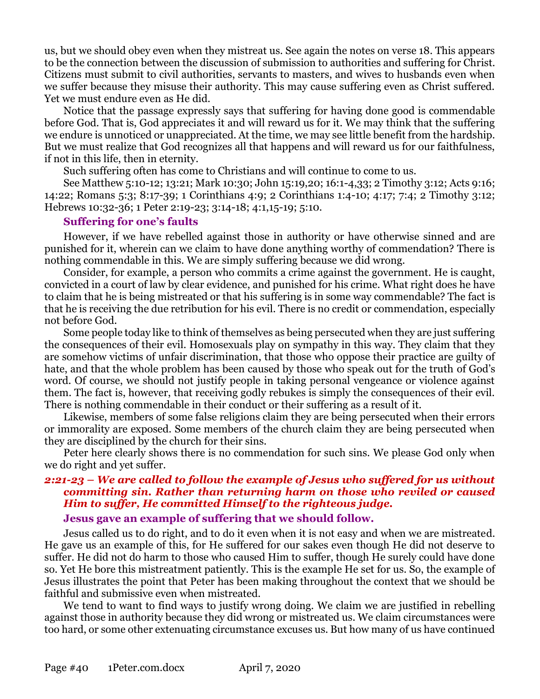us, but we should obey even when they mistreat us. See again the notes on verse 18. This appears to be the connection between the discussion of submission to authorities and suffering for Christ. Citizens must submit to civil authorities, servants to masters, and wives to husbands even when we suffer because they misuse their authority. This may cause suffering even as Christ suffered. Yet we must endure even as He did.

Notice that the passage expressly says that suffering for having done good is commendable before God. That is, God appreciates it and will reward us for it. We may think that the suffering we endure is unnoticed or unappreciated. At the time, we may see little benefit from the hardship. But we must realize that God recognizes all that happens and will reward us for our faithfulness, if not in this life, then in eternity.

Such suffering often has come to Christians and will continue to come to us.

See Matthew 5:10-12; 13:21; Mark 10:30; John 15:19,20; 16:1-4,33; 2 Timothy 3:12; Acts 9:16; 14:22; Romans 5:3; 8:17-39; 1 Corinthians 4:9; 2 Corinthians 1:4-10; 4:17; 7:4; 2 Timothy 3:12; Hebrews 10:32-36; 1 Peter 2:19-23; 3:14-18; 4:1,15-19; 5:10.

#### **Suffering for one's faults**

However, if we have rebelled against those in authority or have otherwise sinned and are punished for it, wherein can we claim to have done anything worthy of commendation? There is nothing commendable in this. We are simply suffering because we did wrong.

Consider, for example, a person who commits a crime against the government. He is caught, convicted in a court of law by clear evidence, and punished for his crime. What right does he have to claim that he is being mistreated or that his suffering is in some way commendable? The fact is that he is receiving the due retribution for his evil. There is no credit or commendation, especially not before God.

Some people today like to think of themselves as being persecuted when they are just suffering the consequences of their evil. Homosexuals play on sympathy in this way. They claim that they are somehow victims of unfair discrimination, that those who oppose their practice are guilty of hate, and that the whole problem has been caused by those who speak out for the truth of God's word. Of course, we should not justify people in taking personal vengeance or violence against them. The fact is, however, that receiving godly rebukes is simply the consequences of their evil. There is nothing commendable in their conduct or their suffering as a result of it.

Likewise, members of some false religions claim they are being persecuted when their errors or immorality are exposed. Some members of the church claim they are being persecuted when they are disciplined by the church for their sins.

Peter here clearly shows there is no commendation for such sins. We please God only when we do right and yet suffer.

## *2:21-23 – We are called to follow the example of Jesus who suffered for us without committing sin. Rather than returning harm on those who reviled or caused Him to suffer, He committed Himself to the righteous judge.*

#### **Jesus gave an example of suffering that we should follow.**

Jesus called us to do right, and to do it even when it is not easy and when we are mistreated. He gave us an example of this, for He suffered for our sakes even though He did not deserve to suffer. He did not do harm to those who caused Him to suffer, though He surely could have done so. Yet He bore this mistreatment patiently. This is the example He set for us. So, the example of Jesus illustrates the point that Peter has been making throughout the context that we should be faithful and submissive even when mistreated.

We tend to want to find ways to justify wrong doing. We claim we are justified in rebelling against those in authority because they did wrong or mistreated us. We claim circumstances were too hard, or some other extenuating circumstance excuses us. But how many of us have continued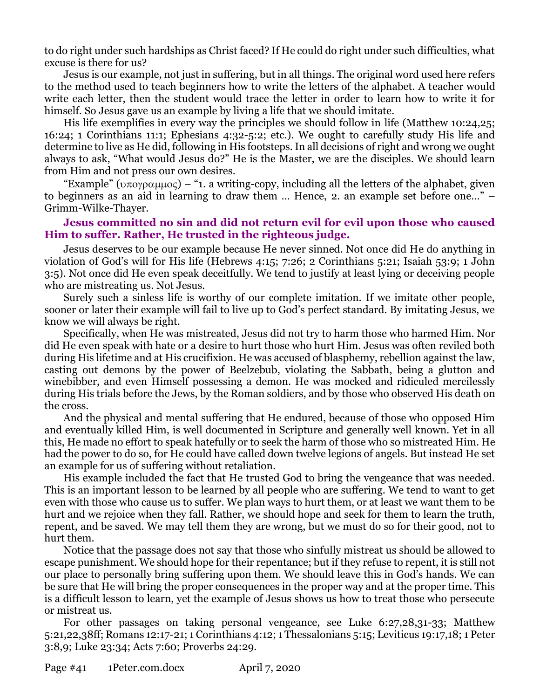to do right under such hardships as Christ faced? If He could do right under such difficulties, what excuse is there for us?

Jesus is our example, not just in suffering, but in all things. The original word used here refers to the method used to teach beginners how to write the letters of the alphabet. A teacher would write each letter, then the student would trace the letter in order to learn how to write it for himself. So Jesus gave us an example by living a life that we should imitate.

His life exemplifies in every way the principles we should follow in life (Matthew 10:24,25; 16:24; 1 Corinthians 11:1; Ephesians 4:32-5:2; etc.). We ought to carefully study His life and determine to live as He did, following in His footsteps. In all decisions of right and wrong we ought always to ask, "What would Jesus do?" He is the Master, we are the disciples. We should learn from Him and not press our own desires.

"Example" ( $\upsilon\pi\upsilon\gamma\varrho\alpha\mu\mu\upsilon\varsigma$ ) – "1. a writing-copy, including all the letters of the alphabet, given to beginners as an aid in learning to draw them … Hence, 2. an example set before one…" – Grimm-Wilke-Thayer.

## **Jesus committed no sin and did not return evil for evil upon those who caused Him to suffer. Rather, He trusted in the righteous judge.**

Jesus deserves to be our example because He never sinned. Not once did He do anything in violation of God's will for His life (Hebrews 4:15; 7:26; 2 Corinthians 5:21; Isaiah 53:9; 1 John 3:5). Not once did He even speak deceitfully. We tend to justify at least lying or deceiving people who are mistreating us. Not Jesus.

Surely such a sinless life is worthy of our complete imitation. If we imitate other people, sooner or later their example will fail to live up to God's perfect standard. By imitating Jesus, we know we will always be right.

Specifically, when He was mistreated, Jesus did not try to harm those who harmed Him. Nor did He even speak with hate or a desire to hurt those who hurt Him. Jesus was often reviled both during His lifetime and at His crucifixion. He was accused of blasphemy, rebellion against the law, casting out demons by the power of Beelzebub, violating the Sabbath, being a glutton and winebibber, and even Himself possessing a demon. He was mocked and ridiculed mercilessly during His trials before the Jews, by the Roman soldiers, and by those who observed His death on the cross.

And the physical and mental suffering that He endured, because of those who opposed Him and eventually killed Him, is well documented in Scripture and generally well known. Yet in all this, He made no effort to speak hatefully or to seek the harm of those who so mistreated Him. He had the power to do so, for He could have called down twelve legions of angels. But instead He set an example for us of suffering without retaliation.

His example included the fact that He trusted God to bring the vengeance that was needed. This is an important lesson to be learned by all people who are suffering. We tend to want to get even with those who cause us to suffer. We plan ways to hurt them, or at least we want them to be hurt and we rejoice when they fall. Rather, we should hope and seek for them to learn the truth, repent, and be saved. We may tell them they are wrong, but we must do so for their good, not to hurt them.

Notice that the passage does not say that those who sinfully mistreat us should be allowed to escape punishment. We should hope for their repentance; but if they refuse to repent, it is still not our place to personally bring suffering upon them. We should leave this in God's hands. We can be sure that He will bring the proper consequences in the proper way and at the proper time. This is a difficult lesson to learn, yet the example of Jesus shows us how to treat those who persecute or mistreat us.

For other passages on taking personal vengeance, see Luke 6:27,28,31-33; Matthew 5:21,22,38ff; Romans 12:17-21; 1 Corinthians 4:12; 1 Thessalonians 5:15; Leviticus 19:17,18; 1 Peter 3:8,9; Luke 23:34; Acts 7:60; Proverbs 24:29.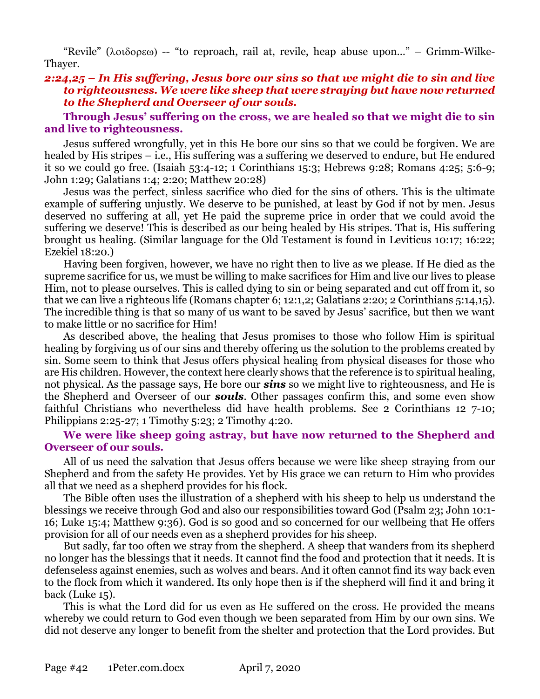"Revile" ( $\lambda$  $\alpha$  $\delta$  $\alpha$  $\beta$ ) -- "to reproach, rail at, revile, heap abuse upon..." – Grimm-Wilke-Thayer.

### *2:24,25 – In His suffering, Jesus bore our sins so that we might die to sin and live to righteousness. We were like sheep that were straying but have now returned to the Shepherd and Overseer of our souls.*

#### **Through Jesus' suffering on the cross, we are healed so that we might die to sin and live to righteousness.**

Jesus suffered wrongfully, yet in this He bore our sins so that we could be forgiven. We are healed by His stripes – i.e., His suffering was a suffering we deserved to endure, but He endured it so we could go free. (Isaiah 53:4-12; 1 Corinthians 15:3; Hebrews 9:28; Romans 4:25; 5:6-9; John 1:29; Galatians 1:4; 2:20; Matthew 20:28)

Jesus was the perfect, sinless sacrifice who died for the sins of others. This is the ultimate example of suffering unjustly. We deserve to be punished, at least by God if not by men. Jesus deserved no suffering at all, yet He paid the supreme price in order that we could avoid the suffering we deserve! This is described as our being healed by His stripes. That is, His suffering brought us healing. (Similar language for the Old Testament is found in Leviticus 10:17; 16:22; Ezekiel 18:20.)

Having been forgiven, however, we have no right then to live as we please. If He died as the supreme sacrifice for us, we must be willing to make sacrifices for Him and live our lives to please Him, not to please ourselves. This is called dying to sin or being separated and cut off from it, so that we can live a righteous life (Romans chapter 6; 12:1,2; Galatians 2:20; 2 Corinthians 5:14,15). The incredible thing is that so many of us want to be saved by Jesus' sacrifice, but then we want to make little or no sacrifice for Him!

As described above, the healing that Jesus promises to those who follow Him is spiritual healing by forgiving us of our sins and thereby offering us the solution to the problems created by sin. Some seem to think that Jesus offers physical healing from physical diseases for those who are His children. However, the context here clearly shows that the reference is to spiritual healing, not physical. As the passage says, He bore our *sins* so we might live to righteousness, and He is the Shepherd and Overseer of our *souls*. Other passages confirm this, and some even show faithful Christians who nevertheless did have health problems. See 2 Corinthians 12 7-10; Philippians 2:25-27; 1 Timothy 5:23; 2 Timothy 4:20.

### **We were like sheep going astray, but have now returned to the Shepherd and Overseer of our souls.**

All of us need the salvation that Jesus offers because we were like sheep straying from our Shepherd and from the safety He provides. Yet by His grace we can return to Him who provides all that we need as a shepherd provides for his flock.

The Bible often uses the illustration of a shepherd with his sheep to help us understand the blessings we receive through God and also our responsibilities toward God (Psalm 23; John 10:1- 16; Luke 15:4; Matthew 9:36). God is so good and so concerned for our wellbeing that He offers provision for all of our needs even as a shepherd provides for his sheep.

But sadly, far too often we stray from the shepherd. A sheep that wanders from its shepherd no longer has the blessings that it needs. It cannot find the food and protection that it needs. It is defenseless against enemies, such as wolves and bears. And it often cannot find its way back even to the flock from which it wandered. Its only hope then is if the shepherd will find it and bring it back (Luke 15).

This is what the Lord did for us even as He suffered on the cross. He provided the means whereby we could return to God even though we been separated from Him by our own sins. We did not deserve any longer to benefit from the shelter and protection that the Lord provides. But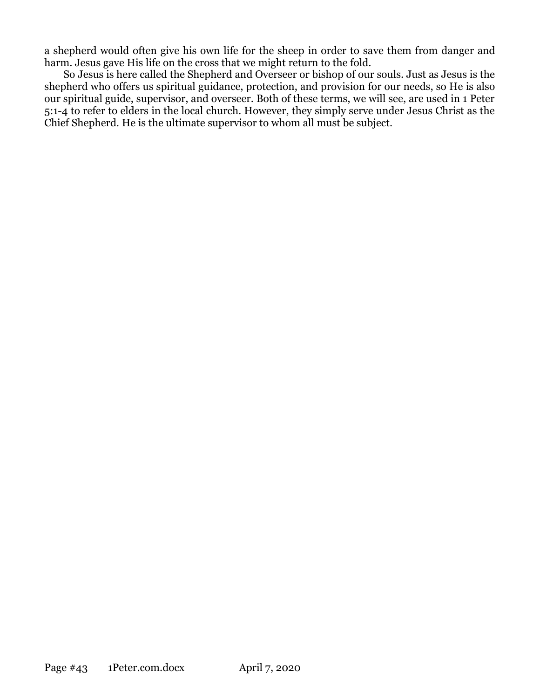a shepherd would often give his own life for the sheep in order to save them from danger and harm. Jesus gave His life on the cross that we might return to the fold.

So Jesus is here called the Shepherd and Overseer or bishop of our souls. Just as Jesus is the shepherd who offers us spiritual guidance, protection, and provision for our needs, so He is also our spiritual guide, supervisor, and overseer. Both of these terms, we will see, are used in 1 Peter 5:1-4 to refer to elders in the local church. However, they simply serve under Jesus Christ as the Chief Shepherd. He is the ultimate supervisor to whom all must be subject.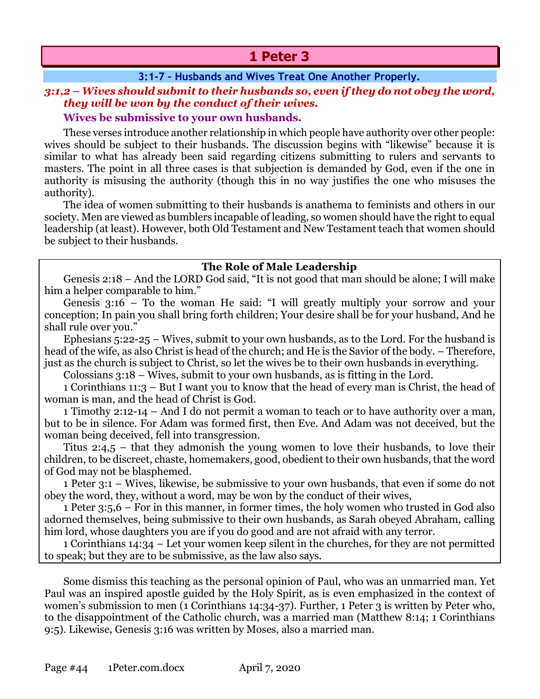# **1 Peter 3**

## **3:1-7 – Husbands and Wives Treat One Another Properly.**

## *3:1,2 – Wives should submit to their husbands so, even if they do not obey the word, they will be won by the conduct of their wives.*

## **Wives be submissive to your own husbands.**

These verses introduce another relationship in which people have authority over other people: wives should be subject to their husbands. The discussion begins with "likewise" because it is similar to what has already been said regarding citizens submitting to rulers and servants to masters. The point in all three cases is that subjection is demanded by God, even if the one in authority is misusing the authority (though this in no way justifies the one who misuses the authority).

The idea of women submitting to their husbands is anathema to feminists and others in our society. Men are viewed as bumblers incapable of leading, so women should have the right to equal leadership (at least). However, both Old Testament and New Testament teach that women should be subject to their husbands.

## **The Role of Male Leadership**

Genesis 2:18 – And the LORD God said, "It is not good that man should be alone; I will make him a helper comparable to him."

Genesis 3:16 – To the woman He said: "I will greatly multiply your sorrow and your conception; In pain you shall bring forth children; Your desire shall be for your husband, And he shall rule over you."

Ephesians 5:22-25 – Wives, submit to your own husbands, as to the Lord. For the husband is head of the wife, as also Christ is head of the church; and He is the Savior of the body. – Therefore, just as the church is subject to Christ, so let the wives be to their own husbands in everything.

Colossians 3:18 – Wives, submit to your own husbands, as is fitting in the Lord.

1 Corinthians 11:3 – But I want you to know that the head of every man is Christ, the head of woman is man, and the head of Christ is God.

1 Timothy 2:12-14 – And I do not permit a woman to teach or to have authority over a man, but to be in silence. For Adam was formed first, then Eve. And Adam was not deceived, but the woman being deceived, fell into transgression.

Titus 2:4,5 – that they admonish the young women to love their husbands, to love their children, to be discreet, chaste, homemakers, good, obedient to their own husbands, that the word of God may not be blasphemed.

1 Peter 3:1 – Wives, likewise, be submissive to your own husbands, that even if some do not obey the word, they, without a word, may be won by the conduct of their wives,

1 Peter 3:5,6 – For in this manner, in former times, the holy women who trusted in God also adorned themselves, being submissive to their own husbands, as Sarah obeyed Abraham, calling him lord, whose daughters you are if you do good and are not afraid with any terror.

1 Corinthians 14:34 – Let your women keep silent in the churches, for they are not permitted to speak; but they are to be submissive, as the law also says.

Some dismiss this teaching as the personal opinion of Paul, who was an unmarried man. Yet Paul was an inspired apostle guided by the Holy Spirit, as is even emphasized in the context of women's submission to men (1 Corinthians 14:34-37). Further, 1 Peter 3 is written by Peter who, to the disappointment of the Catholic church, was a married man (Matthew 8:14; 1 Corinthians 9:5). Likewise, Genesis 3:16 was written by Moses, also a married man.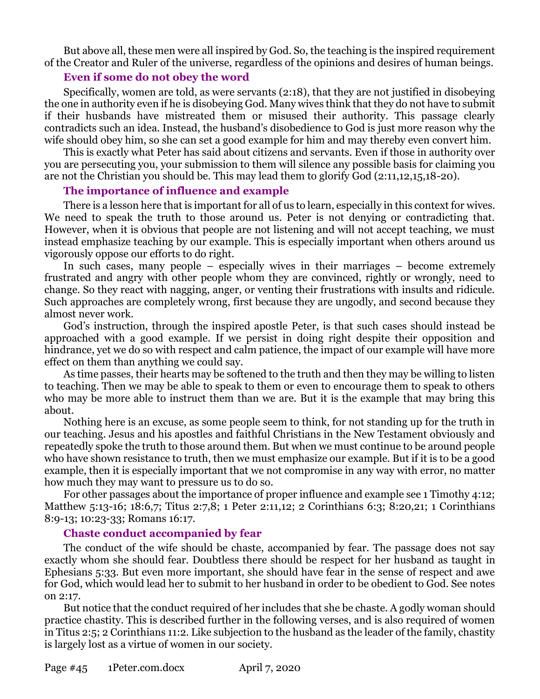But above all, these men were all inspired by God. So, the teaching is the inspired requirement of the Creator and Ruler of the universe, regardless of the opinions and desires of human beings.

## **Even if some do not obey the word**

Specifically, women are told, as were servants (2:18), that they are not justified in disobeying the one in authority even if he is disobeying God. Many wives think that they do not have to submit if their husbands have mistreated them or misused their authority. This passage clearly contradicts such an idea. Instead, the husband's disobedience to God is just more reason why the wife should obey him, so she can set a good example for him and may thereby even convert him.

This is exactly what Peter has said about citizens and servants. Even if those in authority over you are persecuting you, your submission to them will silence any possible basis for claiming you are not the Christian you should be. This may lead them to glorify God (2:11,12,15,18-20).

## **The importance of influence and example**

There is a lesson here that is important for all of us to learn, especially in this context for wives. We need to speak the truth to those around us. Peter is not denying or contradicting that. However, when it is obvious that people are not listening and will not accept teaching, we must instead emphasize teaching by our example. This is especially important when others around us vigorously oppose our efforts to do right.

In such cases, many people – especially wives in their marriages – become extremely frustrated and angry with other people whom they are convinced, rightly or wrongly, need to change. So they react with nagging, anger, or venting their frustrations with insults and ridicule. Such approaches are completely wrong, first because they are ungodly, and second because they almost never work.

God's instruction, through the inspired apostle Peter, is that such cases should instead be approached with a good example. If we persist in doing right despite their opposition and hindrance, yet we do so with respect and calm patience, the impact of our example will have more effect on them than anything we could say.

As time passes, their hearts may be softened to the truth and then they may be willing to listen to teaching. Then we may be able to speak to them or even to encourage them to speak to others who may be more able to instruct them than we are. But it is the example that may bring this about.

Nothing here is an excuse, as some people seem to think, for not standing up for the truth in our teaching. Jesus and his apostles and faithful Christians in the New Testament obviously and repeatedly spoke the truth to those around them. But when we must continue to be around people who have shown resistance to truth, then we must emphasize our example. But if it is to be a good example, then it is especially important that we not compromise in any way with error, no matter how much they may want to pressure us to do so.

For other passages about the importance of proper influence and example see 1 Timothy 4:12; Matthew 5:13-16; 18:6,7; Titus 2:7,8; 1 Peter 2:11,12; 2 Corinthians 6:3; 8:20,21; 1 Corinthians 8:9-13; 10:23-33; Romans 16:17.

## **Chaste conduct accompanied by fear**

The conduct of the wife should be chaste, accompanied by fear. The passage does not say exactly whom she should fear. Doubtless there should be respect for her husband as taught in Ephesians 5:33. But even more important, she should have fear in the sense of respect and awe for God, which would lead her to submit to her husband in order to be obedient to God. See notes on 2:17.

But notice that the conduct required of her includes that she be chaste. A godly woman should practice chastity. This is described further in the following verses, and is also required of women in Titus 2:5; 2 Corinthians 11:2. Like subjection to the husband as the leader of the family, chastity is largely lost as a virtue of women in our society.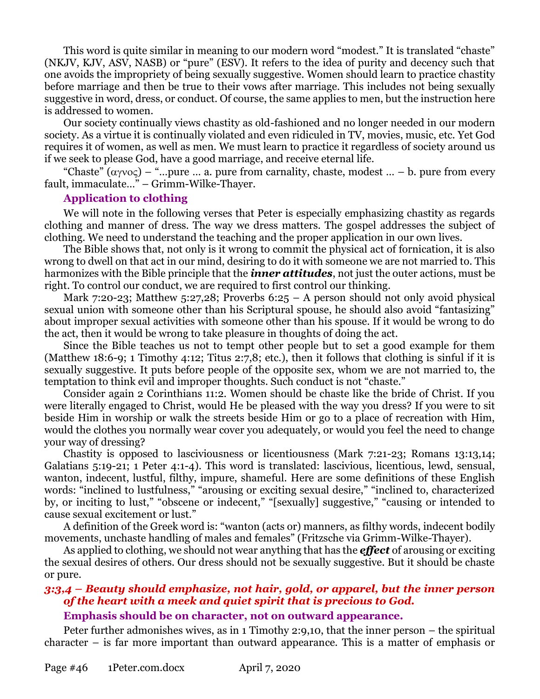This word is quite similar in meaning to our modern word "modest." It is translated "chaste" (NKJV, KJV, ASV, NASB) or "pure" (ESV). It refers to the idea of purity and decency such that one avoids the impropriety of being sexually suggestive. Women should learn to practice chastity before marriage and then be true to their vows after marriage. This includes not being sexually suggestive in word, dress, or conduct. Of course, the same applies to men, but the instruction here is addressed to women.

Our society continually views chastity as old-fashioned and no longer needed in our modern society. As a virtue it is continually violated and even ridiculed in TV, movies, music, etc. Yet God requires it of women, as well as men. We must learn to practice it regardless of society around us if we seek to please God, have a good marriage, and receive eternal life.

"Chaste"  $(\alpha y \circ \alpha)$  – "... pure ... a. pure from carnality, chaste, modest ... – b. pure from every fault, immaculate…" – Grimm-Wilke-Thayer.

#### **Application to clothing**

We will note in the following verses that Peter is especially emphasizing chastity as regards clothing and manner of dress. The way we dress matters. The gospel addresses the subject of clothing. We need to understand the teaching and the proper application in our own lives.

The Bible shows that, not only is it wrong to commit the physical act of fornication, it is also wrong to dwell on that act in our mind, desiring to do it with someone we are not married to. This harmonizes with the Bible principle that the *inner attitudes*, not just the outer actions, must be right. To control our conduct, we are required to first control our thinking.

Mark 7:20-23; Matthew 5:27,28; Proverbs  $6:25 - A$  person should not only avoid physical sexual union with someone other than his Scriptural spouse, he should also avoid "fantasizing" about improper sexual activities with someone other than his spouse. If it would be wrong to do the act, then it would be wrong to take pleasure in thoughts of doing the act.

Since the Bible teaches us not to tempt other people but to set a good example for them (Matthew 18:6-9; 1 Timothy 4:12; Titus 2:7,8; etc.), then it follows that clothing is sinful if it is sexually suggestive. It puts before people of the opposite sex, whom we are not married to, the temptation to think evil and improper thoughts. Such conduct is not "chaste."

Consider again 2 Corinthians 11:2. Women should be chaste like the bride of Christ. If you were literally engaged to Christ, would He be pleased with the way you dress? If you were to sit beside Him in worship or walk the streets beside Him or go to a place of recreation with Him, would the clothes you normally wear cover you adequately, or would you feel the need to change your way of dressing?

Chastity is opposed to lasciviousness or licentiousness (Mark 7:21-23; Romans 13:13,14; Galatians 5:19-21; 1 Peter 4:1-4). This word is translated: lascivious, licentious, lewd, sensual, wanton, indecent, lustful, filthy, impure, shameful. Here are some definitions of these English words: "inclined to lustfulness," "arousing or exciting sexual desire," "inclined to, characterized by, or inciting to lust," "obscene or indecent," "[sexually] suggestive," "causing or intended to cause sexual excitement or lust."

A definition of the Greek word is: "wanton (acts or) manners, as filthy words, indecent bodily movements, unchaste handling of males and females" (Fritzsche via Grimm-Wilke-Thayer).

As applied to clothing, we should not wear anything that has the *effect* of arousing or exciting the sexual desires of others. Our dress should not be sexually suggestive. But it should be chaste or pure.

# *3:3,4 – Beauty should emphasize, not hair, gold, or apparel, but the inner person of the heart with a meek and quiet spirit that is precious to God.*

## **Emphasis should be on character, not on outward appearance.**

Peter further admonishes wives, as in 1 Timothy 2:9,10, that the inner person – the spiritual character – is far more important than outward appearance. This is a matter of emphasis or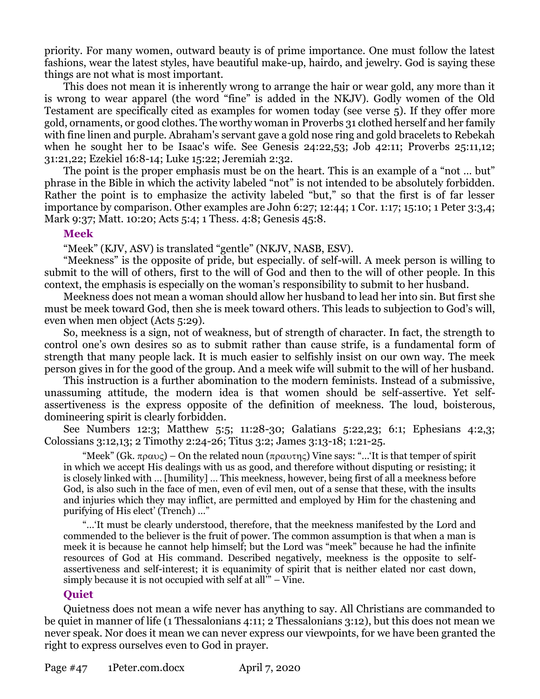priority. For many women, outward beauty is of prime importance. One must follow the latest fashions, wear the latest styles, have beautiful make-up, hairdo, and jewelry. God is saying these things are not what is most important.

This does not mean it is inherently wrong to arrange the hair or wear gold, any more than it is wrong to wear apparel (the word "fine" is added in the NKJV). Godly women of the Old Testament are specifically cited as examples for women today (see verse 5). If they offer more gold, ornaments, or good clothes. The worthy woman in Proverbs 31 clothed herself and her family with fine linen and purple. Abraham's servant gave a gold nose ring and gold bracelets to Rebekah when he sought her to be Isaac's wife. See Genesis 24:22,53; Job 42:11; Proverbs 25:11,12; 31:21,22; Ezekiel 16:8-14; Luke 15:22; Jeremiah 2:32.

The point is the proper emphasis must be on the heart. This is an example of a "not ... but" phrase in the Bible in which the activity labeled "not" is not intended to be absolutely forbidden. Rather the point is to emphasize the activity labeled "but," so that the first is of far lesser importance by comparison. Other examples are John 6:27; 12:44; 1 Cor. 1:17; 15:10; 1 Peter 3:3,4; Mark 9:37; Matt. 10:20; Acts 5:4; 1 Thess. 4:8; Genesis 45:8.

## **Meek**

"Meek" (KJV, ASV) is translated "gentle" (NKJV, NASB, ESV).

"Meekness" is the opposite of pride, but especially. of self-will. A meek person is willing to submit to the will of others, first to the will of God and then to the will of other people. In this context, the emphasis is especially on the woman's responsibility to submit to her husband.

Meekness does not mean a woman should allow her husband to lead her into sin. But first she must be meek toward God, then she is meek toward others. This leads to subjection to God's will, even when men object (Acts 5:29).

So, meekness is a sign, not of weakness, but of strength of character. In fact, the strength to control one's own desires so as to submit rather than cause strife, is a fundamental form of strength that many people lack. It is much easier to selfishly insist on our own way. The meek person gives in for the good of the group. And a meek wife will submit to the will of her husband.

This instruction is a further abomination to the modern feminists. Instead of a submissive, unassuming attitude, the modern idea is that women should be self-assertive. Yet selfassertiveness is the express opposite of the definition of meekness. The loud, boisterous, domineering spirit is clearly forbidden.

See Numbers 12:3; Matthew 5:5; 11:28-30; Galatians 5:22,23; 6:1; Ephesians 4:2,3; Colossians 3:12,13; 2 Timothy 2:24-26; Titus 3:2; James 3:13-18; 1:21-25.

"Meek" (Gk.  $\pi \rho \alpha \nu \zeta$ ) – On the related noun ( $\pi \rho \alpha \nu \tau \gamma \zeta$ ) Vine says: "...'It is that temper of spirit in which we accept His dealings with us as good, and therefore without disputing or resisting; it is closely linked with … [humility] … This meekness, however, being first of all a meekness before God, is also such in the face of men, even of evil men, out of a sense that these, with the insults and injuries which they may inflict, are permitted and employed by Him for the chastening and purifying of His elect' (Trench) …"

"…'It must be clearly understood, therefore, that the meekness manifested by the Lord and commended to the believer is the fruit of power. The common assumption is that when a man is meek it is because he cannot help himself; but the Lord was "meek" because he had the infinite resources of God at His command. Described negatively, meekness is the opposite to selfassertiveness and self-interest; it is equanimity of spirit that is neither elated nor cast down, simply because it is not occupied with self at all'" – Vine.

## **Quiet**

Quietness does not mean a wife never has anything to say. All Christians are commanded to be quiet in manner of life (1 Thessalonians 4:11; 2 Thessalonians 3:12), but this does not mean we never speak. Nor does it mean we can never express our viewpoints, for we have been granted the right to express ourselves even to God in prayer.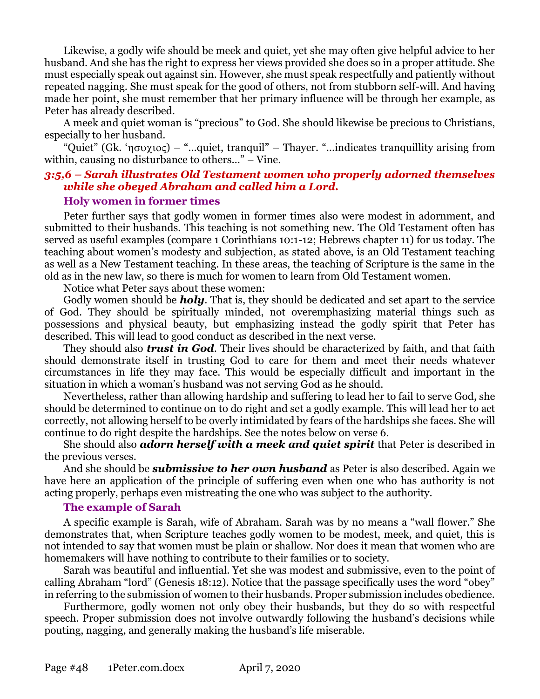Likewise, a godly wife should be meek and quiet, yet she may often give helpful advice to her husband. And she has the right to express her views provided she does so in a proper attitude. She must especially speak out against sin. However, she must speak respectfully and patiently without repeated nagging. She must speak for the good of others, not from stubborn self-will. And having made her point, she must remember that her primary influence will be through her example, as Peter has already described.

A meek and quiet woman is "precious" to God. She should likewise be precious to Christians, especially to her husband.

"Quiet" (Gk. ' $\eta \sigma \nu \chi \nu o \varsigma$ ) – "...quiet, tranquil" – Thayer. "...indicates tranquillity arising from within, causing no disturbance to others…" – Vine.

# *3:5,6 – Sarah illustrates Old Testament women who properly adorned themselves while she obeyed Abraham and called him a Lord.*

## **Holy women in former times**

Peter further says that godly women in former times also were modest in adornment, and submitted to their husbands. This teaching is not something new. The Old Testament often has served as useful examples (compare 1 Corinthians 10:1-12; Hebrews chapter 11) for us today. The teaching about women's modesty and subjection, as stated above, is an Old Testament teaching as well as a New Testament teaching. In these areas, the teaching of Scripture is the same in the old as in the new law, so there is much for women to learn from Old Testament women.

Notice what Peter says about these women:

Godly women should be *holy*. That is, they should be dedicated and set apart to the service of God. They should be spiritually minded, not overemphasizing material things such as possessions and physical beauty, but emphasizing instead the godly spirit that Peter has described. This will lead to good conduct as described in the next verse.

They should also *trust in God*. Their lives should be characterized by faith, and that faith should demonstrate itself in trusting God to care for them and meet their needs whatever circumstances in life they may face. This would be especially difficult and important in the situation in which a woman's husband was not serving God as he should.

Nevertheless, rather than allowing hardship and suffering to lead her to fail to serve God, she should be determined to continue on to do right and set a godly example. This will lead her to act correctly, not allowing herself to be overly intimidated by fears of the hardships she faces. She will continue to do right despite the hardships. See the notes below on verse 6.

She should also *adorn herself with a meek and quiet spirit* that Peter is described in the previous verses.

And she should be *submissive to her own husband* as Peter is also described. Again we have here an application of the principle of suffering even when one who has authority is not acting properly, perhaps even mistreating the one who was subject to the authority.

## **The example of Sarah**

A specific example is Sarah, wife of Abraham. Sarah was by no means a "wall flower." She demonstrates that, when Scripture teaches godly women to be modest, meek, and quiet, this is not intended to say that women must be plain or shallow. Nor does it mean that women who are homemakers will have nothing to contribute to their families or to society.

Sarah was beautiful and influential. Yet she was modest and submissive, even to the point of calling Abraham "lord" (Genesis 18:12). Notice that the passage specifically uses the word "obey" in referring to the submission of women to their husbands. Proper submission includes obedience.

Furthermore, godly women not only obey their husbands, but they do so with respectful speech. Proper submission does not involve outwardly following the husband's decisions while pouting, nagging, and generally making the husband's life miserable.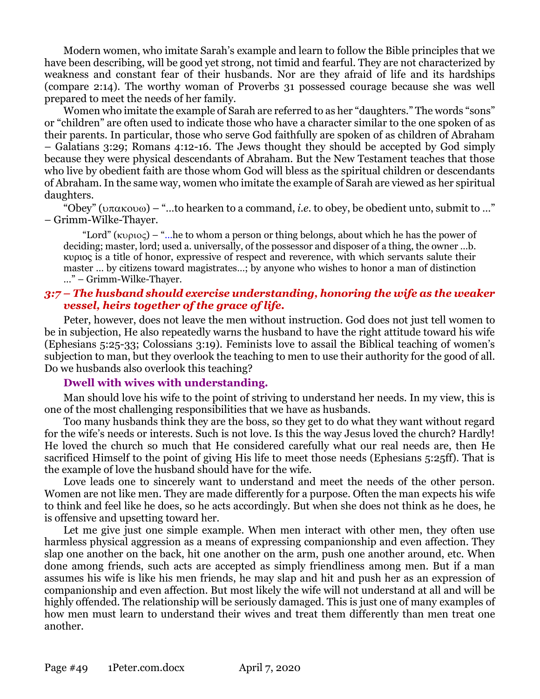Modern women, who imitate Sarah's example and learn to follow the Bible principles that we have been describing, will be good yet strong, not timid and fearful. They are not characterized by weakness and constant fear of their husbands. Nor are they afraid of life and its hardships (compare 2:14). The worthy woman of Proverbs 31 possessed courage because she was well prepared to meet the needs of her family.

Women who imitate the example of Sarah are referred to as her "daughters." The words "sons" or "children" are often used to indicate those who have a character similar to the one spoken of as their parents. In particular, those who serve God faithfully are spoken of as children of Abraham – Galatians 3:29; Romans 4:12-16. The Jews thought they should be accepted by God simply because they were physical descendants of Abraham. But the New Testament teaches that those who live by obedient faith are those whom God will bless as the spiritual children or descendants of Abraham. In the same way, women who imitate the example of Sarah are viewed as her spiritual daughters.

"Obey" ( $\nu$  $\pi$  $\alpha$ к $\infty$  $\omega$ ) – "...to hearken to a command, *i.e.* to obey, be obedient unto, submit to ..." – Grimm-Wilke-Thayer.

"Lord" ( $k$ <sub>D</sub> $\alpha$ ) – "...he to whom a person or thing belongs, about which he has the power of deciding; master, lord; used a. universally, of the possessor and disposer of a thing, the owner …b. κυριος is a title of honor, expressive of respect and reverence, with which servants salute their master … by citizens toward magistrates…; by anyone who wishes to honor a man of distinction …" – Grimm-Wilke-Thayer.

## *3:7 – The husband should exercise understanding, honoring the wife as the weaker vessel, heirs together of the grace of life.*

Peter, however, does not leave the men without instruction. God does not just tell women to be in subjection, He also repeatedly warns the husband to have the right attitude toward his wife (Ephesians 5:25-33; Colossians 3:19). Feminists love to assail the Biblical teaching of women's subjection to man, but they overlook the teaching to men to use their authority for the good of all. Do we husbands also overlook this teaching?

## **Dwell with wives with understanding.**

Man should love his wife to the point of striving to understand her needs. In my view, this is one of the most challenging responsibilities that we have as husbands.

Too many husbands think they are the boss, so they get to do what they want without regard for the wife's needs or interests. Such is not love. Is this the way Jesus loved the church? Hardly! He loved the church so much that He considered carefully what our real needs are, then He sacrificed Himself to the point of giving His life to meet those needs (Ephesians 5:25ff). That is the example of love the husband should have for the wife.

Love leads one to sincerely want to understand and meet the needs of the other person. Women are not like men. They are made differently for a purpose. Often the man expects his wife to think and feel like he does, so he acts accordingly. But when she does not think as he does, he is offensive and upsetting toward her.

Let me give just one simple example. When men interact with other men, they often use harmless physical aggression as a means of expressing companionship and even affection. They slap one another on the back, hit one another on the arm, push one another around, etc. When done among friends, such acts are accepted as simply friendliness among men. But if a man assumes his wife is like his men friends, he may slap and hit and push her as an expression of companionship and even affection. But most likely the wife will not understand at all and will be highly offended. The relationship will be seriously damaged. This is just one of many examples of how men must learn to understand their wives and treat them differently than men treat one another.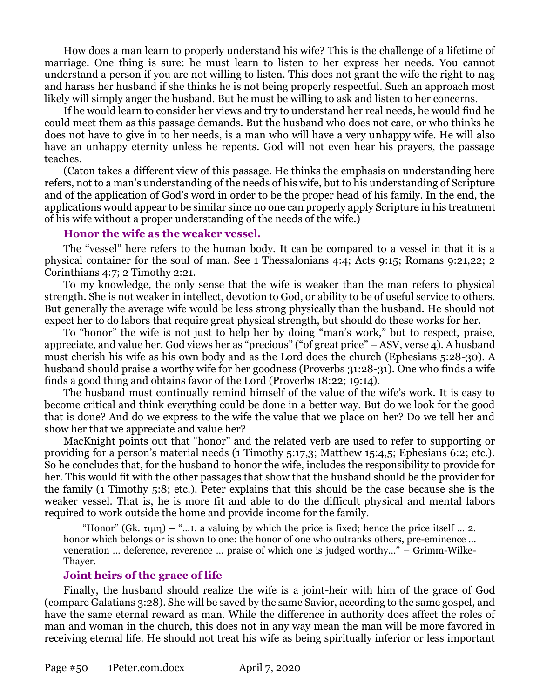How does a man learn to properly understand his wife? This is the challenge of a lifetime of marriage. One thing is sure: he must learn to listen to her express her needs. You cannot understand a person if you are not willing to listen. This does not grant the wife the right to nag and harass her husband if she thinks he is not being properly respectful. Such an approach most likely will simply anger the husband. But he must be willing to ask and listen to her concerns.

If he would learn to consider her views and try to understand her real needs, he would find he could meet them as this passage demands. But the husband who does not care, or who thinks he does not have to give in to her needs, is a man who will have a very unhappy wife. He will also have an unhappy eternity unless he repents. God will not even hear his prayers, the passage teaches.

(Caton takes a different view of this passage. He thinks the emphasis on understanding here refers, not to a man's understanding of the needs of his wife, but to his understanding of Scripture and of the application of God's word in order to be the proper head of his family. In the end, the applications would appear to be similar since no one can properly apply Scripture in his treatment of his wife without a proper understanding of the needs of the wife.)

#### **Honor the wife as the weaker vessel.**

The "vessel" here refers to the human body. It can be compared to a vessel in that it is a physical container for the soul of man. See 1 Thessalonians 4:4; Acts 9:15; Romans 9:21,22; 2 Corinthians 4:7; 2 Timothy 2:21.

To my knowledge, the only sense that the wife is weaker than the man refers to physical strength. She is not weaker in intellect, devotion to God, or ability to be of useful service to others. But generally the average wife would be less strong physically than the husband. He should not expect her to do labors that require great physical strength, but should do these works for her.

To "honor" the wife is not just to help her by doing "man's work," but to respect, praise, appreciate, and value her. God views her as "precious" ("of great price" – ASV, verse 4). A husband must cherish his wife as his own body and as the Lord does the church (Ephesians 5:28-30). A husband should praise a worthy wife for her goodness (Proverbs 31:28-31). One who finds a wife finds a good thing and obtains favor of the Lord (Proverbs 18:22; 19:14).

The husband must continually remind himself of the value of the wife's work. It is easy to become critical and think everything could be done in a better way. But do we look for the good that is done? And do we express to the wife the value that we place on her? Do we tell her and show her that we appreciate and value her?

MacKnight points out that "honor" and the related verb are used to refer to supporting or providing for a person's material needs (1 Timothy 5:17,3; Matthew 15:4,5; Ephesians 6:2; etc.). So he concludes that, for the husband to honor the wife, includes the responsibility to provide for her. This would fit with the other passages that show that the husband should be the provider for the family (1 Timothy 5:8; etc.). Peter explains that this should be the case because she is the weaker vessel. That is, he is more fit and able to do the difficult physical and mental labors required to work outside the home and provide income for the family.

"Honor" (Gk.  $\tau(\mu)$  – "...1. a valuing by which the price is fixed; hence the price itself ... 2. honor which belongs or is shown to one: the honor of one who outranks others, pre-eminence … veneration … deference, reverence … praise of which one is judged worthy…" – Grimm-Wilke-Thayer.

## **Joint heirs of the grace of life**

Finally, the husband should realize the wife is a joint-heir with him of the grace of God (compare Galatians 3:28). She will be saved by the same Savior, according to the same gospel, and have the same eternal reward as man. While the difference in authority does affect the roles of man and woman in the church, this does not in any way mean the man will be more favored in receiving eternal life. He should not treat his wife as being spiritually inferior or less important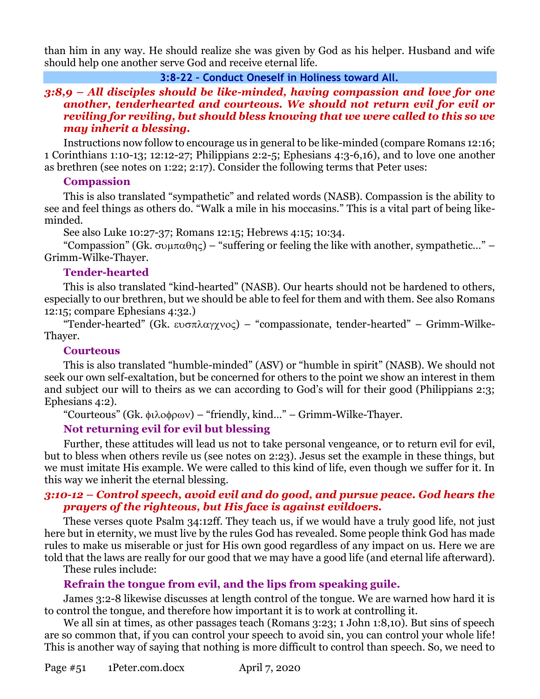than him in any way. He should realize she was given by God as his helper. Husband and wife should help one another serve God and receive eternal life.

## **3:8-22 – Conduct Oneself in Holiness toward All.**

## *3:8,9 – All disciples should be like-minded, having compassion and love for one another, tenderhearted and courteous. We should not return evil for evil or reviling for reviling, but should bless knowing that we were called to this so we may inherit a blessing.*

Instructions now follow to encourage us in general to be like-minded (compare Romans 12:16; 1 Corinthians 1:10-13; 12:12-27; Philippians 2:2-5; Ephesians 4:3-6,16), and to love one another as brethren (see notes on 1:22; 2:17). Consider the following terms that Peter uses:

## **Compassion**

This is also translated "sympathetic" and related words (NASB). Compassion is the ability to see and feel things as others do. "Walk a mile in his moccasins." This is a vital part of being likeminded.

See also Luke 10:27-37; Romans 12:15; Hebrews 4:15; 10:34.

"Compassion" (Gk.  $\sigma$  $\alpha$  $\theta$ n $\varsigma$ ) – "suffering or feeling the like with another, sympathetic..." – Grimm-Wilke-Thayer.

## **Tender-hearted**

This is also translated "kind-hearted" (NASB). Our hearts should not be hardened to others, especially to our brethren, but we should be able to feel for them and with them. See also Romans 12:15; compare Ephesians 4:32.)

"Tender-hearted" (Gk.  $\epsilon \nu \sigma \pi \lambda \alpha \gamma \chi \nu o \varsigma$ ) – "compassionate, tender-hearted" – Grimm-Wilke-Thayer.

## **Courteous**

This is also translated "humble-minded" (ASV) or "humble in spirit" (NASB). We should not seek our own self-exaltation, but be concerned for others to the point we show an interest in them and subject our will to theirs as we can according to God's will for their good (Philippians 2:3; Ephesians 4:2).

"Courteous" (Gk. φιλοφρων) – "friendly, kind..." – Grimm-Wilke-Thayer.

## **Not returning evil for evil but blessing**

Further, these attitudes will lead us not to take personal vengeance, or to return evil for evil, but to bless when others revile us (see notes on 2:23). Jesus set the example in these things, but we must imitate His example. We were called to this kind of life, even though we suffer for it. In this way we inherit the eternal blessing.

## *3:10-12 – Control speech, avoid evil and do good, and pursue peace. God hears the prayers of the righteous, but His face is against evildoers.*

These verses quote Psalm 34:12ff. They teach us, if we would have a truly good life, not just here but in eternity, we must live by the rules God has revealed. Some people think God has made rules to make us miserable or just for His own good regardless of any impact on us. Here we are told that the laws are really for our good that we may have a good life (and eternal life afterward).

These rules include:

# **Refrain the tongue from evil, and the lips from speaking guile.**

James 3:2-8 likewise discusses at length control of the tongue. We are warned how hard it is to control the tongue, and therefore how important it is to work at controlling it.

We all sin at times, as other passages teach (Romans 3:23; 1 John 1:8,10). But sins of speech are so common that, if you can control your speech to avoid sin, you can control your whole life! This is another way of saying that nothing is more difficult to control than speech. So, we need to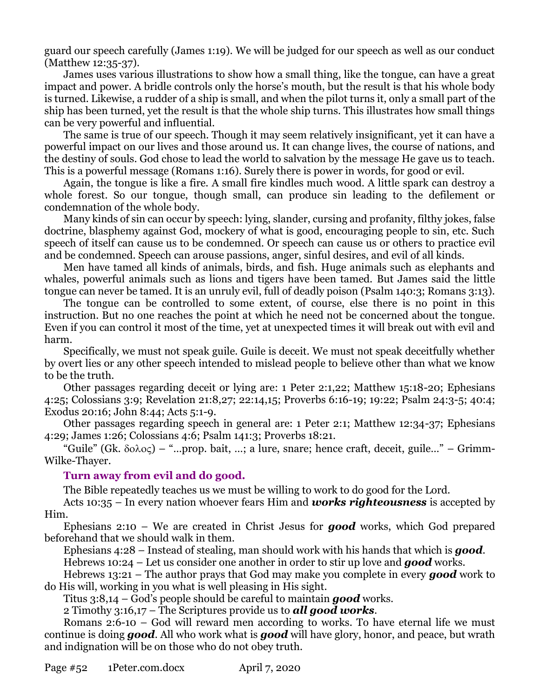guard our speech carefully (James 1:19). We will be judged for our speech as well as our conduct (Matthew 12:35-37).

James uses various illustrations to show how a small thing, like the tongue, can have a great impact and power. A bridle controls only the horse's mouth, but the result is that his whole body is turned. Likewise, a rudder of a ship is small, and when the pilot turns it, only a small part of the ship has been turned, yet the result is that the whole ship turns. This illustrates how small things can be very powerful and influential.

The same is true of our speech. Though it may seem relatively insignificant, yet it can have a powerful impact on our lives and those around us. It can change lives, the course of nations, and the destiny of souls. God chose to lead the world to salvation by the message He gave us to teach. This is a powerful message (Romans 1:16). Surely there is power in words, for good or evil.

Again, the tongue is like a fire. A small fire kindles much wood. A little spark can destroy a whole forest. So our tongue, though small, can produce sin leading to the defilement or condemnation of the whole body.

Many kinds of sin can occur by speech: lying, slander, cursing and profanity, filthy jokes, false doctrine, blasphemy against God, mockery of what is good, encouraging people to sin, etc. Such speech of itself can cause us to be condemned. Or speech can cause us or others to practice evil and be condemned. Speech can arouse passions, anger, sinful desires, and evil of all kinds.

Men have tamed all kinds of animals, birds, and fish. Huge animals such as elephants and whales, powerful animals such as lions and tigers have been tamed. But James said the little tongue can never be tamed. It is an unruly evil, full of deadly poison (Psalm 140:3; Romans 3:13).

The tongue can be controlled to some extent, of course, else there is no point in this instruction. But no one reaches the point at which he need not be concerned about the tongue. Even if you can control it most of the time, yet at unexpected times it will break out with evil and harm.

Specifically, we must not speak guile. Guile is deceit. We must not speak deceitfully whether by overt lies or any other speech intended to mislead people to believe other than what we know to be the truth.

Other passages regarding deceit or lying are: 1 Peter 2:1,22; Matthew 15:18-20; Ephesians 4:25; Colossians 3:9; Revelation 21:8,27; 22:14,15; Proverbs 6:16-19; 19:22; Psalm 24:3-5; 40:4; Exodus 20:16; John 8:44; Acts 5:1-9.

Other passages regarding speech in general are: 1 Peter 2:1; Matthew 12:34-37; Ephesians 4:29; James 1:26; Colossians 4:6; Psalm 141:3; Proverbs 18:21.

"Guile" (Gk.  $\delta$ o $\lambda$ o $\varsigma$ ) – "...prop. bait, ...; a lure, snare; hence craft, deceit, guile..." – Grimm-Wilke-Thayer.

## **Turn away from evil and do good.**

The Bible repeatedly teaches us we must be willing to work to do good for the Lord.

Acts 10:35 – In every nation whoever fears Him and *works righteousness* is accepted by Him.

Ephesians 2:10 – We are created in Christ Jesus for *good* works, which God prepared beforehand that we should walk in them.

Ephesians 4:28 – Instead of stealing, man should work with his hands that which is *good*.

Hebrews 10:24 – Let us consider one another in order to stir up love and *good* works.

Hebrews 13:21 – The author prays that God may make you complete in every *good* work to do His will, working in you what is well pleasing in His sight.

Titus 3:8,14 – God's people should be careful to maintain *good* works.

2 Timothy 3:16,17 – The Scriptures provide us to *all good works*.

Romans 2:6-10 – God will reward men according to works. To have eternal life we must continue is doing *good*. All who work what is *good* will have glory, honor, and peace, but wrath and indignation will be on those who do not obey truth.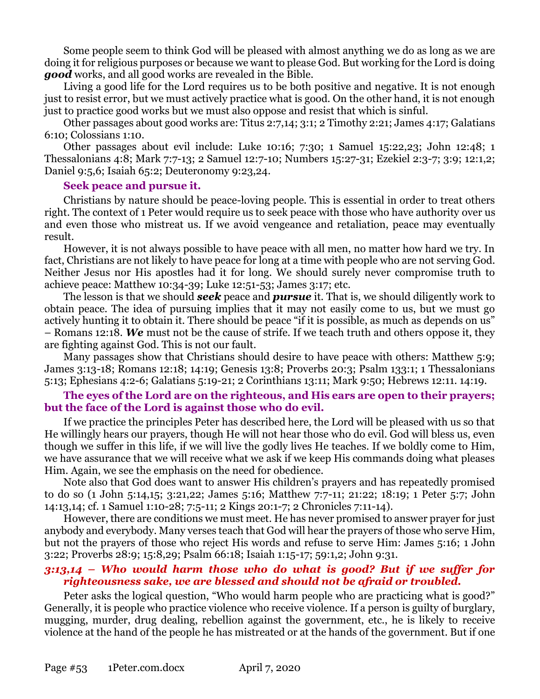Some people seem to think God will be pleased with almost anything we do as long as we are doing it for religious purposes or because we want to please God. But working for the Lord is doing *good* works, and all good works are revealed in the Bible.

Living a good life for the Lord requires us to be both positive and negative. It is not enough just to resist error, but we must actively practice what is good. On the other hand, it is not enough just to practice good works but we must also oppose and resist that which is sinful.

Other passages about good works are: Titus 2:7,14; 3:1; 2 Timothy 2:21; James 4:17; Galatians 6:10; Colossians 1:10.

Other passages about evil include: Luke 10:16; 7:30; 1 Samuel 15:22,23; John 12:48; 1 Thessalonians 4:8; Mark 7:7-13; 2 Samuel 12:7-10; Numbers 15:27-31; Ezekiel 2:3-7; 3:9; 12:1,2; Daniel 9:5,6; Isaiah 65:2; Deuteronomy 9:23,24.

#### **Seek peace and pursue it.**

Christians by nature should be peace-loving people. This is essential in order to treat others right. The context of 1 Peter would require us to seek peace with those who have authority over us and even those who mistreat us. If we avoid vengeance and retaliation, peace may eventually result.

However, it is not always possible to have peace with all men, no matter how hard we try. In fact, Christians are not likely to have peace for long at a time with people who are not serving God. Neither Jesus nor His apostles had it for long. We should surely never compromise truth to achieve peace: Matthew 10:34-39; Luke 12:51-53; James 3:17; etc.

The lesson is that we should *seek* peace and *pursue* it. That is, we should diligently work to obtain peace. The idea of pursuing implies that it may not easily come to us, but we must go actively hunting it to obtain it. There should be peace "if it is possible, as much as depends on us" – Romans 12:18. *We* must not be the cause of strife. If we teach truth and others oppose it, they are fighting against God. This is not our fault.

Many passages show that Christians should desire to have peace with others: Matthew 5:9; James 3:13-18; Romans 12:18; 14:19; Genesis 13:8; Proverbs 20:3; Psalm 133:1; 1 Thessalonians 5:13; Ephesians 4:2-6; Galatians 5:19-21; 2 Corinthians 13:11; Mark 9:50; Hebrews 12:11. 14:19.

## **The eyes of the Lord are on the righteous, and His ears are open to their prayers; but the face of the Lord is against those who do evil.**

If we practice the principles Peter has described here, the Lord will be pleased with us so that He willingly hears our prayers, though He will not hear those who do evil. God will bless us, even though we suffer in this life, if we will live the godly lives He teaches. If we boldly come to Him, we have assurance that we will receive what we ask if we keep His commands doing what pleases Him. Again, we see the emphasis on the need for obedience.

Note also that God does want to answer His children's prayers and has repeatedly promised to do so (1 John 5:14,15; 3:21,22; James 5:16; Matthew 7:7-11; 21:22; 18:19; 1 Peter 5:7; John 14:13,14; cf. 1 Samuel 1:10-28; 7:5-11; 2 Kings 20:1-7; 2 Chronicles 7:11-14).

However, there are conditions we must meet. He has never promised to answer prayer for just anybody and everybody. Many verses teach that God will hear the prayers of those who serve Him, but not the prayers of those who reject His words and refuse to serve Him: James 5:16; 1 John 3:22; Proverbs 28:9; 15:8,29; Psalm 66:18; Isaiah 1:15-17; 59:1,2; John 9:31.

## *3:13,14 – Who would harm those who do what is good? But if we suffer for righteousness sake, we are blessed and should not be afraid or troubled.*

Peter asks the logical question, "Who would harm people who are practicing what is good?" Generally, it is people who practice violence who receive violence. If a person is guilty of burglary, mugging, murder, drug dealing, rebellion against the government, etc., he is likely to receive violence at the hand of the people he has mistreated or at the hands of the government. But if one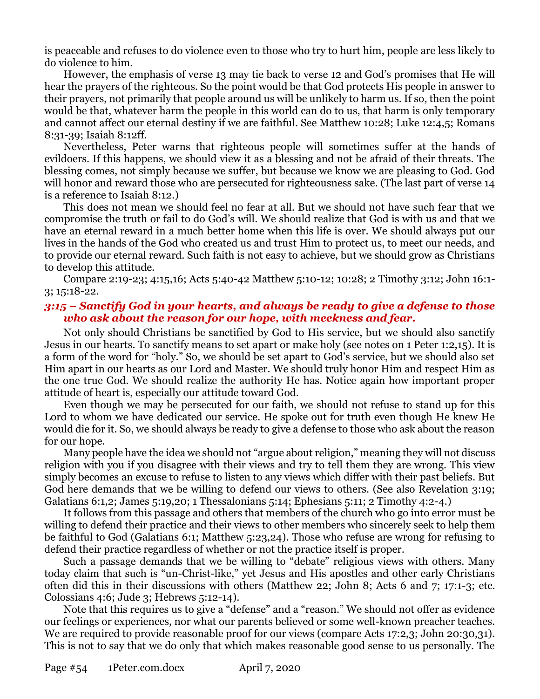is peaceable and refuses to do violence even to those who try to hurt him, people are less likely to do violence to him.

However, the emphasis of verse 13 may tie back to verse 12 and God's promises that He will hear the prayers of the righteous. So the point would be that God protects His people in answer to their prayers, not primarily that people around us will be unlikely to harm us. If so, then the point would be that, whatever harm the people in this world can do to us, that harm is only temporary and cannot affect our eternal destiny if we are faithful. See Matthew 10:28; Luke 12:4,5; Romans 8:31-39; Isaiah 8:12ff.

Nevertheless, Peter warns that righteous people will sometimes suffer at the hands of evildoers. If this happens, we should view it as a blessing and not be afraid of their threats. The blessing comes, not simply because we suffer, but because we know we are pleasing to God. God will honor and reward those who are persecuted for righteousness sake. (The last part of verse 14 is a reference to Isaiah 8:12.)

This does not mean we should feel no fear at all. But we should not have such fear that we compromise the truth or fail to do God's will. We should realize that God is with us and that we have an eternal reward in a much better home when this life is over. We should always put our lives in the hands of the God who created us and trust Him to protect us, to meet our needs, and to provide our eternal reward. Such faith is not easy to achieve, but we should grow as Christians to develop this attitude.

Compare 2:19-23; 4:15,16; Acts 5:40-42 Matthew 5:10-12; 10:28; 2 Timothy 3:12; John 16:1- 3; 15:18-22.

#### *3:15 – Sanctify God in your hearts, and always be ready to give a defense to those who ask about the reason for our hope, with meekness and fear.*

Not only should Christians be sanctified by God to His service, but we should also sanctify Jesus in our hearts. To sanctify means to set apart or make holy (see notes on 1 Peter 1:2,15). It is a form of the word for "holy." So, we should be set apart to God's service, but we should also set Him apart in our hearts as our Lord and Master. We should truly honor Him and respect Him as the one true God. We should realize the authority He has. Notice again how important proper attitude of heart is, especially our attitude toward God.

Even though we may be persecuted for our faith, we should not refuse to stand up for this Lord to whom we have dedicated our service. He spoke out for truth even though He knew He would die for it. So, we should always be ready to give a defense to those who ask about the reason for our hope.

Many people have the idea we should not "argue about religion," meaning they will not discuss religion with you if you disagree with their views and try to tell them they are wrong. This view simply becomes an excuse to refuse to listen to any views which differ with their past beliefs. But God here demands that we be willing to defend our views to others. (See also Revelation 3:19; Galatians 6:1,2; James 5:19,20; 1 Thessalonians 5:14; Ephesians 5:11; 2 Timothy 4:2-4.)

It follows from this passage and others that members of the church who go into error must be willing to defend their practice and their views to other members who sincerely seek to help them be faithful to God (Galatians 6:1; Matthew 5:23,24). Those who refuse are wrong for refusing to defend their practice regardless of whether or not the practice itself is proper.

Such a passage demands that we be willing to "debate" religious views with others. Many today claim that such is "un-Christ-like," yet Jesus and His apostles and other early Christians often did this in their discussions with others (Matthew 22; John 8; Acts 6 and 7; 17:1-3; etc. Colossians 4:6; Jude 3; Hebrews 5:12-14).

Note that this requires us to give a "defense" and a "reason." We should not offer as evidence our feelings or experiences, nor what our parents believed or some well-known preacher teaches. We are required to provide reasonable proof for our views (compare Acts 17:2,3; John 20:30,31). This is not to say that we do only that which makes reasonable good sense to us personally. The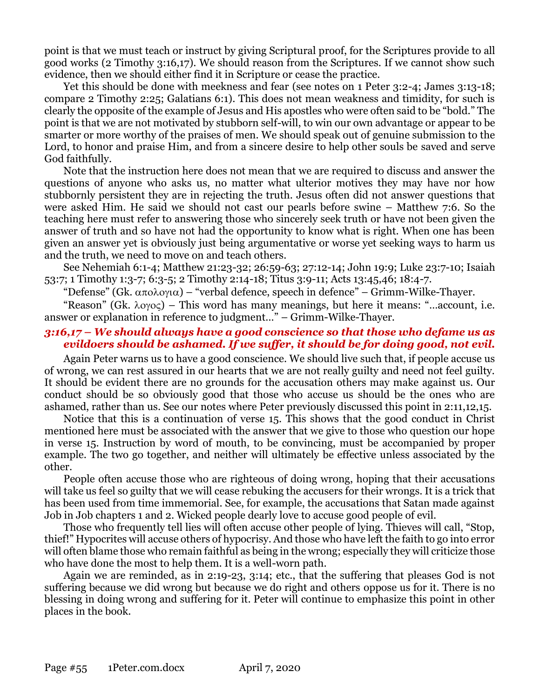point is that we must teach or instruct by giving Scriptural proof, for the Scriptures provide to all good works (2 Timothy 3:16,17). We should reason from the Scriptures. If we cannot show such evidence, then we should either find it in Scripture or cease the practice.

Yet this should be done with meekness and fear (see notes on 1 Peter 3:2-4; James 3:13-18; compare 2 Timothy 2:25; Galatians 6:1). This does not mean weakness and timidity, for such is clearly the opposite of the example of Jesus and His apostles who were often said to be "bold." The point is that we are not motivated by stubborn self-will, to win our own advantage or appear to be smarter or more worthy of the praises of men. We should speak out of genuine submission to the Lord, to honor and praise Him, and from a sincere desire to help other souls be saved and serve God faithfully.

Note that the instruction here does not mean that we are required to discuss and answer the questions of anyone who asks us, no matter what ulterior motives they may have nor how stubbornly persistent they are in rejecting the truth. Jesus often did not answer questions that were asked Him. He said we should not cast our pearls before swine – Matthew 7:6. So the teaching here must refer to answering those who sincerely seek truth or have not been given the answer of truth and so have not had the opportunity to know what is right. When one has been given an answer yet is obviously just being argumentative or worse yet seeking ways to harm us and the truth, we need to move on and teach others.

See Nehemiah 6:1-4; Matthew 21:23-32; 26:59-63; 27:12-14; John 19:9; Luke 23:7-10; Isaiah 53:7; 1 Timothy 1:3-7; 6:3-5; 2 Timothy 2:14-18; Titus 3:9-11; Acts 13:45,46; 18:4-7.

"Defense" (Gk.  $\alpha \pi \circ \lambda \circ \gamma \circ \alpha$ ) – "verbal defence, speech in defence" – Grimm-Wilke-Thayer.

"Reason" (Gk.  $\lambda$ o $\gamma$ o $\varsigma$ ) – This word has many meanings, but here it means: "...account, i.e. answer or explanation in reference to judgment…" – Grimm-Wilke-Thayer.

### *3:16,17 – We should always have a good conscience so that those who defame us as evildoers should be ashamed. If we suffer, it should be for doing good, not evil.*

Again Peter warns us to have a good conscience. We should live such that, if people accuse us of wrong, we can rest assured in our hearts that we are not really guilty and need not feel guilty. It should be evident there are no grounds for the accusation others may make against us. Our conduct should be so obviously good that those who accuse us should be the ones who are ashamed, rather than us. See our notes where Peter previously discussed this point in 2:11,12,15.

Notice that this is a continuation of verse 15. This shows that the good conduct in Christ mentioned here must be associated with the answer that we give to those who question our hope in verse 15. Instruction by word of mouth, to be convincing, must be accompanied by proper example. The two go together, and neither will ultimately be effective unless associated by the other.

People often accuse those who are righteous of doing wrong, hoping that their accusations will take us feel so guilty that we will cease rebuking the accusers for their wrongs. It is a trick that has been used from time immemorial. See, for example, the accusations that Satan made against Job in Job chapters 1 and 2. Wicked people dearly love to accuse good people of evil.

Those who frequently tell lies will often accuse other people of lying. Thieves will call, "Stop, thief!" Hypocrites will accuse others of hypocrisy. And those who have left the faith to go into error will often blame those who remain faithful as being in the wrong; especially they will criticize those who have done the most to help them. It is a well-worn path.

Again we are reminded, as in 2:19-23, 3:14; etc., that the suffering that pleases God is not suffering because we did wrong but because we do right and others oppose us for it. There is no blessing in doing wrong and suffering for it. Peter will continue to emphasize this point in other places in the book.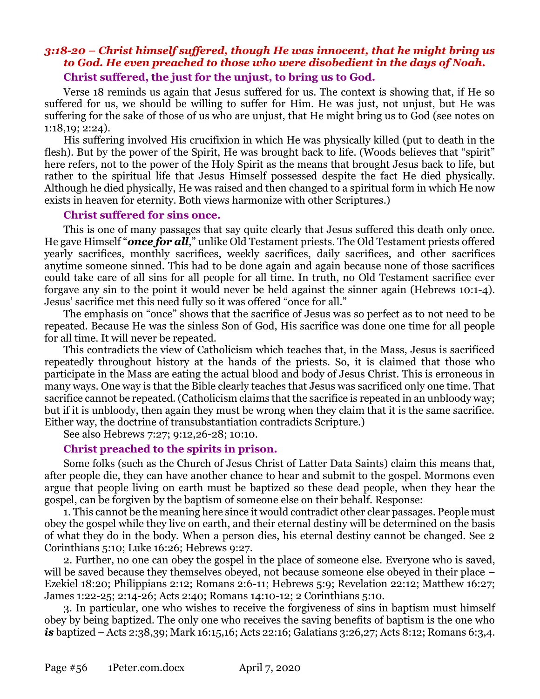## *3:18-20 – Christ himself suffered, though He was innocent, that he might bring us to God. He even preached to those who were disobedient in the days of Noah.* **Christ suffered, the just for the unjust, to bring us to God.**

Verse 18 reminds us again that Jesus suffered for us. The context is showing that, if He so suffered for us, we should be willing to suffer for Him. He was just, not unjust, but He was suffering for the sake of those of us who are unjust, that He might bring us to God (see notes on 1:18,19; 2:24).

His suffering involved His crucifixion in which He was physically killed (put to death in the flesh). But by the power of the Spirit, He was brought back to life. (Woods believes that "spirit" here refers, not to the power of the Holy Spirit as the means that brought Jesus back to life, but rather to the spiritual life that Jesus Himself possessed despite the fact He died physically. Although he died physically, He was raised and then changed to a spiritual form in which He now exists in heaven for eternity. Both views harmonize with other Scriptures.)

#### **Christ suffered for sins once.**

This is one of many passages that say quite clearly that Jesus suffered this death only once. He gave Himself "*once for all*," unlike Old Testament priests. The Old Testament priests offered yearly sacrifices, monthly sacrifices, weekly sacrifices, daily sacrifices, and other sacrifices anytime someone sinned. This had to be done again and again because none of those sacrifices could take care of all sins for all people for all time. In truth, no Old Testament sacrifice ever forgave any sin to the point it would never be held against the sinner again (Hebrews 10:1-4). Jesus' sacrifice met this need fully so it was offered "once for all."

The emphasis on "once" shows that the sacrifice of Jesus was so perfect as to not need to be repeated. Because He was the sinless Son of God, His sacrifice was done one time for all people for all time. It will never be repeated.

This contradicts the view of Catholicism which teaches that, in the Mass, Jesus is sacrificed repeatedly throughout history at the hands of the priests. So, it is claimed that those who participate in the Mass are eating the actual blood and body of Jesus Christ. This is erroneous in many ways. One way is that the Bible clearly teaches that Jesus was sacrificed only one time. That sacrifice cannot be repeated. (Catholicism claims that the sacrifice is repeated in an unbloody way; but if it is unbloody, then again they must be wrong when they claim that it is the same sacrifice. Either way, the doctrine of transubstantiation contradicts Scripture.)

See also Hebrews 7:27; 9:12,26-28; 10:10.

## **Christ preached to the spirits in prison.**

Some folks (such as the Church of Jesus Christ of Latter Data Saints) claim this means that, after people die, they can have another chance to hear and submit to the gospel. Mormons even argue that people living on earth must be baptized so these dead people, when they hear the gospel, can be forgiven by the baptism of someone else on their behalf. Response:

1. This cannot be the meaning here since it would contradict other clear passages. People must obey the gospel while they live on earth, and their eternal destiny will be determined on the basis of what they do in the body. When a person dies, his eternal destiny cannot be changed. See 2 Corinthians 5:10; Luke 16:26; Hebrews 9:27.

2. Further, no one can obey the gospel in the place of someone else. Everyone who is saved, will be saved because they themselves obeyed, not because someone else obeyed in their place – Ezekiel 18:20; Philippians 2:12; Romans 2:6-11; Hebrews 5:9; Revelation 22:12; Matthew 16:27; James 1:22-25; 2:14-26; Acts 2:40; Romans 14:10-12; 2 Corinthians 5:10.

3. In particular, one who wishes to receive the forgiveness of sins in baptism must himself obey by being baptized. The only one who receives the saving benefits of baptism is the one who *is* baptized – Acts 2:38,39; Mark 16:15,16; Acts 22:16; Galatians 3:26,27; Acts 8:12; Romans 6:3,4.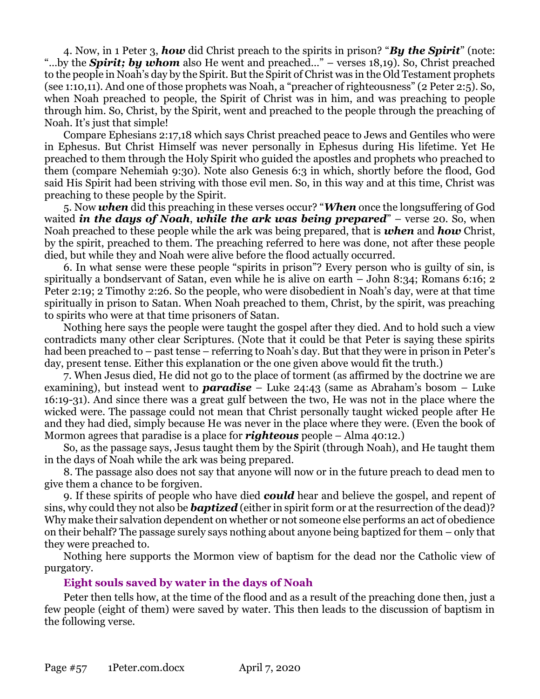4. Now, in 1 Peter 3, *how* did Christ preach to the spirits in prison? "*By the Spirit*" (note: "…by the *Spirit; by whom* also He went and preached…" – verses 18,19). So, Christ preached to the people in Noah's day by the Spirit. But the Spirit of Christ was in the Old Testament prophets (see 1:10,11). And one of those prophets was Noah, a "preacher of righteousness" (2 Peter 2:5). So, when Noah preached to people, the Spirit of Christ was in him, and was preaching to people through him. So, Christ, by the Spirit, went and preached to the people through the preaching of Noah. It's just that simple!

Compare Ephesians 2:17,18 which says Christ preached peace to Jews and Gentiles who were in Ephesus. But Christ Himself was never personally in Ephesus during His lifetime. Yet He preached to them through the Holy Spirit who guided the apostles and prophets who preached to them (compare Nehemiah 9:30). Note also Genesis 6:3 in which, shortly before the flood, God said His Spirit had been striving with those evil men. So, in this way and at this time, Christ was preaching to these people by the Spirit.

5. Now *when* did this preaching in these verses occur? "*When* once the longsuffering of God waited *in the days of Noah*, *while the ark was being prepared*" – verse 20. So, when Noah preached to these people while the ark was being prepared, that is *when* and *how* Christ, by the spirit, preached to them. The preaching referred to here was done, not after these people died, but while they and Noah were alive before the flood actually occurred.

6. In what sense were these people "spirits in prison"? Every person who is guilty of sin, is spiritually a bondservant of Satan, even while he is alive on earth – John 8:34; Romans 6:16; 2 Peter 2:19; 2 Timothy 2:26. So the people, who were disobedient in Noah's day, were at that time spiritually in prison to Satan. When Noah preached to them, Christ, by the spirit, was preaching to spirits who were at that time prisoners of Satan.

Nothing here says the people were taught the gospel after they died. And to hold such a view contradicts many other clear Scriptures. (Note that it could be that Peter is saying these spirits had been preached to – past tense – referring to Noah's day. But that they were in prison in Peter's day, present tense. Either this explanation or the one given above would fit the truth.)

7. When Jesus died, He did not go to the place of torment (as affirmed by the doctrine we are examining), but instead went to *paradise* – Luke 24:43 (same as Abraham's bosom – Luke 16:19-31). And since there was a great gulf between the two, He was not in the place where the wicked were. The passage could not mean that Christ personally taught wicked people after He and they had died, simply because He was never in the place where they were. (Even the book of Mormon agrees that paradise is a place for *righteous* people – Alma 40:12.)

So, as the passage says, Jesus taught them by the Spirit (through Noah), and He taught them in the days of Noah while the ark was being prepared.

8. The passage also does not say that anyone will now or in the future preach to dead men to give them a chance to be forgiven.

9. If these spirits of people who have died *could* hear and believe the gospel, and repent of sins, why could they not also be *baptized* (either in spirit form or at the resurrection of the dead)? Why make their salvation dependent on whether or not someone else performs an act of obedience on their behalf? The passage surely says nothing about anyone being baptized for them – only that they were preached to.

Nothing here supports the Mormon view of baptism for the dead nor the Catholic view of purgatory.

## **Eight souls saved by water in the days of Noah**

Peter then tells how, at the time of the flood and as a result of the preaching done then, just a few people (eight of them) were saved by water. This then leads to the discussion of baptism in the following verse.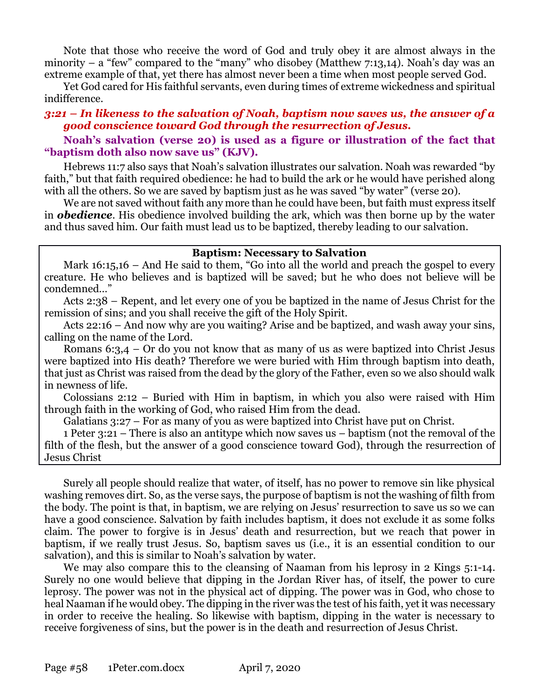Note that those who receive the word of God and truly obey it are almost always in the minority – a "few" compared to the "many" who disobey (Matthew  $7:13,14$ ). Noah's day was an extreme example of that, yet there has almost never been a time when most people served God.

Yet God cared for His faithful servants, even during times of extreme wickedness and spiritual indifference.

#### *3:21 – In likeness to the salvation of Noah, baptism now saves us, the answer of a good conscience toward God through the resurrection of Jesus.*

### **Noah's salvation (verse 20) is used as a figure or illustration of the fact that "baptism doth also now save us" (KJV).**

Hebrews 11:7 also says that Noah's salvation illustrates our salvation. Noah was rewarded "by faith," but that faith required obedience: he had to build the ark or he would have perished along with all the others. So we are saved by baptism just as he was saved "by water" (verse 20).

We are not saved without faith any more than he could have been, but faith must express itself in *obedience*. His obedience involved building the ark, which was then borne up by the water and thus saved him. Our faith must lead us to be baptized, thereby leading to our salvation.

#### **Baptism: Necessary to Salvation**

Mark 16:15,16 – And He said to them, "Go into all the world and preach the gospel to every creature. He who believes and is baptized will be saved; but he who does not believe will be condemned…"

Acts 2:38 – Repent, and let every one of you be baptized in the name of Jesus Christ for the remission of sins; and you shall receive the gift of the Holy Spirit.

Acts 22:16 – And now why are you waiting? Arise and be baptized, and wash away your sins, calling on the name of the Lord.

Romans  $6:3,4$  – Or do you not know that as many of us as were baptized into Christ Jesus were baptized into His death? Therefore we were buried with Him through baptism into death, that just as Christ was raised from the dead by the glory of the Father, even so we also should walk in newness of life.

Colossians 2:12 – Buried with Him in baptism, in which you also were raised with Him through faith in the working of God, who raised Him from the dead.

Galatians 3:27 – For as many of you as were baptized into Christ have put on Christ.

1 Peter 3:21 – There is also an antitype which now saves us – baptism (not the removal of the filth of the flesh, but the answer of a good conscience toward God), through the resurrection of Jesus Christ

Surely all people should realize that water, of itself, has no power to remove sin like physical washing removes dirt. So, as the verse says, the purpose of baptism is not the washing of filth from the body. The point is that, in baptism, we are relying on Jesus' resurrection to save us so we can have a good conscience. Salvation by faith includes baptism, it does not exclude it as some folks claim. The power to forgive is in Jesus' death and resurrection, but we reach that power in baptism, if we really trust Jesus. So, baptism saves us (i.e., it is an essential condition to our salvation), and this is similar to Noah's salvation by water.

We may also compare this to the cleansing of Naaman from his leprosy in 2 Kings 5:1-14. Surely no one would believe that dipping in the Jordan River has, of itself, the power to cure leprosy. The power was not in the physical act of dipping. The power was in God, who chose to heal Naaman if he would obey. The dipping in the river was the test of his faith, yet it was necessary in order to receive the healing. So likewise with baptism, dipping in the water is necessary to receive forgiveness of sins, but the power is in the death and resurrection of Jesus Christ.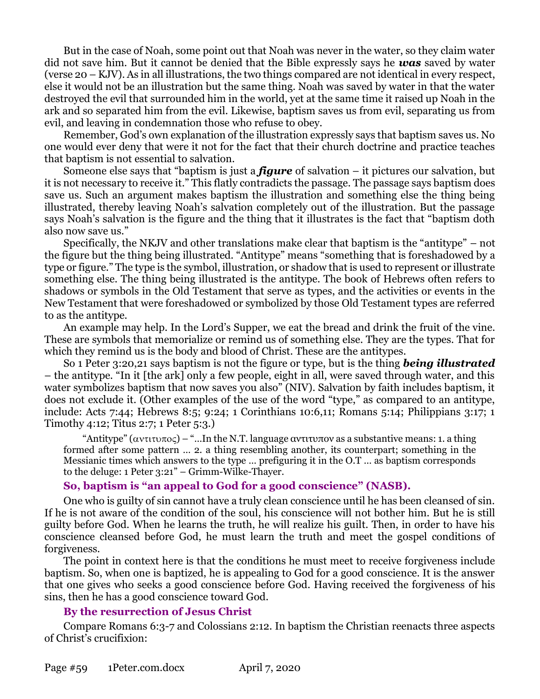But in the case of Noah, some point out that Noah was never in the water, so they claim water did not save him. But it cannot be denied that the Bible expressly says he *was* saved by water (verse 20 – KJV). As in all illustrations, the two things compared are not identical in every respect, else it would not be an illustration but the same thing. Noah was saved by water in that the water destroyed the evil that surrounded him in the world, yet at the same time it raised up Noah in the ark and so separated him from the evil. Likewise, baptism saves us from evil, separating us from evil, and leaving in condemnation those who refuse to obey.

Remember, God's own explanation of the illustration expressly says that baptism saves us. No one would ever deny that were it not for the fact that their church doctrine and practice teaches that baptism is not essential to salvation.

Someone else says that "baptism is just a *figure* of salvation – it pictures our salvation, but it is not necessary to receive it." This flatly contradicts the passage. The passage says baptism does save us. Such an argument makes baptism the illustration and something else the thing being illustrated, thereby leaving Noah's salvation completely out of the illustration. But the passage says Noah's salvation is the figure and the thing that it illustrates is the fact that "baptism doth also now save us."

Specifically, the NKJV and other translations make clear that baptism is the "antitype" – not the figure but the thing being illustrated. "Antitype" means "something that is foreshadowed by a type or figure." The type is the symbol, illustration, or shadow that is used to represent or illustrate something else. The thing being illustrated is the antitype. The book of Hebrews often refers to shadows or symbols in the Old Testament that serve as types, and the activities or events in the New Testament that were foreshadowed or symbolized by those Old Testament types are referred to as the antitype.

An example may help. In the Lord's Supper, we eat the bread and drink the fruit of the vine. These are symbols that memorialize or remind us of something else. They are the types. That for which they remind us is the body and blood of Christ. These are the antitypes.

So 1 Peter 3:20,21 says baptism is not the figure or type, but is the thing *being illustrated* – the antitype. "In it [the ark] only a few people, eight in all, were saved through water, and this water symbolizes baptism that now saves you also" (NIV). Salvation by faith includes baptism, it does not exclude it. (Other examples of the use of the word "type," as compared to an antitype, include: Acts 7:44; Hebrews 8:5; 9:24; 1 Corinthians 10:6,11; Romans 5:14; Philippians 3:17; 1 Timothy 4:12; Titus 2:7; 1 Peter 5:3.)

"Antitype" ( $\alpha$ ντιτυπος) – "...In the N.T. language αντιτυπον as a substantive means: 1. a thing formed after some pattern … 2. a thing resembling another, its counterpart; something in the Messianic times which answers to the type … prefiguring it in the O.T … as baptism corresponds to the deluge: 1 Peter 3:21" – Grimm-Wilke-Thayer.

## **So, baptism is "an appeal to God for a good conscience" (NASB).**

One who is guilty of sin cannot have a truly clean conscience until he has been cleansed of sin. If he is not aware of the condition of the soul, his conscience will not bother him. But he is still guilty before God. When he learns the truth, he will realize his guilt. Then, in order to have his conscience cleansed before God, he must learn the truth and meet the gospel conditions of forgiveness.

The point in context here is that the conditions he must meet to receive forgiveness include baptism. So, when one is baptized, he is appealing to God for a good conscience. It is the answer that one gives who seeks a good conscience before God. Having received the forgiveness of his sins, then he has a good conscience toward God.

## **By the resurrection of Jesus Christ**

Compare Romans 6:3-7 and Colossians 2:12. In baptism the Christian reenacts three aspects of Christ's crucifixion: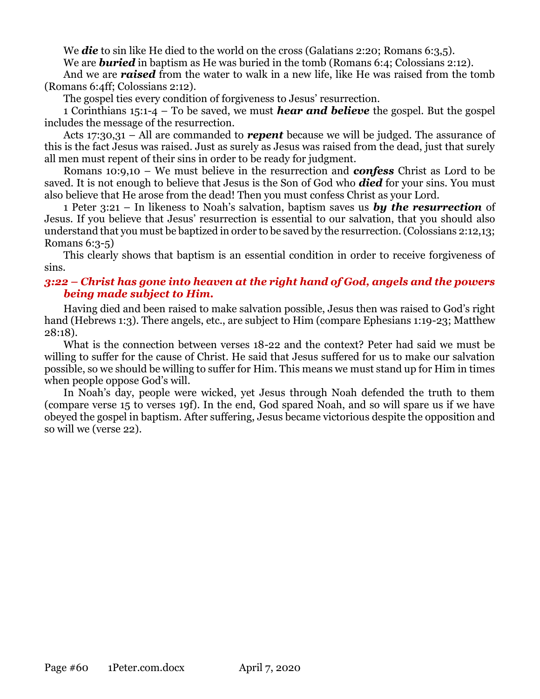We **die** to sin like He died to the world on the cross (Galatians 2:20; Romans 6:3,5).

We are **buried** in baptism as He was buried in the tomb (Romans 6:4; Colossians 2:12).

And we are *raised* from the water to walk in a new life, like He was raised from the tomb (Romans 6:4ff; Colossians 2:12).

The gospel ties every condition of forgiveness to Jesus' resurrection.

1 Corinthians 15:1-4 – To be saved, we must *hear and believe* the gospel. But the gospel includes the message of the resurrection.

Acts 17:30,31 – All are commanded to *repent* because we will be judged. The assurance of this is the fact Jesus was raised. Just as surely as Jesus was raised from the dead, just that surely all men must repent of their sins in order to be ready for judgment.

Romans 10:9,10 – We must believe in the resurrection and *confess* Christ as Lord to be saved. It is not enough to believe that Jesus is the Son of God who *died* for your sins. You must also believe that He arose from the dead! Then you must confess Christ as your Lord.

1 Peter 3:21 – In likeness to Noah's salvation, baptism saves us *by the resurrection* of Jesus. If you believe that Jesus' resurrection is essential to our salvation, that you should also understand that you must be baptized in order to be saved by the resurrection. (Colossians 2:12,13; Romans 6:3-5)

This clearly shows that baptism is an essential condition in order to receive forgiveness of sins.

## *3:22 – Christ has gone into heaven at the right hand of God, angels and the powers being made subject to Him.*

Having died and been raised to make salvation possible, Jesus then was raised to God's right hand (Hebrews 1:3). There angels, etc., are subject to Him (compare Ephesians 1:19-23; Matthew 28:18).

What is the connection between verses 18-22 and the context? Peter had said we must be willing to suffer for the cause of Christ. He said that Jesus suffered for us to make our salvation possible, so we should be willing to suffer for Him. This means we must stand up for Him in times when people oppose God's will.

In Noah's day, people were wicked, yet Jesus through Noah defended the truth to them (compare verse 15 to verses 19f). In the end, God spared Noah, and so will spare us if we have obeyed the gospel in baptism. After suffering, Jesus became victorious despite the opposition and so will we (verse 22).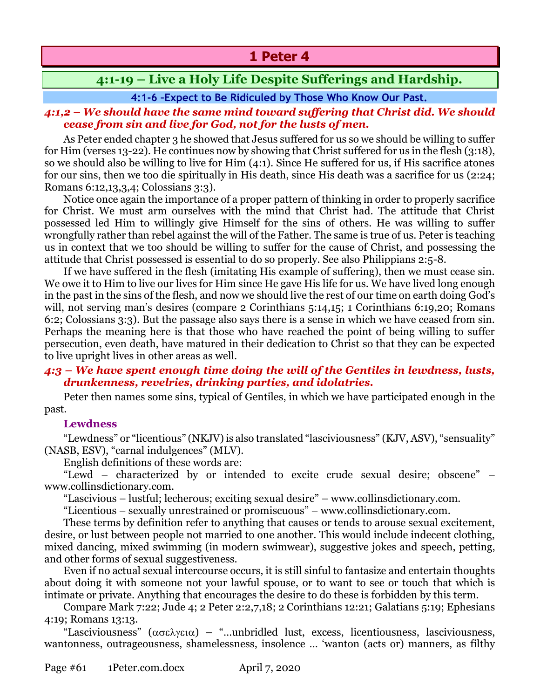# **1 Peter 4**

# **4:1-19 – Live a Holy Life Despite Sufferings and Hardship.**

## **4:1-6 –Expect to Be Ridiculed by Those Who Know Our Past.**

## *4:1,2 – We should have the same mind toward suffering that Christ did. We should cease from sin and live for God, not for the lusts of men.*

As Peter ended chapter 3 he showed that Jesus suffered for us so we should be willing to suffer for Him (verses 13-22). He continues now by showing that Christ suffered for us in the flesh (3:18), so we should also be willing to live for Him (4:1). Since He suffered for us, if His sacrifice atones for our sins, then we too die spiritually in His death, since His death was a sacrifice for us (2:24; Romans 6:12,13,3,4; Colossians 3:3).

Notice once again the importance of a proper pattern of thinking in order to properly sacrifice for Christ. We must arm ourselves with the mind that Christ had. The attitude that Christ possessed led Him to willingly give Himself for the sins of others. He was willing to suffer wrongfully rather than rebel against the will of the Father. The same is true of us. Peter is teaching us in context that we too should be willing to suffer for the cause of Christ, and possessing the attitude that Christ possessed is essential to do so properly. See also Philippians 2:5-8.

If we have suffered in the flesh (imitating His example of suffering), then we must cease sin. We owe it to Him to live our lives for Him since He gave His life for us. We have lived long enough in the past in the sins of the flesh, and now we should live the rest of our time on earth doing God's will, not serving man's desires (compare 2 Corinthians 5:14,15; 1 Corinthians 6:19,20; Romans 6:2; Colossians 3:3). But the passage also says there is a sense in which we have ceased from sin. Perhaps the meaning here is that those who have reached the point of being willing to suffer persecution, even death, have matured in their dedication to Christ so that they can be expected to live upright lives in other areas as well.

## *4:3 – We have spent enough time doing the will of the Gentiles in lewdness, lusts, drunkenness, revelries, drinking parties, and idolatries.*

Peter then names some sins, typical of Gentiles, in which we have participated enough in the past.

## **Lewdness**

"Lewdness" or "licentious" (NKJV) is also translated "lasciviousness" (KJV, ASV), "sensuality" (NASB, ESV), "carnal indulgences" (MLV).

English definitions of these words are:

"Lewd – characterized by or intended to excite crude sexual desire; obscene" – www.collinsdictionary.com.

"Lascivious – lustful; lecherous; exciting sexual desire" – www.collinsdictionary.com.

"Licentious – sexually unrestrained or promiscuous" – www.collinsdictionary.com.

These terms by definition refer to anything that causes or tends to arouse sexual excitement, desire, or lust between people not married to one another. This would include indecent clothing, mixed dancing, mixed swimming (in modern swimwear), suggestive jokes and speech, petting, and other forms of sexual suggestiveness.

Even if no actual sexual intercourse occurs, it is still sinful to fantasize and entertain thoughts about doing it with someone not your lawful spouse, or to want to see or touch that which is intimate or private. Anything that encourages the desire to do these is forbidden by this term.

Compare Mark 7:22; Jude 4; 2 Peter 2:2,7,18; 2 Corinthians 12:21; Galatians 5:19; Ephesians 4:19; Romans 13:13.

"Lasciviousness"  $(\alpha \sigma \epsilon \lambda \gamma \epsilon \iota \alpha)$  – "...unbridled lust, excess, licentiousness, lasciviousness, wantonness, outrageousness, shamelessness, insolence … 'wanton (acts or) manners, as filthy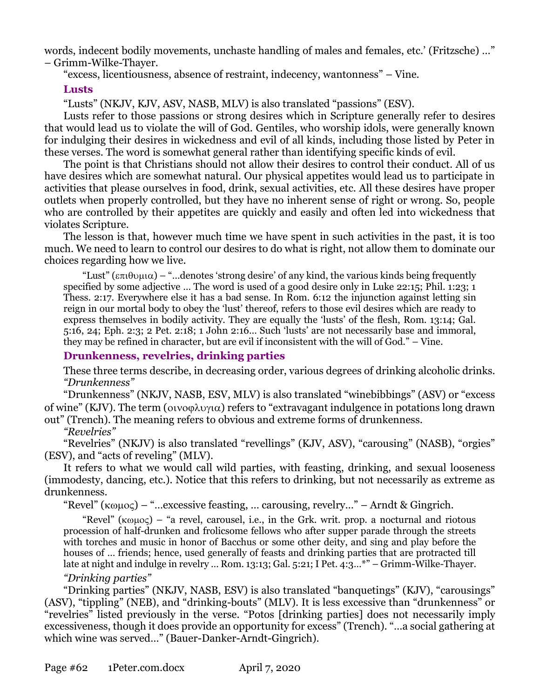words, indecent bodily movements, unchaste handling of males and females, etc.' (Fritzsche) …" – Grimm-Wilke-Thayer.

"excess, licentiousness, absence of restraint, indecency, wantonness" – Vine.

## **Lusts**

"Lusts" (NKJV, KJV, ASV, NASB, MLV) is also translated "passions" (ESV).

Lusts refer to those passions or strong desires which in Scripture generally refer to desires that would lead us to violate the will of God. Gentiles, who worship idols, were generally known for indulging their desires in wickedness and evil of all kinds, including those listed by Peter in these verses. The word is somewhat general rather than identifying specific kinds of evil.

The point is that Christians should not allow their desires to control their conduct. All of us have desires which are somewhat natural. Our physical appetites would lead us to participate in activities that please ourselves in food, drink, sexual activities, etc. All these desires have proper outlets when properly controlled, but they have no inherent sense of right or wrong. So, people who are controlled by their appetites are quickly and easily and often led into wickedness that violates Scripture.

The lesson is that, however much time we have spent in such activities in the past, it is too much. We need to learn to control our desires to do what is right, not allow them to dominate our choices regarding how we live.

"Lust" ( $\epsilon \pi i \theta \nu \mu i \alpha$ ) – "...denotes 'strong desire' of any kind, the various kinds being frequently specified by some adjective … The word is used of a good desire only in Luke 22:15; Phil. 1:23; 1 Thess. 2:17. Everywhere else it has a bad sense. In Rom. 6:12 the injunction against letting sin reign in our mortal body to obey the 'lust' thereof, refers to those evil desires which are ready to express themselves in bodily activity. They are equally the 'lusts' of the flesh, Rom. 13:14; Gal. 5:16, 24; Eph. 2:3; 2 Pet. 2:18; 1 John 2:16… Such 'lusts' are not necessarily base and immoral, they may be refined in character, but are evil if inconsistent with the will of God." – Vine.

## **Drunkenness, revelries, drinking parties**

These three terms describe, in decreasing order, various degrees of drinking alcoholic drinks. *"Drunkenness"*

"Drunkenness" (NKJV, NASB, ESV, MLV) is also translated "winebibbings" (ASV) or "excess of wine" (KJV). The term ( $\alpha$  $\alpha$  $\beta$ ) refers to "extravagant indulgence in potations long drawn out" (Trench). The meaning refers to obvious and extreme forms of drunkenness.

*"Revelries"*

"Revelries" (NKJV) is also translated "revellings" (KJV, ASV), "carousing" (NASB), "orgies" (ESV), and "acts of reveling" (MLV).

It refers to what we would call wild parties, with feasting, drinking, and sexual looseness (immodesty, dancing, etc.). Notice that this refers to drinking, but not necessarily as extreme as drunkenness.

"Revel"  $(\kappa \omega \mu o \varsigma)$  – "... excessive feasting, ... carousing, revelry..." – Arndt & Gingrich.

"Revel" ( $\kappa \omega \mu o \varsigma$ ) – "a revel, carousel, i.e., in the Grk. writ. prop. a nocturnal and riotous procession of half-drunken and frolicsome fellows who after supper parade through the streets with torches and music in honor of Bacchus or some other deity, and sing and play before the houses of … friends; hence, used generally of feasts and drinking parties that are protracted till late at night and indulge in revelry ... Rom. 13:13; Gal. 5:21; I Pet. 4:3...\*" – Grimm-Wilke-Thayer.

## *"Drinking parties"*

"Drinking parties" (NKJV, NASB, ESV) is also translated "banquetings" (KJV), "carousings" (ASV), "tippling" (NEB), and "drinking-bouts" (MLV). It is less excessive than "drunkenness" or "revelries" listed previously in the verse. "Potos [drinking parties] does not necessarily imply excessiveness, though it does provide an opportunity for excess" (Trench). "…a social gathering at which wine was served…" (Bauer-Danker-Arndt-Gingrich).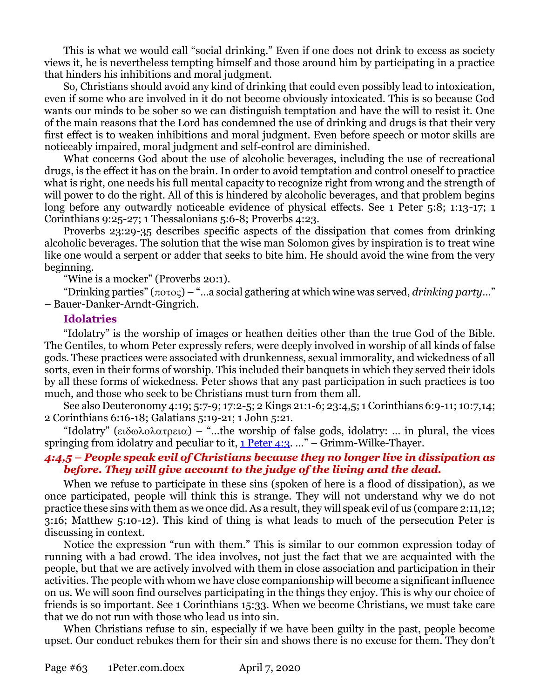This is what we would call "social drinking." Even if one does not drink to excess as society views it, he is nevertheless tempting himself and those around him by participating in a practice that hinders his inhibitions and moral judgment.

So, Christians should avoid any kind of drinking that could even possibly lead to intoxication, even if some who are involved in it do not become obviously intoxicated. This is so because God wants our minds to be sober so we can distinguish temptation and have the will to resist it. One of the main reasons that the Lord has condemned the use of drinking and drugs is that their very first effect is to weaken inhibitions and moral judgment. Even before speech or motor skills are noticeably impaired, moral judgment and self-control are diminished.

What concerns God about the use of alcoholic beverages, including the use of recreational drugs, is the effect it has on the brain. In order to avoid temptation and control oneself to practice what is right, one needs his full mental capacity to recognize right from wrong and the strength of will power to do the right. All of this is hindered by alcoholic beverages, and that problem begins long before any outwardly noticeable evidence of physical effects. See 1 Peter 5:8; 1:13-17; 1 Corinthians 9:25-27; 1 Thessalonians 5:6-8; Proverbs 4:23.

Proverbs 23:29-35 describes specific aspects of the dissipation that comes from drinking alcoholic beverages. The solution that the wise man Solomon gives by inspiration is to treat wine like one would a serpent or adder that seeks to bite him. He should avoid the wine from the very beginning.

"Wine is a mocker" (Proverbs 20:1).

"Drinking parties"  $(\pi \circ \tau) -$ "...a social gathering at which wine was served, *drinking party*..." – Bauer-Danker-Arndt-Gingrich.

#### **Idolatries**

"Idolatry" is the worship of images or heathen deities other than the true God of the Bible. The Gentiles, to whom Peter expressly refers, were deeply involved in worship of all kinds of false gods. These practices were associated with drunkenness, sexual immorality, and wickedness of all sorts, even in their forms of worship. This included their banquets in which they served their idols by all these forms of wickedness. Peter shows that any past participation in such practices is too much, and those who seek to be Christians must turn from them all.

See also Deuteronomy 4:19; 5:7-9; 17:2-5; 2 Kings 21:1-6; 23:4,5; 1 Corinthians 6:9-11; 10:7,14; 2 Corinthians 6:16-18; Galatians 5:19-21; 1 John 5:21.

"Idolatry" ( $\epsilon \delta \omega \lambda \alpha \alpha \tau \rho \epsilon \alpha$ ) – "...the worship of false gods, idolatry: ... in plural, the vices springing from idolatry and peculiar to it,  $1$  Peter 4:3. ..." – Grimm-Wilke-Thayer.

### *4:4,5 – People speak evil of Christians because they no longer live in dissipation as before. They will give account to the judge of the living and the dead.*

When we refuse to participate in these sins (spoken of here is a flood of dissipation), as we once participated, people will think this is strange. They will not understand why we do not practice these sins with them as we once did. As a result, they will speak evil of us (compare 2:11,12; 3:16; Matthew 5:10-12). This kind of thing is what leads to much of the persecution Peter is discussing in context.

Notice the expression "run with them." This is similar to our common expression today of running with a bad crowd. The idea involves, not just the fact that we are acquainted with the people, but that we are actively involved with them in close association and participation in their activities. The people with whom we have close companionship will become a significant influence on us. We will soon find ourselves participating in the things they enjoy. This is why our choice of friends is so important. See 1 Corinthians 15:33. When we become Christians, we must take care that we do not run with those who lead us into sin.

When Christians refuse to sin, especially if we have been guilty in the past, people become upset. Our conduct rebukes them for their sin and shows there is no excuse for them. They don't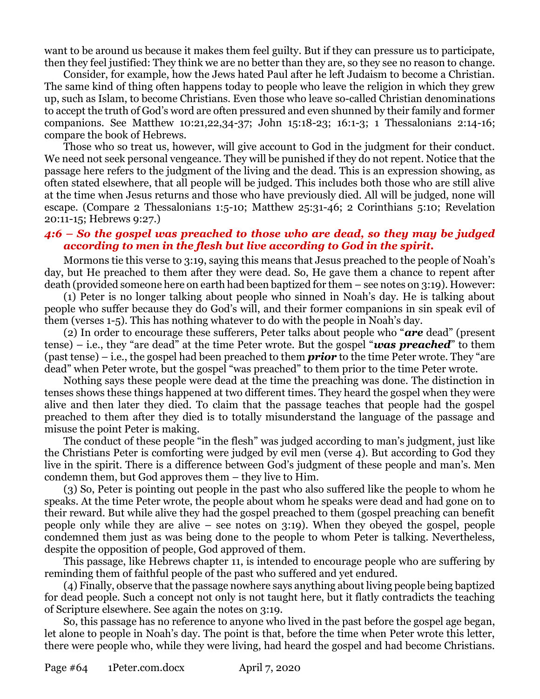want to be around us because it makes them feel guilty. But if they can pressure us to participate, then they feel justified: They think we are no better than they are, so they see no reason to change.

Consider, for example, how the Jews hated Paul after he left Judaism to become a Christian. The same kind of thing often happens today to people who leave the religion in which they grew up, such as Islam, to become Christians. Even those who leave so-called Christian denominations to accept the truth of God's word are often pressured and even shunned by their family and former companions. See Matthew 10:21,22,34-37; John 15:18-23; 16:1-3; 1 Thessalonians 2:14-16; compare the book of Hebrews.

Those who so treat us, however, will give account to God in the judgment for their conduct. We need not seek personal vengeance. They will be punished if they do not repent. Notice that the passage here refers to the judgment of the living and the dead. This is an expression showing, as often stated elsewhere, that all people will be judged. This includes both those who are still alive at the time when Jesus returns and those who have previously died. All will be judged, none will escape. (Compare 2 Thessalonians 1:5-10; Matthew 25:31-46; 2 Corinthians 5:10; Revelation 20:11-15; Hebrews 9:27.)

## *4:6 – So the gospel was preached to those who are dead, so they may be judged according to men in the flesh but live according to God in the spirit.*

Mormons tie this verse to 3:19, saying this means that Jesus preached to the people of Noah's day, but He preached to them after they were dead. So, He gave them a chance to repent after death (provided someone here on earth had been baptized for them – see notes on 3:19). However:

(1) Peter is no longer talking about people who sinned in Noah's day. He is talking about people who suffer because they do God's will, and their former companions in sin speak evil of them (verses 1-5). This has nothing whatever to do with the people in Noah's day.

(2) In order to encourage these sufferers, Peter talks about people who "*are* dead" (present tense) – i.e., they "are dead" at the time Peter wrote. But the gospel "*was preached*" to them (past tense) – i.e., the gospel had been preached to them *prior* to the time Peter wrote. They "are dead" when Peter wrote, but the gospel "was preached" to them prior to the time Peter wrote.

Nothing says these people were dead at the time the preaching was done. The distinction in tenses shows these things happened at two different times. They heard the gospel when they were alive and then later they died. To claim that the passage teaches that people had the gospel preached to them after they died is to totally misunderstand the language of the passage and misuse the point Peter is making.

The conduct of these people "in the flesh" was judged according to man's judgment, just like the Christians Peter is comforting were judged by evil men (verse 4). But according to God they live in the spirit. There is a difference between God's judgment of these people and man's. Men condemn them, but God approves them – they live to Him.

(3) So, Peter is pointing out people in the past who also suffered like the people to whom he speaks. At the time Peter wrote, the people about whom he speaks were dead and had gone on to their reward. But while alive they had the gospel preached to them (gospel preaching can benefit people only while they are alive – see notes on 3:19). When they obeyed the gospel, people condemned them just as was being done to the people to whom Peter is talking. Nevertheless, despite the opposition of people, God approved of them.

This passage, like Hebrews chapter 11, is intended to encourage people who are suffering by reminding them of faithful people of the past who suffered and yet endured.

(4) Finally, observe that the passage nowhere says anything about living people being baptized for dead people. Such a concept not only is not taught here, but it flatly contradicts the teaching of Scripture elsewhere. See again the notes on 3:19.

So, this passage has no reference to anyone who lived in the past before the gospel age began, let alone to people in Noah's day. The point is that, before the time when Peter wrote this letter, there were people who, while they were living, had heard the gospel and had become Christians.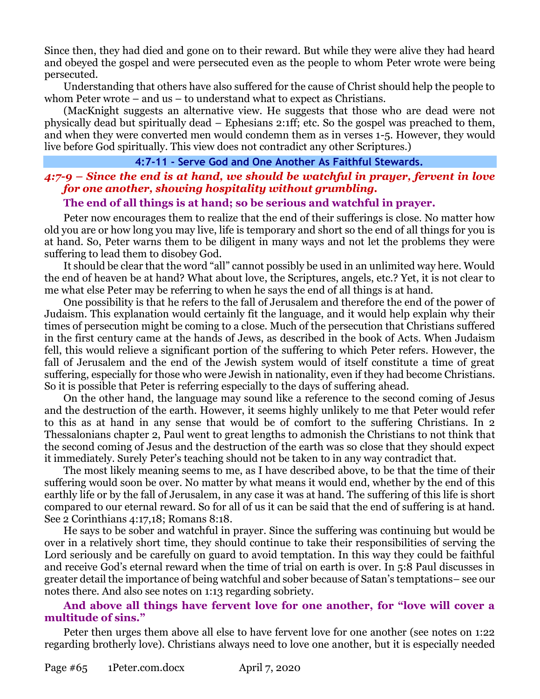Since then, they had died and gone on to their reward. But while they were alive they had heard and obeyed the gospel and were persecuted even as the people to whom Peter wrote were being persecuted.

Understanding that others have also suffered for the cause of Christ should help the people to whom Peter wrote – and us – to understand what to expect as Christians.

(MacKnight suggests an alternative view. He suggests that those who are dead were not physically dead but spiritually dead – Ephesians 2:1ff; etc. So the gospel was preached to them, and when they were converted men would condemn them as in verses 1-5. However, they would live before God spiritually. This view does not contradict any other Scriptures.)

## **4:7-11 - Serve God and One Another As Faithful Stewards.**

## *4:7-9 – Since the end is at hand, we should be watchful in prayer, fervent in love for one another, showing hospitality without grumbling.*

#### **The end of all things is at hand; so be serious and watchful in prayer.**

Peter now encourages them to realize that the end of their sufferings is close. No matter how old you are or how long you may live, life is temporary and short so the end of all things for you is at hand. So, Peter warns them to be diligent in many ways and not let the problems they were suffering to lead them to disobey God.

It should be clear that the word "all" cannot possibly be used in an unlimited way here. Would the end of heaven be at hand? What about love, the Scriptures, angels, etc.? Yet, it is not clear to me what else Peter may be referring to when he says the end of all things is at hand.

One possibility is that he refers to the fall of Jerusalem and therefore the end of the power of Judaism. This explanation would certainly fit the language, and it would help explain why their times of persecution might be coming to a close. Much of the persecution that Christians suffered in the first century came at the hands of Jews, as described in the book of Acts. When Judaism fell, this would relieve a significant portion of the suffering to which Peter refers. However, the fall of Jerusalem and the end of the Jewish system would of itself constitute a time of great suffering, especially for those who were Jewish in nationality, even if they had become Christians. So it is possible that Peter is referring especially to the days of suffering ahead.

On the other hand, the language may sound like a reference to the second coming of Jesus and the destruction of the earth. However, it seems highly unlikely to me that Peter would refer to this as at hand in any sense that would be of comfort to the suffering Christians. In 2 Thessalonians chapter 2, Paul went to great lengths to admonish the Christians to not think that the second coming of Jesus and the destruction of the earth was so close that they should expect it immediately. Surely Peter's teaching should not be taken to in any way contradict that.

The most likely meaning seems to me, as I have described above, to be that the time of their suffering would soon be over. No matter by what means it would end, whether by the end of this earthly life or by the fall of Jerusalem, in any case it was at hand. The suffering of this life is short compared to our eternal reward. So for all of us it can be said that the end of suffering is at hand. See 2 Corinthians 4:17,18; Romans 8:18.

He says to be sober and watchful in prayer. Since the suffering was continuing but would be over in a relatively short time, they should continue to take their responsibilities of serving the Lord seriously and be carefully on guard to avoid temptation. In this way they could be faithful and receive God's eternal reward when the time of trial on earth is over. In 5:8 Paul discusses in greater detail the importance of being watchful and sober because of Satan's temptations– see our notes there. And also see notes on 1:13 regarding sobriety.

## **And above all things have fervent love for one another, for "love will cover a multitude of sins."**

Peter then urges them above all else to have fervent love for one another (see notes on 1:22 regarding brotherly love). Christians always need to love one another, but it is especially needed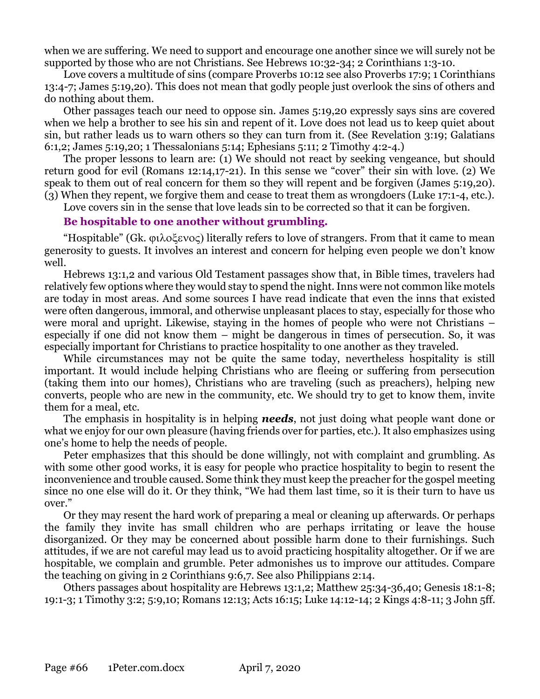when we are suffering. We need to support and encourage one another since we will surely not be supported by those who are not Christians. See Hebrews 10:32-34; 2 Corinthians 1:3-10.

Love covers a multitude of sins (compare Proverbs 10:12 see also Proverbs 17:9; 1 Corinthians 13:4-7; James 5:19,20). This does not mean that godly people just overlook the sins of others and do nothing about them.

Other passages teach our need to oppose sin. James 5:19,20 expressly says sins are covered when we help a brother to see his sin and repent of it. Love does not lead us to keep quiet about sin, but rather leads us to warn others so they can turn from it. (See Revelation 3:19; Galatians 6:1,2; James 5:19,20; 1 Thessalonians 5:14; Ephesians 5:11; 2 Timothy 4:2-4.)

The proper lessons to learn are: (1) We should not react by seeking vengeance, but should return good for evil (Romans 12:14,17-21). In this sense we "cover" their sin with love. (2) We speak to them out of real concern for them so they will repent and be forgiven (James 5:19,20). (3) When they repent, we forgive them and cease to treat them as wrongdoers (Luke 17:1-4, etc.).

Love covers sin in the sense that love leads sin to be corrected so that it can be forgiven.

## **Be hospitable to one another without grumbling.**

"Hospitable" (Gk.  $\varphi\lambda_0 \leq \varphi\alpha_0$ ) literally refers to love of strangers. From that it came to mean generosity to guests. It involves an interest and concern for helping even people we don't know well.

Hebrews 13:1,2 and various Old Testament passages show that, in Bible times, travelers had relatively few options where they would stay to spend the night. Inns were not common like motels are today in most areas. And some sources I have read indicate that even the inns that existed were often dangerous, immoral, and otherwise unpleasant places to stay, especially for those who were moral and upright. Likewise, staying in the homes of people who were not Christians – especially if one did not know them – might be dangerous in times of persecution. So, it was especially important for Christians to practice hospitality to one another as they traveled.

While circumstances may not be quite the same today, nevertheless hospitality is still important. It would include helping Christians who are fleeing or suffering from persecution (taking them into our homes), Christians who are traveling (such as preachers), helping new converts, people who are new in the community, etc. We should try to get to know them, invite them for a meal, etc.

The emphasis in hospitality is in helping *needs*, not just doing what people want done or what we enjoy for our own pleasure (having friends over for parties, etc.). It also emphasizes using one's home to help the needs of people.

Peter emphasizes that this should be done willingly, not with complaint and grumbling. As with some other good works, it is easy for people who practice hospitality to begin to resent the inconvenience and trouble caused. Some think they must keep the preacher for the gospel meeting since no one else will do it. Or they think, "We had them last time, so it is their turn to have us over."

Or they may resent the hard work of preparing a meal or cleaning up afterwards. Or perhaps the family they invite has small children who are perhaps irritating or leave the house disorganized. Or they may be concerned about possible harm done to their furnishings. Such attitudes, if we are not careful may lead us to avoid practicing hospitality altogether. Or if we are hospitable, we complain and grumble. Peter admonishes us to improve our attitudes. Compare the teaching on giving in 2 Corinthians 9:6,7. See also Philippians 2:14.

Others passages about hospitality are Hebrews 13:1,2; Matthew 25:34-36,40; Genesis 18:1-8; 19:1-3; 1 Timothy 3:2; 5:9,10; Romans 12:13; Acts 16:15; Luke 14:12-14; 2 Kings 4:8-11; 3 John 5ff.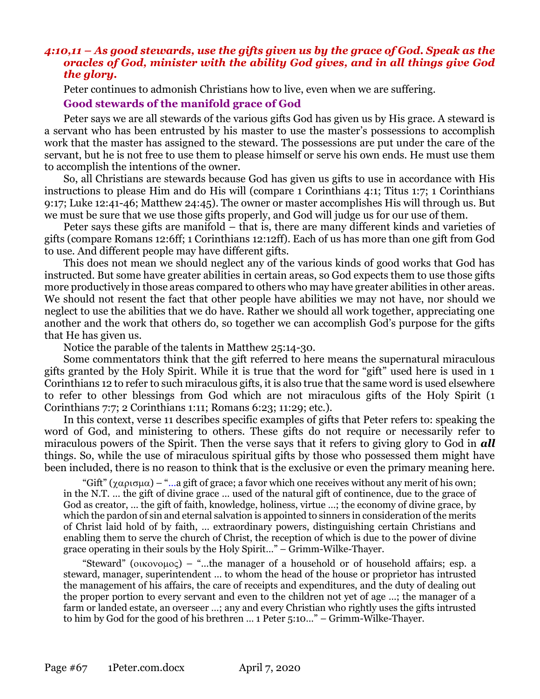## *4:10,11 – As good stewards, use the gifts given us by the grace of God. Speak as the oracles of God, minister with the ability God gives, and in all things give God the glory.*

Peter continues to admonish Christians how to live, even when we are suffering.

#### **Good stewards of the manifold grace of God**

Peter says we are all stewards of the various gifts God has given us by His grace. A steward is a servant who has been entrusted by his master to use the master's possessions to accomplish work that the master has assigned to the steward. The possessions are put under the care of the servant, but he is not free to use them to please himself or serve his own ends. He must use them to accomplish the intentions of the owner.

So, all Christians are stewards because God has given us gifts to use in accordance with His instructions to please Him and do His will (compare 1 Corinthians 4:1; Titus 1:7; 1 Corinthians 9:17; Luke 12:41-46; Matthew 24:45). The owner or master accomplishes His will through us. But we must be sure that we use those gifts properly, and God will judge us for our use of them.

Peter says these gifts are manifold – that is, there are many different kinds and varieties of gifts (compare Romans 12:6ff; 1 Corinthians 12:12ff). Each of us has more than one gift from God to use. And different people may have different gifts.

This does not mean we should neglect any of the various kinds of good works that God has instructed. But some have greater abilities in certain areas, so God expects them to use those gifts more productively in those areas compared to others who may have greater abilities in other areas. We should not resent the fact that other people have abilities we may not have, nor should we neglect to use the abilities that we do have. Rather we should all work together, appreciating one another and the work that others do, so together we can accomplish God's purpose for the gifts that He has given us.

Notice the parable of the talents in Matthew 25:14-30.

Some commentators think that the gift referred to here means the supernatural miraculous gifts granted by the Holy Spirit. While it is true that the word for "gift" used here is used in 1 Corinthians 12 to refer to such miraculous gifts, it is also true that the same word is used elsewhere to refer to other blessings from God which are not miraculous gifts of the Holy Spirit (1 Corinthians 7:7; 2 Corinthians 1:11; Romans 6:23; 11:29; etc.).

In this context, verse 11 describes specific examples of gifts that Peter refers to: speaking the word of God, and ministering to others. These gifts do not require or necessarily refer to miraculous powers of the Spirit. Then the verse says that it refers to giving glory to God in *all* things. So, while the use of miraculous spiritual gifts by those who possessed them might have been included, there is no reason to think that is the exclusive or even the primary meaning here.

"Gift" ( $\chi \alpha \rho \sigma \mu \alpha$ ) – "...a gift of grace; a favor which one receives without any merit of his own; in the N.T. … the gift of divine grace … used of the natural gift of continence, due to the grace of God as creator, … the gift of faith, knowledge, holiness, virtue …; the economy of divine grace, by which the pardon of sin and eternal salvation is appointed to sinners in consideration of the merits of Christ laid hold of by faith, … extraordinary powers, distinguishing certain Christians and enabling them to serve the church of Christ, the reception of which is due to the power of divine grace operating in their souls by the Holy Spirit…" – Grimm-Wilke-Thayer.

"Steward" ( $\alpha$ κονομος) – "...the manager of a household or of household affairs; esp. a steward, manager, superintendent … to whom the head of the house or proprietor has intrusted the management of his affairs, the care of receipts and expenditures, and the duty of dealing out the proper portion to every servant and even to the children not yet of age …; the manager of a farm or landed estate, an overseer …; any and every Christian who rightly uses the gifts intrusted to him by God for the good of his brethren … 1 Peter 5:10…" – Grimm-Wilke-Thayer.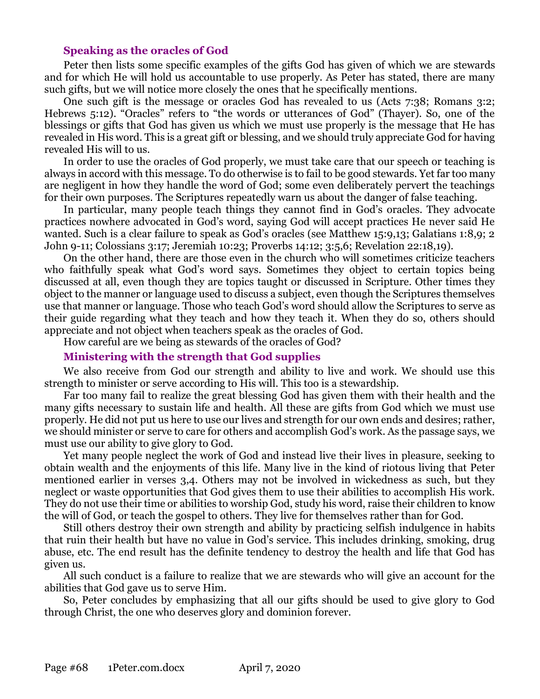#### **Speaking as the oracles of God**

Peter then lists some specific examples of the gifts God has given of which we are stewards and for which He will hold us accountable to use properly. As Peter has stated, there are many such gifts, but we will notice more closely the ones that he specifically mentions.

One such gift is the message or oracles God has revealed to us (Acts 7:38; Romans 3:2; Hebrews 5:12). "Oracles" refers to "the words or utterances of God" (Thayer). So, one of the blessings or gifts that God has given us which we must use properly is the message that He has revealed in His word. This is a great gift or blessing, and we should truly appreciate God for having revealed His will to us.

In order to use the oracles of God properly, we must take care that our speech or teaching is always in accord with this message. To do otherwise is to fail to be good stewards. Yet far too many are negligent in how they handle the word of God; some even deliberately pervert the teachings for their own purposes. The Scriptures repeatedly warn us about the danger of false teaching.

In particular, many people teach things they cannot find in God's oracles. They advocate practices nowhere advocated in God's word, saying God will accept practices He never said He wanted. Such is a clear failure to speak as God's oracles (see Matthew 15:9,13; Galatians 1:8,9; 2 John 9-11; Colossians 3:17; Jeremiah 10:23; Proverbs 14:12; 3:5,6; Revelation 22:18,19).

On the other hand, there are those even in the church who will sometimes criticize teachers who faithfully speak what God's word says. Sometimes they object to certain topics being discussed at all, even though they are topics taught or discussed in Scripture. Other times they object to the manner or language used to discuss a subject, even though the Scriptures themselves use that manner or language. Those who teach God's word should allow the Scriptures to serve as their guide regarding what they teach and how they teach it. When they do so, others should appreciate and not object when teachers speak as the oracles of God.

How careful are we being as stewards of the oracles of God?

#### **Ministering with the strength that God supplies**

We also receive from God our strength and ability to live and work. We should use this strength to minister or serve according to His will. This too is a stewardship.

Far too many fail to realize the great blessing God has given them with their health and the many gifts necessary to sustain life and health. All these are gifts from God which we must use properly. He did not put us here to use our lives and strength for our own ends and desires; rather, we should minister or serve to care for others and accomplish God's work. As the passage says, we must use our ability to give glory to God.

Yet many people neglect the work of God and instead live their lives in pleasure, seeking to obtain wealth and the enjoyments of this life. Many live in the kind of riotous living that Peter mentioned earlier in verses 3,4. Others may not be involved in wickedness as such, but they neglect or waste opportunities that God gives them to use their abilities to accomplish His work. They do not use their time or abilities to worship God, study his word, raise their children to know the will of God, or teach the gospel to others. They live for themselves rather than for God.

Still others destroy their own strength and ability by practicing selfish indulgence in habits that ruin their health but have no value in God's service. This includes drinking, smoking, drug abuse, etc. The end result has the definite tendency to destroy the health and life that God has given us.

All such conduct is a failure to realize that we are stewards who will give an account for the abilities that God gave us to serve Him.

So, Peter concludes by emphasizing that all our gifts should be used to give glory to God through Christ, the one who deserves glory and dominion forever.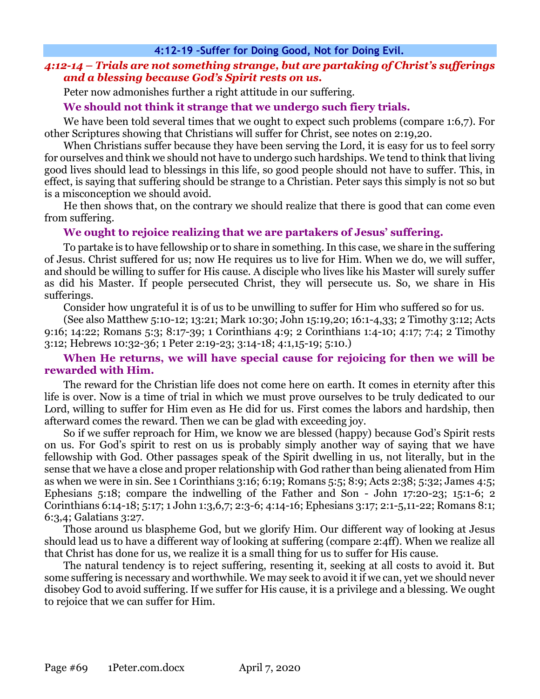## *4:12-14 – Trials are not something strange, but are partaking of Christ's sufferings and a blessing because God's Spirit rests on us.*

Peter now admonishes further a right attitude in our suffering.

## **We should not think it strange that we undergo such fiery trials.**

We have been told several times that we ought to expect such problems (compare 1:6,7). For other Scriptures showing that Christians will suffer for Christ, see notes on 2:19,20.

When Christians suffer because they have been serving the Lord, it is easy for us to feel sorry for ourselves and think we should not have to undergo such hardships. We tend to think that living good lives should lead to blessings in this life, so good people should not have to suffer. This, in effect, is saying that suffering should be strange to a Christian. Peter says this simply is not so but is a misconception we should avoid.

He then shows that, on the contrary we should realize that there is good that can come even from suffering.

## **We ought to rejoice realizing that we are partakers of Jesus' suffering.**

To partake is to have fellowship or to share in something. In this case, we share in the suffering of Jesus. Christ suffered for us; now He requires us to live for Him. When we do, we will suffer, and should be willing to suffer for His cause. A disciple who lives like his Master will surely suffer as did his Master. If people persecuted Christ, they will persecute us. So, we share in His sufferings.

Consider how ungrateful it is of us to be unwilling to suffer for Him who suffered so for us.

(See also Matthew 5:10-12; 13:21; Mark 10:30; John 15:19,20; 16:1-4,33; 2 Timothy 3:12; Acts 9:16; 14:22; Romans 5:3; 8:17-39; 1 Corinthians 4:9; 2 Corinthians 1:4-10; 4:17; 7:4; 2 Timothy 3:12; Hebrews 10:32-36; 1 Peter 2:19-23; 3:14-18; 4:1,15-19; 5:10.)

## **When He returns, we will have special cause for rejoicing for then we will be rewarded with Him.**

The reward for the Christian life does not come here on earth. It comes in eternity after this life is over. Now is a time of trial in which we must prove ourselves to be truly dedicated to our Lord, willing to suffer for Him even as He did for us. First comes the labors and hardship, then afterward comes the reward. Then we can be glad with exceeding joy.

So if we suffer reproach for Him, we know we are blessed (happy) because God's Spirit rests on us. For God's spirit to rest on us is probably simply another way of saying that we have fellowship with God. Other passages speak of the Spirit dwelling in us, not literally, but in the sense that we have a close and proper relationship with God rather than being alienated from Him as when we were in sin. See 1 Corinthians 3:16; 6:19; Romans 5:5; 8:9; Acts 2:38; 5:32; James 4:5; Ephesians 5:18; compare the indwelling of the Father and Son - John 17:20-23; 15:1-6; 2 Corinthians 6:14-18; 5:17; 1 John 1:3,6,7; 2:3-6; 4:14-16; Ephesians 3:17; 2:1-5,11-22; Romans 8:1; 6:3,4; Galatians 3:27.

Those around us blaspheme God, but we glorify Him. Our different way of looking at Jesus should lead us to have a different way of looking at suffering (compare 2:4ff). When we realize all that Christ has done for us, we realize it is a small thing for us to suffer for His cause.

The natural tendency is to reject suffering, resenting it, seeking at all costs to avoid it. But some suffering is necessary and worthwhile. We may seek to avoid it if we can, yet we should never disobey God to avoid suffering. If we suffer for His cause, it is a privilege and a blessing. We ought to rejoice that we can suffer for Him.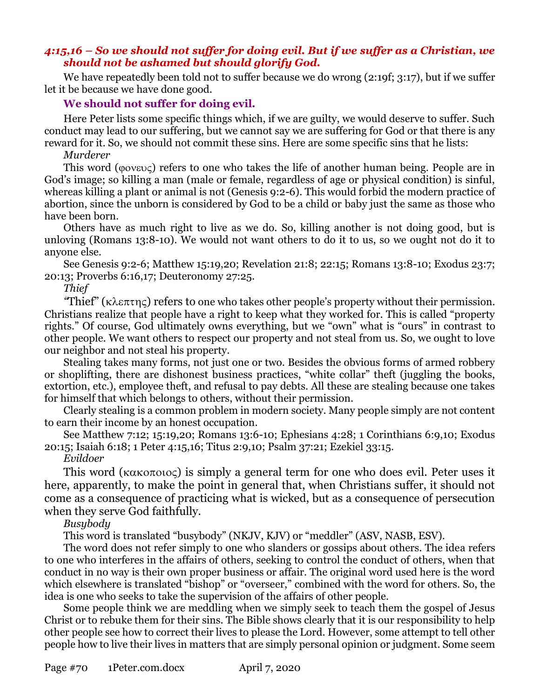### *4:15,16 – So we should not suffer for doing evil. But if we suffer as a Christian, we should not be ashamed but should glorify God.*

We have repeatedly been told not to suffer because we do wrong (2:19f; 3:17), but if we suffer let it be because we have done good.

#### **We should not suffer for doing evil.**

Here Peter lists some specific things which, if we are guilty, we would deserve to suffer. Such conduct may lead to our suffering, but we cannot say we are suffering for God or that there is any reward for it. So, we should not commit these sins. Here are some specific sins that he lists:

#### *Murderer*

This word ( $\phi$ ov $\epsilon$  $\upsilon$ ) refers to one who takes the life of another human being. People are in God's image; so killing a man (male or female, regardless of age or physical condition) is sinful, whereas killing a plant or animal is not (Genesis 9:2-6). This would forbid the modern practice of abortion, since the unborn is considered by God to be a child or baby just the same as those who have been born.

Others have as much right to live as we do. So, killing another is not doing good, but is unloving (Romans 13:8-10). We would not want others to do it to us, so we ought not do it to anyone else.

See Genesis 9:2-6; Matthew 15:19,20; Revelation 21:8; 22:15; Romans 13:8-10; Exodus 23:7; 20:13; Proverbs 6:16,17; Deuteronomy 27:25.

## *Thief*

*"Thief" (κλεπτης) refers to one who takes other people's property without their permission.* Christians realize that people have a right to keep what they worked for. This is called "property rights." Of course, God ultimately owns everything, but we "own" what is "ours" in contrast to other people. We want others to respect our property and not steal from us. So, we ought to love our neighbor and not steal his property.

Stealing takes many forms, not just one or two. Besides the obvious forms of armed robbery or shoplifting, there are dishonest business practices, "white collar" theft (juggling the books, extortion, etc.), employee theft, and refusal to pay debts. All these are stealing because one takes for himself that which belongs to others, without their permission.

Clearly stealing is a common problem in modern society. Many people simply are not content to earn their income by an honest occupation.

See Matthew 7:12; 15:19,20; Romans 13:6-10; Ephesians 4:28; 1 Corinthians 6:9,10; Exodus 20:15; Isaiah 6:18; 1 Peter 4:15,16; Titus 2:9,10; Psalm 37:21; Ezekiel 33:15.

#### *Evildoer*

This word ( $\kappa \alpha \kappa$   $\alpha$   $\alpha$ ) is simply a general term for one who does evil. Peter uses it here, apparently, to make the point in general that, when Christians suffer, it should not come as a consequence of practicing what is wicked, but as a consequence of persecution when they serve God faithfully.

#### *Busybody*

This word is translated "busybody" (NKJV, KJV) or "meddler" (ASV, NASB, ESV).

The word does not refer simply to one who slanders or gossips about others. The idea refers to one who interferes in the affairs of others, seeking to control the conduct of others, when that conduct in no way is their own proper business or affair. The original word used here is the word which elsewhere is translated "bishop" or "overseer," combined with the word for others. So, the idea is one who seeks to take the supervision of the affairs of other people.

Some people think we are meddling when we simply seek to teach them the gospel of Jesus Christ or to rebuke them for their sins. The Bible shows clearly that it is our responsibility to help other people see how to correct their lives to please the Lord. However, some attempt to tell other people how to live their lives in matters that are simply personal opinion or judgment. Some seem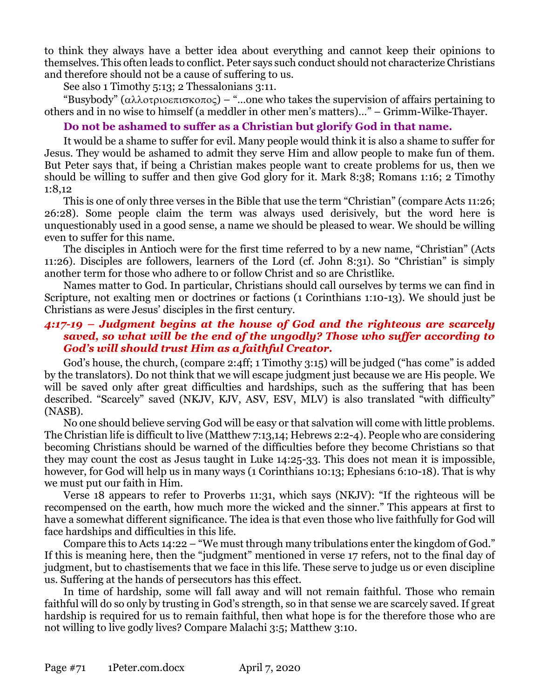to think they always have a better idea about everything and cannot keep their opinions to themselves. This often leads to conflict. Peter says such conduct should not characterize Christians and therefore should not be a cause of suffering to us.

See also 1 Timothy 5:13; 2 Thessalonians 3:11.

"Busybody" ( $\alpha\lambda\lambda$ otp $\alpha\epsilon\pi$ ισκοπος) – "...one who takes the supervision of affairs pertaining to others and in no wise to himself (a meddler in other men's matters)…" – Grimm-Wilke-Thayer.

## **Do not be ashamed to suffer as a Christian but glorify God in that name.**

It would be a shame to suffer for evil. Many people would think it is also a shame to suffer for Jesus. They would be ashamed to admit they serve Him and allow people to make fun of them. But Peter says that, if being a Christian makes people want to create problems for us, then we should be willing to suffer and then give God glory for it. Mark 8:38; Romans 1:16; 2 Timothy 1:8,12

This is one of only three verses in the Bible that use the term "Christian" (compare Acts 11:26; 26:28). Some people claim the term was always used derisively, but the word here is unquestionably used in a good sense, a name we should be pleased to wear. We should be willing even to suffer for this name.

The disciples in Antioch were for the first time referred to by a new name, "Christian" (Acts 11:26). Disciples are followers, learners of the Lord (cf. John 8:31). So "Christian" is simply another term for those who adhere to or follow Christ and so are Christlike.

Names matter to God. In particular, Christians should call ourselves by terms we can find in Scripture, not exalting men or doctrines or factions (1 Corinthians 1:10-13). We should just be Christians as were Jesus' disciples in the first century.

## *4:17-19 – Judgment begins at the house of God and the righteous are scarcely saved, so what will be the end of the ungodly? Those who suffer according to God's will should trust Him as a faithful Creator.*

God's house, the church, (compare 2:4ff; 1 Timothy 3:15) will be judged ("has come" is added by the translators). Do not think that we will escape judgment just because we are His people. We will be saved only after great difficulties and hardships, such as the suffering that has been described. "Scarcely" saved (NKJV, KJV, ASV, ESV, MLV) is also translated "with difficulty" (NASB).

No one should believe serving God will be easy or that salvation will come with little problems. The Christian life is difficult to live (Matthew 7:13,14; Hebrews 2:2-4). People who are considering becoming Christians should be warned of the difficulties before they become Christians so that they may count the cost as Jesus taught in Luke 14:25-33. This does not mean it is impossible, however, for God will help us in many ways (1 Corinthians 10:13; Ephesians 6:10-18). That is why we must put our faith in Him.

Verse 18 appears to refer to Proverbs 11:31, which says (NKJV): "If the righteous will be recompensed on the earth, how much more the wicked and the sinner." This appears at first to have a somewhat different significance. The idea is that even those who live faithfully for God will face hardships and difficulties in this life.

Compare this to Acts 14:22 – "We must through many tribulations enter the kingdom of God." If this is meaning here, then the "judgment" mentioned in verse 17 refers, not to the final day of judgment, but to chastisements that we face in this life. These serve to judge us or even discipline us. Suffering at the hands of persecutors has this effect.

In time of hardship, some will fall away and will not remain faithful. Those who remain faithful will do so only by trusting in God's strength, so in that sense we are scarcely saved. If great hardship is required for us to remain faithful, then what hope is for the therefore those who are not willing to live godly lives? Compare Malachi 3:5; Matthew 3:10.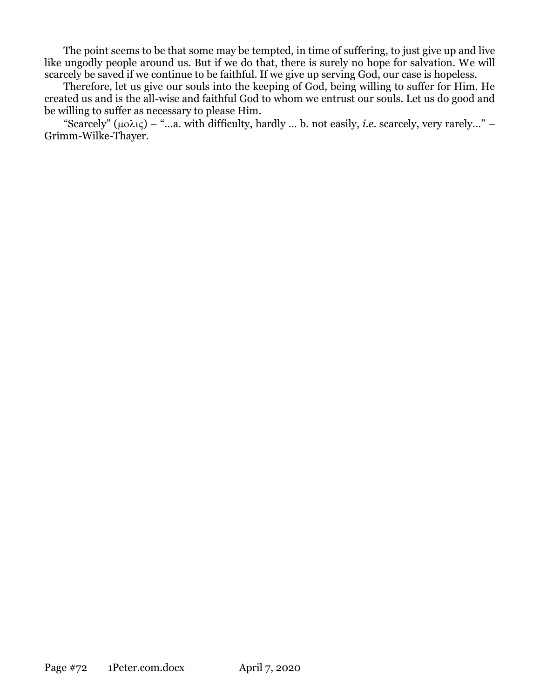The point seems to be that some may be tempted, in time of suffering, to just give up and live like ungodly people around us. But if we do that, there is surely no hope for salvation. We will scarcely be saved if we continue to be faithful. If we give up serving God, our case is hopeless.

Therefore, let us give our souls into the keeping of God, being willing to suffer for Him. He created us and is the all-wise and faithful God to whom we entrust our souls. Let us do good and be willing to suffer as necessary to please Him.

"Scarcely"  $(\mu o \lambda \iota \zeta)$  – "...a. with difficulty, hardly ... b. not easily, *i.e.* scarcely, very rarely..." – Grimm-Wilke-Thayer.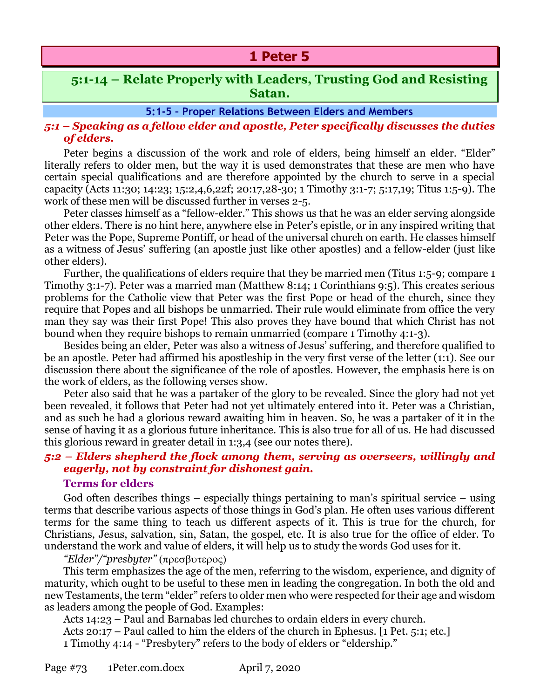# **1 Peter 5**

# **5:1-14 – Relate Properly with Leaders, Trusting God and Resisting Satan.**

#### **5:1-5 – Proper Relations Between Elders and Members**

## *5:1 – Speaking as a fellow elder and apostle, Peter specifically discusses the duties of elders.*

Peter begins a discussion of the work and role of elders, being himself an elder. "Elder" literally refers to older men, but the way it is used demonstrates that these are men who have certain special qualifications and are therefore appointed by the church to serve in a special capacity (Acts 11:30; 14:23; 15:2,4,6,22f; 20:17,28-30; 1 Timothy 3:1-7; 5:17,19; Titus 1:5-9). The work of these men will be discussed further in verses 2-5.

Peter classes himself as a "fellow-elder." This shows us that he was an elder serving alongside other elders. There is no hint here, anywhere else in Peter's epistle, or in any inspired writing that Peter was the Pope, Supreme Pontiff, or head of the universal church on earth. He classes himself as a witness of Jesus' suffering (an apostle just like other apostles) and a fellow-elder (just like other elders).

Further, the qualifications of elders require that they be married men (Titus 1:5-9; compare 1 Timothy 3:1-7). Peter was a married man (Matthew 8:14; 1 Corinthians 9:5). This creates serious problems for the Catholic view that Peter was the first Pope or head of the church, since they require that Popes and all bishops be unmarried. Their rule would eliminate from office the very man they say was their first Pope! This also proves they have bound that which Christ has not bound when they require bishops to remain unmarried (compare 1 Timothy 4:1-3).

Besides being an elder, Peter was also a witness of Jesus' suffering, and therefore qualified to be an apostle. Peter had affirmed his apostleship in the very first verse of the letter (1:1). See our discussion there about the significance of the role of apostles. However, the emphasis here is on the work of elders, as the following verses show.

Peter also said that he was a partaker of the glory to be revealed. Since the glory had not yet been revealed, it follows that Peter had not yet ultimately entered into it. Peter was a Christian, and as such he had a glorious reward awaiting him in heaven. So, he was a partaker of it in the sense of having it as a glorious future inheritance. This is also true for all of us. He had discussed this glorious reward in greater detail in 1:3,4 (see our notes there).

## *5:2 – Elders shepherd the flock among them, serving as overseers, willingly and eagerly, not by constraint for dishonest gain.*

#### **Terms for elders**

God often describes things – especially things pertaining to man's spiritual service – using terms that describe various aspects of those things in God's plan. He often uses various different terms for the same thing to teach us different aspects of it. This is true for the church, for Christians, Jesus, salvation, sin, Satan, the gospel, etc. It is also true for the office of elder. To understand the work and value of elders, it will help us to study the words God uses for it.

#### *"Elder"/"presbyter"* (πρεσβυτερος)

This term emphasizes the age of the men, referring to the wisdom, experience, and dignity of maturity, which ought to be useful to these men in leading the congregation. In both the old and new Testaments, the term "elder" refers to older men who were respected for their age and wisdom as leaders among the people of God. Examples:

Acts 14:23 – Paul and Barnabas led churches to ordain elders in every church.

Acts 20:17 – Paul called to him the elders of the church in Ephesus. [1 Pet. 5:1; etc.] 1 Timothy 4:14 - "Presbytery" refers to the body of elders or "eldership."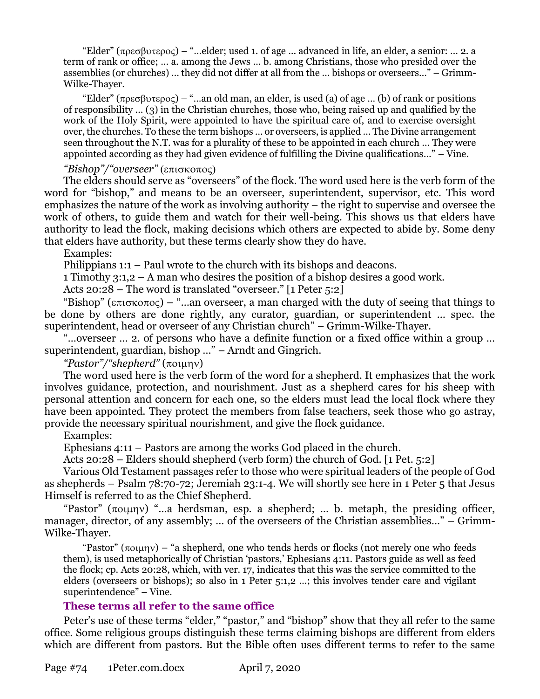"Elder" ( $\pi \rho \epsilon \sigma \beta \nu \tau \epsilon \rho o \epsilon$ ) – "...elder; used 1. of age ... advanced in life, an elder, a senior: ... 2. a term of rank or office; … a. among the Jews … b. among Christians, those who presided over the assemblies (or churches) … they did not differ at all from the … bishops or overseers…" – Grimm-Wilke-Thayer.

"Elder" ( $\pi \rho \epsilon \sigma \beta \nu \tau \epsilon \rho o \epsilon$ ) – "...an old man, an elder, is used (a) of age ... (b) of rank or positions of responsibility … (3) in the Christian churches, those who, being raised up and qualified by the work of the Holy Spirit, were appointed to have the spiritual care of, and to exercise oversight over, the churches. To these the term bishops … or overseers, is applied … The Divine arrangement seen throughout the N.T. was for a plurality of these to be appointed in each church … They were appointed according as they had given evidence of fulfilling the Divine qualifications…" – Vine.

### *"Bishop"/"overseer"* (επισκοπος)

The elders should serve as "overseers" of the flock. The word used here is the verb form of the word for "bishop," and means to be an overseer, superintendent, supervisor, etc. This word emphasizes the nature of the work as involving authority – the right to supervise and oversee the work of others, to guide them and watch for their well-being. This shows us that elders have authority to lead the flock, making decisions which others are expected to abide by. Some deny that elders have authority, but these terms clearly show they do have.

Examples:

Philippians 1:1 – Paul wrote to the church with its bishops and deacons.

1 Timothy 3:1,2 – A man who desires the position of a bishop desires a good work.

Acts 20:28 – The word is translated "overseer." [1 Peter 5:2]

"Bishop" ( $\epsilon \pi i \sigma \kappa$  $\sigma \sigma \zeta$ ) – "...an overseer, a man charged with the duty of seeing that things to be done by others are done rightly, any curator, guardian, or superintendent … spec. the superintendent, head or overseer of any Christian church" – Grimm-Wilke-Thayer.

"…overseer … 2. of persons who have a definite function or a fixed office within a group … superintendent, guardian, bishop …" – Arndt and Gingrich.

*"Pastor"/"shepherd"* ()

The word used here is the verb form of the word for a shepherd. It emphasizes that the work involves guidance, protection, and nourishment. Just as a shepherd cares for his sheep with personal attention and concern for each one, so the elders must lead the local flock where they have been appointed. They protect the members from false teachers, seek those who go astray, provide the necessary spiritual nourishment, and give the flock guidance.

## Examples:

Ephesians 4:11 – Pastors are among the works God placed in the church.

Acts 20:28 – Elders should shepherd (verb form) the church of God. [1 Pet. 5:2]

Various Old Testament passages refer to those who were spiritual leaders of the people of God as shepherds – Psalm 78:70-72; Jeremiah 23:1-4. We will shortly see here in 1 Peter 5 that Jesus Himself is referred to as the Chief Shepherd.

"Pastor"  $(\pi o \mu \eta v)$  "...a herdsman, esp. a shepherd; ... b. metaph, the presiding officer, manager, director, of any assembly; ... of the overseers of the Christian assemblies..." – Grimm-Wilke-Thayer.

"Pastor"  $(\pi \circ \mu \eta \vee)$  – "a shepherd, one who tends herds or flocks (not merely one who feeds them), is used metaphorically of Christian 'pastors,' Ephesians 4:11. Pastors guide as well as feed the flock; cp. Acts 20:28, which, with ver. 17, indicates that this was the service committed to the elders (overseers or bishops); so also in 1 Peter 5:1,2 …; this involves tender care and vigilant superintendence" – Vine.

## **These terms all refer to the same office**

Peter's use of these terms "elder," "pastor," and "bishop" show that they all refer to the same office. Some religious groups distinguish these terms claiming bishops are different from elders which are different from pastors. But the Bible often uses different terms to refer to the same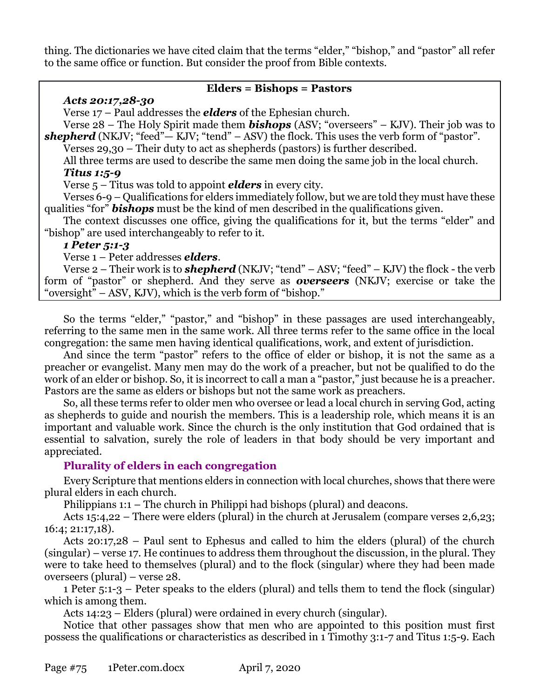thing. The dictionaries we have cited claim that the terms "elder," "bishop," and "pastor" all refer to the same office or function. But consider the proof from Bible contexts.

## **Elders = Bishops = Pastors**

## *Acts 20:17,28-30*

Verse 17 – Paul addresses the *elders* of the Ephesian church.

Verse 28 – The Holy Spirit made them *bishops* (ASV; "overseers" – KJV). Their job was to **shepherd** (NKJV; "feed" $-$  KJV; "tend"  $-$  ASV) the flock. This uses the verb form of "pastor".

Verses 29,30 – Their duty to act as shepherds (pastors) is further described.

All three terms are used to describe the same men doing the same job in the local church. *Titus 1:5-9* 

Verse 5 – Titus was told to appoint *elders* in every city.

Verses 6-9 – Qualifications for elders immediately follow, but we are told they must have these qualities "for" *bishops* must be the kind of men described in the qualifications given.

The context discusses one office, giving the qualifications for it, but the terms "elder" and "bishop" are used interchangeably to refer to it.

## *1 Peter 5:1-3*

Verse 1 – Peter addresses *elders*.

Verse 2 – Their work is to *shepherd* (NKJV; "tend" – ASV; "feed" – KJV) the flock - the verb form of "pastor" or shepherd. And they serve as *overseers* (NKJV; exercise or take the "oversight" – ASV, KJV), which is the verb form of "bishop."

So the terms "elder," "pastor," and "bishop" in these passages are used interchangeably, referring to the same men in the same work. All three terms refer to the same office in the local congregation: the same men having identical qualifications, work, and extent of jurisdiction.

And since the term "pastor" refers to the office of elder or bishop, it is not the same as a preacher or evangelist. Many men may do the work of a preacher, but not be qualified to do the work of an elder or bishop. So, it is incorrect to call a man a "pastor," just because he is a preacher. Pastors are the same as elders or bishops but not the same work as preachers.

So, all these terms refer to older men who oversee or lead a local church in serving God, acting as shepherds to guide and nourish the members. This is a leadership role, which means it is an important and valuable work. Since the church is the only institution that God ordained that is essential to salvation, surely the role of leaders in that body should be very important and appreciated.

## **Plurality of elders in each congregation**

Every Scripture that mentions elders in connection with local churches, shows that there were plural elders in each church.

Philippians 1:1 – The church in Philippi had bishops (plural) and deacons.

Acts 15:4,22 – There were elders (plural) in the church at Jerusalem (compare verses 2,6,23; 16:4; 21:17,18).

Acts 20:17,28 – Paul sent to Ephesus and called to him the elders (plural) of the church (singular) – verse 17. He continues to address them throughout the discussion, in the plural. They were to take heed to themselves (plural) and to the flock (singular) where they had been made overseers (plural) – verse 28.

1 Peter 5:1-3 – Peter speaks to the elders (plural) and tells them to tend the flock (singular) which is among them.

Acts 14:23 – Elders (plural) were ordained in every church (singular).

Notice that other passages show that men who are appointed to this position must first possess the qualifications or characteristics as described in 1 Timothy 3:1-7 and Titus 1:5-9. Each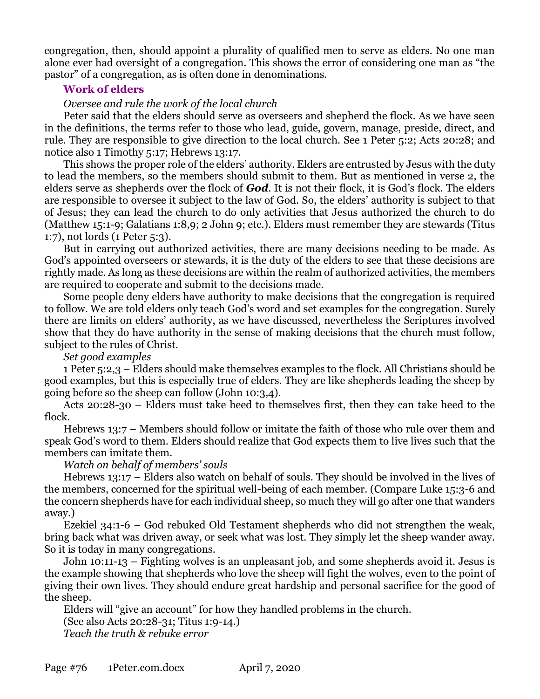congregation, then, should appoint a plurality of qualified men to serve as elders. No one man alone ever had oversight of a congregation. This shows the error of considering one man as "the pastor" of a congregation, as is often done in denominations.

## **Work of elders**

## *Oversee and rule the work of the local church*

Peter said that the elders should serve as overseers and shepherd the flock. As we have seen in the definitions, the terms refer to those who lead, guide, govern, manage, preside, direct, and rule. They are responsible to give direction to the local church. See 1 Peter 5:2; Acts 20:28; and notice also 1 Timothy 5:17; Hebrews 13:17.

This shows the proper role of the elders' authority. Elders are entrusted by Jesus with the duty to lead the members, so the members should submit to them. But as mentioned in verse 2, the elders serve as shepherds over the flock of *God*. It is not their flock, it is God's flock. The elders are responsible to oversee it subject to the law of God. So, the elders' authority is subject to that of Jesus; they can lead the church to do only activities that Jesus authorized the church to do (Matthew 15:1-9; Galatians 1:8,9; 2 John 9; etc.). Elders must remember they are stewards (Titus 1:7), not lords (1 Peter 5:3).

But in carrying out authorized activities, there are many decisions needing to be made. As God's appointed overseers or stewards, it is the duty of the elders to see that these decisions are rightly made. As long as these decisions are within the realm of authorized activities, the members are required to cooperate and submit to the decisions made.

Some people deny elders have authority to make decisions that the congregation is required to follow. We are told elders only teach God's word and set examples for the congregation. Surely there are limits on elders' authority, as we have discussed, nevertheless the Scriptures involved show that they do have authority in the sense of making decisions that the church must follow, subject to the rules of Christ.

*Set good examples* 

1 Peter 5:2,3 – Elders should make themselves examples to the flock. All Christians should be good examples, but this is especially true of elders. They are like shepherds leading the sheep by going before so the sheep can follow (John 10:3,4).

Acts 20:28-30 – Elders must take heed to themselves first, then they can take heed to the flock.

Hebrews 13:7 – Members should follow or imitate the faith of those who rule over them and speak God's word to them. Elders should realize that God expects them to live lives such that the members can imitate them.

*Watch on behalf of members' souls* 

Hebrews 13:17 – Elders also watch on behalf of souls. They should be involved in the lives of the members, concerned for the spiritual well-being of each member. (Compare Luke 15:3-6 and the concern shepherds have for each individual sheep, so much they will go after one that wanders away.)

Ezekiel 34:1-6 – God rebuked Old Testament shepherds who did not strengthen the weak, bring back what was driven away, or seek what was lost. They simply let the sheep wander away. So it is today in many congregations.

John 10:11-13 – Fighting wolves is an unpleasant job, and some shepherds avoid it. Jesus is the example showing that shepherds who love the sheep will fight the wolves, even to the point of giving their own lives. They should endure great hardship and personal sacrifice for the good of the sheep.

Elders will "give an account" for how they handled problems in the church. (See also Acts 20:28-31; Titus 1:9-14.)

*Teach the truth & rebuke error*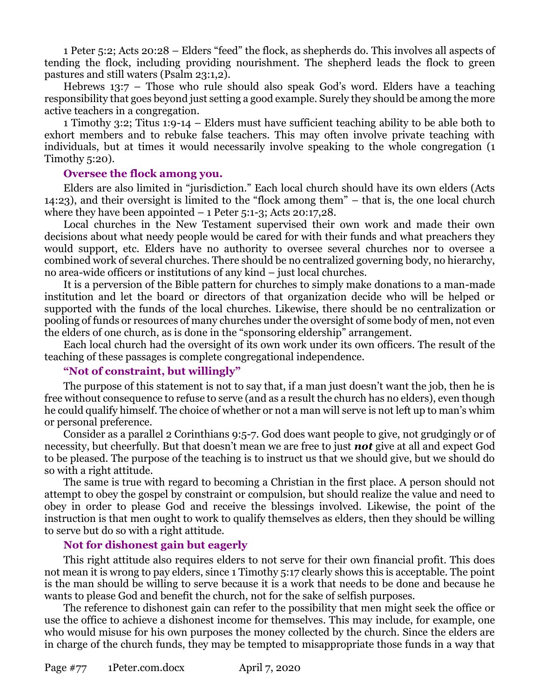1 Peter 5:2; Acts 20:28 – Elders "feed" the flock, as shepherds do. This involves all aspects of tending the flock, including providing nourishment. The shepherd leads the flock to green pastures and still waters (Psalm 23:1,2).

Hebrews 13:7 – Those who rule should also speak God's word. Elders have a teaching responsibility that goes beyond just setting a good example. Surely they should be among the more active teachers in a congregation.

1 Timothy 3:2; Titus 1:9-14 – Elders must have sufficient teaching ability to be able both to exhort members and to rebuke false teachers. This may often involve private teaching with individuals, but at times it would necessarily involve speaking to the whole congregation (1 Timothy 5:20).

### **Oversee the flock among you.**

Elders are also limited in "jurisdiction." Each local church should have its own elders (Acts 14:23), and their oversight is limited to the "flock among them" – that is, the one local church where they have been appointed  $-1$  Peter 5:1-3; Acts 20:17,28.

Local churches in the New Testament supervised their own work and made their own decisions about what needy people would be cared for with their funds and what preachers they would support, etc. Elders have no authority to oversee several churches nor to oversee a combined work of several churches. There should be no centralized governing body, no hierarchy, no area-wide officers or institutions of any kind – just local churches.

It is a perversion of the Bible pattern for churches to simply make donations to a man-made institution and let the board or directors of that organization decide who will be helped or supported with the funds of the local churches. Likewise, there should be no centralization or pooling of funds or resources of many churches under the oversight of some body of men, not even the elders of one church, as is done in the "sponsoring eldership" arrangement.

Each local church had the oversight of its own work under its own officers. The result of the teaching of these passages is complete congregational independence.

## **"Not of constraint, but willingly"**

The purpose of this statement is not to say that, if a man just doesn't want the job, then he is free without consequence to refuse to serve (and as a result the church has no elders), even though he could qualify himself. The choice of whether or not a man will serve is not left up to man's whim or personal preference.

Consider as a parallel 2 Corinthians 9:5-7. God does want people to give, not grudgingly or of necessity, but cheerfully. But that doesn't mean we are free to just *not* give at all and expect God to be pleased. The purpose of the teaching is to instruct us that we should give, but we should do so with a right attitude.

The same is true with regard to becoming a Christian in the first place. A person should not attempt to obey the gospel by constraint or compulsion, but should realize the value and need to obey in order to please God and receive the blessings involved. Likewise, the point of the instruction is that men ought to work to qualify themselves as elders, then they should be willing to serve but do so with a right attitude.

## **Not for dishonest gain but eagerly**

This right attitude also requires elders to not serve for their own financial profit. This does not mean it is wrong to pay elders, since 1 Timothy 5:17 clearly shows this is acceptable. The point is the man should be willing to serve because it is a work that needs to be done and because he wants to please God and benefit the church, not for the sake of selfish purposes.

The reference to dishonest gain can refer to the possibility that men might seek the office or use the office to achieve a dishonest income for themselves. This may include, for example, one who would misuse for his own purposes the money collected by the church. Since the elders are in charge of the church funds, they may be tempted to misappropriate those funds in a way that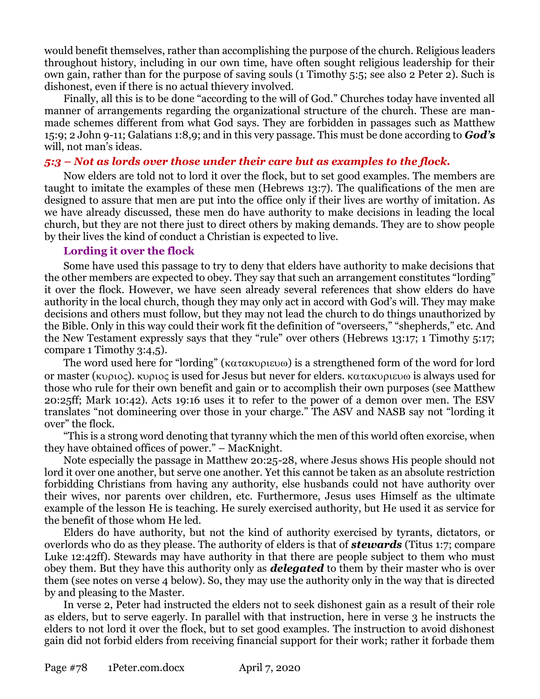would benefit themselves, rather than accomplishing the purpose of the church. Religious leaders throughout history, including in our own time, have often sought religious leadership for their own gain, rather than for the purpose of saving souls (1 Timothy 5:5; see also 2 Peter 2). Such is dishonest, even if there is no actual thievery involved.

Finally, all this is to be done "according to the will of God." Churches today have invented all manner of arrangements regarding the organizational structure of the church. These are manmade schemes different from what God says. They are forbidden in passages such as Matthew 15:9; 2 John 9-11; Galatians 1:8,9; and in this very passage. This must be done according to *God's* will, not man's ideas.

## *5:3 – Not as lords over those under their care but as examples to the flock.*

Now elders are told not to lord it over the flock, but to set good examples. The members are taught to imitate the examples of these men (Hebrews 13:7). The qualifications of the men are designed to assure that men are put into the office only if their lives are worthy of imitation. As we have already discussed, these men do have authority to make decisions in leading the local church, but they are not there just to direct others by making demands. They are to show people by their lives the kind of conduct a Christian is expected to live.

## **Lording it over the flock**

Some have used this passage to try to deny that elders have authority to make decisions that the other members are expected to obey. They say that such an arrangement constitutes "lording" it over the flock. However, we have seen already several references that show elders do have authority in the local church, though they may only act in accord with God's will. They may make decisions and others must follow, but they may not lead the church to do things unauthorized by the Bible. Only in this way could their work fit the definition of "overseers," "shepherds," etc. And the New Testament expressly says that they "rule" over others (Hebrews 13:17; 1 Timothy 5:17; compare 1 Timothy 3:4,5).

The word used here for "lording" ( $\kappa \alpha \tau \alpha \kappa \nu \rho \nu \epsilon \nu \omega$ ) is a strengthened form of the word for lord or master ( $\kappa$ 0 $\varphi$ ).  $\kappa$ 0 $\varphi$  is used for Jesus but never for elders.  $\kappa \alpha \tau \alpha \kappa$ 0 $\varphi$  is always used for those who rule for their own benefit and gain or to accomplish their own purposes (see Matthew 20:25ff; Mark 10:42). Acts 19:16 uses it to refer to the power of a demon over men. The ESV translates "not domineering over those in your charge." The ASV and NASB say not "lording it over" the flock.

"This is a strong word denoting that tyranny which the men of this world often exorcise, when they have obtained offices of power." – MacKnight.

Note especially the passage in Matthew 20:25-28, where Jesus shows His people should not lord it over one another, but serve one another. Yet this cannot be taken as an absolute restriction forbidding Christians from having any authority, else husbands could not have authority over their wives, nor parents over children, etc. Furthermore, Jesus uses Himself as the ultimate example of the lesson He is teaching. He surely exercised authority, but He used it as service for the benefit of those whom He led.

Elders do have authority, but not the kind of authority exercised by tyrants, dictators, or overlords who do as they please. The authority of elders is that of *stewards* (Titus 1:7; compare Luke 12:42ff). Stewards may have authority in that there are people subject to them who must obey them. But they have this authority only as *delegated* to them by their master who is over them (see notes on verse 4 below). So, they may use the authority only in the way that is directed by and pleasing to the Master.

In verse 2, Peter had instructed the elders not to seek dishonest gain as a result of their role as elders, but to serve eagerly. In parallel with that instruction, here in verse 3 he instructs the elders to not lord it over the flock, but to set good examples. The instruction to avoid dishonest gain did not forbid elders from receiving financial support for their work; rather it forbade them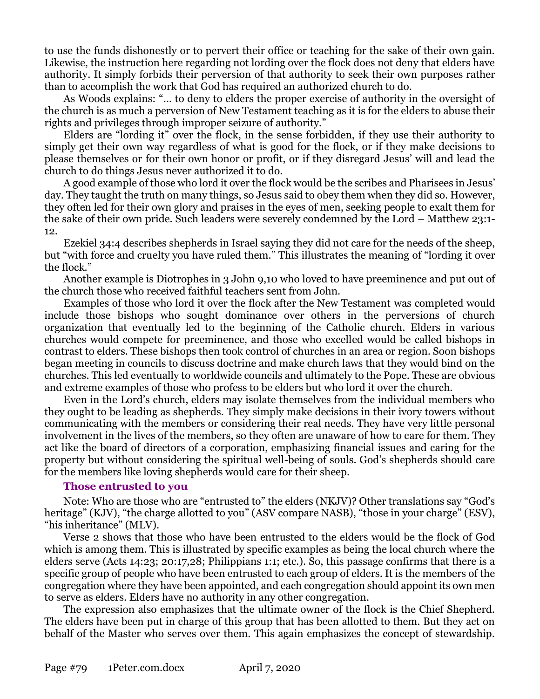to use the funds dishonestly or to pervert their office or teaching for the sake of their own gain. Likewise, the instruction here regarding not lording over the flock does not deny that elders have authority. It simply forbids their perversion of that authority to seek their own purposes rather than to accomplish the work that God has required an authorized church to do.

As Woods explains: "… to deny to elders the proper exercise of authority in the oversight of the church is as much a perversion of New Testament teaching as it is for the elders to abuse their rights and privileges through improper seizure of authority."

Elders are "lording it" over the flock, in the sense forbidden, if they use their authority to simply get their own way regardless of what is good for the flock, or if they make decisions to please themselves or for their own honor or profit, or if they disregard Jesus' will and lead the church to do things Jesus never authorized it to do.

A good example of those who lord it over the flock would be the scribes and Pharisees in Jesus' day. They taught the truth on many things, so Jesus said to obey them when they did so. However, they often led for their own glory and praises in the eyes of men, seeking people to exalt them for the sake of their own pride. Such leaders were severely condemned by the Lord – Matthew 23:1- 12.

Ezekiel 34:4 describes shepherds in Israel saying they did not care for the needs of the sheep, but "with force and cruelty you have ruled them." This illustrates the meaning of "lording it over the flock."

Another example is Diotrophes in 3 John 9,10 who loved to have preeminence and put out of the church those who received faithful teachers sent from John.

Examples of those who lord it over the flock after the New Testament was completed would include those bishops who sought dominance over others in the perversions of church organization that eventually led to the beginning of the Catholic church. Elders in various churches would compete for preeminence, and those who excelled would be called bishops in contrast to elders. These bishops then took control of churches in an area or region. Soon bishops began meeting in councils to discuss doctrine and make church laws that they would bind on the churches. This led eventually to worldwide councils and ultimately to the Pope. These are obvious and extreme examples of those who profess to be elders but who lord it over the church.

Even in the Lord's church, elders may isolate themselves from the individual members who they ought to be leading as shepherds. They simply make decisions in their ivory towers without communicating with the members or considering their real needs. They have very little personal involvement in the lives of the members, so they often are unaware of how to care for them. They act like the board of directors of a corporation, emphasizing financial issues and caring for the property but without considering the spiritual well-being of souls. God's shepherds should care for the members like loving shepherds would care for their sheep.

## **Those entrusted to you**

Note: Who are those who are "entrusted to" the elders (NKJV)? Other translations say "God's heritage" (KJV), "the charge allotted to you" (ASV compare NASB), "those in your charge" (ESV), "his inheritance" (MLV).

Verse 2 shows that those who have been entrusted to the elders would be the flock of God which is among them. This is illustrated by specific examples as being the local church where the elders serve (Acts 14:23; 20:17,28; Philippians 1:1; etc.). So, this passage confirms that there is a specific group of people who have been entrusted to each group of elders. It is the members of the congregation where they have been appointed, and each congregation should appoint its own men to serve as elders. Elders have no authority in any other congregation.

The expression also emphasizes that the ultimate owner of the flock is the Chief Shepherd. The elders have been put in charge of this group that has been allotted to them. But they act on behalf of the Master who serves over them. This again emphasizes the concept of stewardship.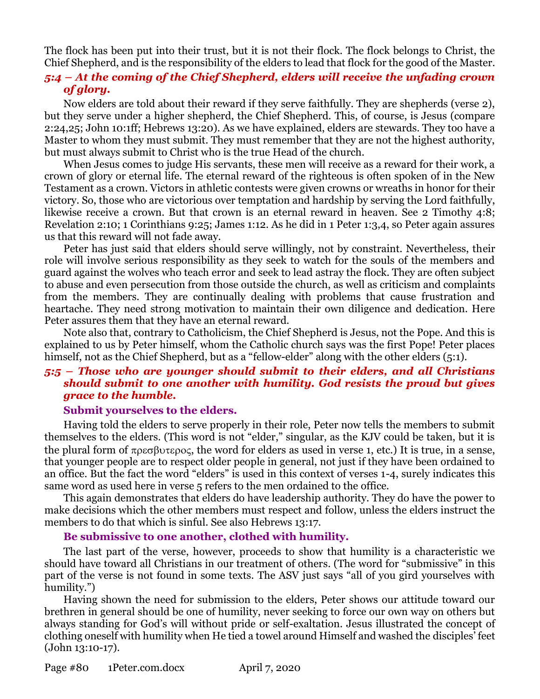The flock has been put into their trust, but it is not their flock. The flock belongs to Christ, the Chief Shepherd, and is the responsibility of the elders to lead that flock for the good of the Master.

## *5:4 – At the coming of the Chief Shepherd, elders will receive the unfading crown of glory.*

Now elders are told about their reward if they serve faithfully. They are shepherds (verse 2), but they serve under a higher shepherd, the Chief Shepherd. This, of course, is Jesus (compare 2:24,25; John 10:1ff; Hebrews 13:20). As we have explained, elders are stewards. They too have a Master to whom they must submit. They must remember that they are not the highest authority, but must always submit to Christ who is the true Head of the church.

When Jesus comes to judge His servants, these men will receive as a reward for their work, a crown of glory or eternal life. The eternal reward of the righteous is often spoken of in the New Testament as a crown. Victors in athletic contests were given crowns or wreaths in honor for their victory. So, those who are victorious over temptation and hardship by serving the Lord faithfully, likewise receive a crown. But that crown is an eternal reward in heaven. See 2 Timothy 4:8; Revelation 2:10; 1 Corinthians 9:25; James 1:12. As he did in 1 Peter 1:3,4, so Peter again assures us that this reward will not fade away.

Peter has just said that elders should serve willingly, not by constraint. Nevertheless, their role will involve serious responsibility as they seek to watch for the souls of the members and guard against the wolves who teach error and seek to lead astray the flock. They are often subject to abuse and even persecution from those outside the church, as well as criticism and complaints from the members. They are continually dealing with problems that cause frustration and heartache. They need strong motivation to maintain their own diligence and dedication. Here Peter assures them that they have an eternal reward.

Note also that, contrary to Catholicism, the Chief Shepherd is Jesus, not the Pope. And this is explained to us by Peter himself, whom the Catholic church says was the first Pope! Peter places himself, not as the Chief Shepherd, but as a "fellow-elder" along with the other elders (5:1).

## *5:5 – Those who are younger should submit to their elders, and all Christians should submit to one another with humility. God resists the proud but gives grace to the humble.*

#### **Submit yourselves to the elders.**

Having told the elders to serve properly in their role, Peter now tells the members to submit themselves to the elders. (This word is not "elder," singular, as the KJV could be taken, but it is the plural form of  $\pi \rho \epsilon \sigma \beta \nu \tau \epsilon \rho o \epsilon$ , the word for elders as used in verse 1, etc.) It is true, in a sense, that younger people are to respect older people in general, not just if they have been ordained to an office. But the fact the word "elders" is used in this context of verses 1-4, surely indicates this same word as used here in verse 5 refers to the men ordained to the office.

This again demonstrates that elders do have leadership authority. They do have the power to make decisions which the other members must respect and follow, unless the elders instruct the members to do that which is sinful. See also Hebrews 13:17.

## **Be submissive to one another, clothed with humility.**

The last part of the verse, however, proceeds to show that humility is a characteristic we should have toward all Christians in our treatment of others. (The word for "submissive" in this part of the verse is not found in some texts. The ASV just says "all of you gird yourselves with humility.")

Having shown the need for submission to the elders, Peter shows our attitude toward our brethren in general should be one of humility, never seeking to force our own way on others but always standing for God's will without pride or self-exaltation. Jesus illustrated the concept of clothing oneself with humility when He tied a towel around Himself and washed the disciples' feet (John 13:10-17).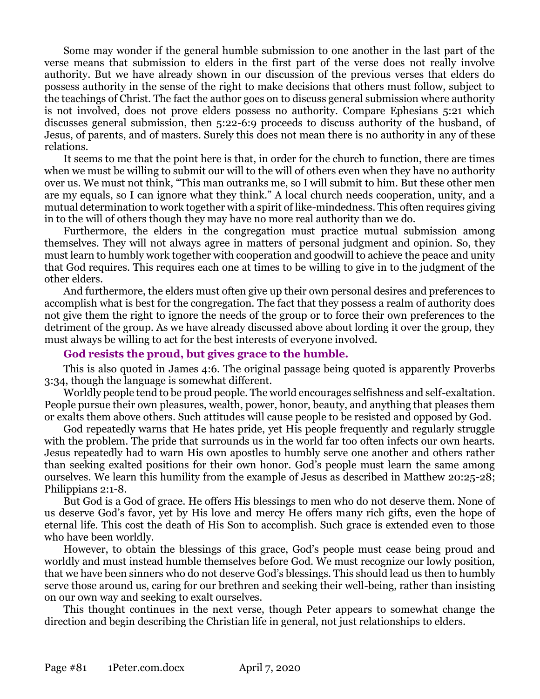Some may wonder if the general humble submission to one another in the last part of the verse means that submission to elders in the first part of the verse does not really involve authority. But we have already shown in our discussion of the previous verses that elders do possess authority in the sense of the right to make decisions that others must follow, subject to the teachings of Christ. The fact the author goes on to discuss general submission where authority is not involved, does not prove elders possess no authority. Compare Ephesians 5:21 which discusses general submission, then 5:22-6:9 proceeds to discuss authority of the husband, of Jesus, of parents, and of masters. Surely this does not mean there is no authority in any of these relations.

It seems to me that the point here is that, in order for the church to function, there are times when we must be willing to submit our will to the will of others even when they have no authority over us. We must not think, "This man outranks me, so I will submit to him. But these other men are my equals, so I can ignore what they think." A local church needs cooperation, unity, and a mutual determination to work together with a spirit of like-mindedness. This often requires giving in to the will of others though they may have no more real authority than we do.

Furthermore, the elders in the congregation must practice mutual submission among themselves. They will not always agree in matters of personal judgment and opinion. So, they must learn to humbly work together with cooperation and goodwill to achieve the peace and unity that God requires. This requires each one at times to be willing to give in to the judgment of the other elders.

And furthermore, the elders must often give up their own personal desires and preferences to accomplish what is best for the congregation. The fact that they possess a realm of authority does not give them the right to ignore the needs of the group or to force their own preferences to the detriment of the group. As we have already discussed above about lording it over the group, they must always be willing to act for the best interests of everyone involved.

#### **God resists the proud, but gives grace to the humble.**

This is also quoted in James 4:6. The original passage being quoted is apparently Proverbs 3:34, though the language is somewhat different.

Worldly people tend to be proud people. The world encourages selfishness and self-exaltation. People pursue their own pleasures, wealth, power, honor, beauty, and anything that pleases them or exalts them above others. Such attitudes will cause people to be resisted and opposed by God.

God repeatedly warns that He hates pride, yet His people frequently and regularly struggle with the problem. The pride that surrounds us in the world far too often infects our own hearts. Jesus repeatedly had to warn His own apostles to humbly serve one another and others rather than seeking exalted positions for their own honor. God's people must learn the same among ourselves. We learn this humility from the example of Jesus as described in Matthew 20:25-28; Philippians 2:1-8.

But God is a God of grace. He offers His blessings to men who do not deserve them. None of us deserve God's favor, yet by His love and mercy He offers many rich gifts, even the hope of eternal life. This cost the death of His Son to accomplish. Such grace is extended even to those who have been worldly.

However, to obtain the blessings of this grace, God's people must cease being proud and worldly and must instead humble themselves before God. We must recognize our lowly position, that we have been sinners who do not deserve God's blessings. This should lead us then to humbly serve those around us, caring for our brethren and seeking their well-being, rather than insisting on our own way and seeking to exalt ourselves.

This thought continues in the next verse, though Peter appears to somewhat change the direction and begin describing the Christian life in general, not just relationships to elders.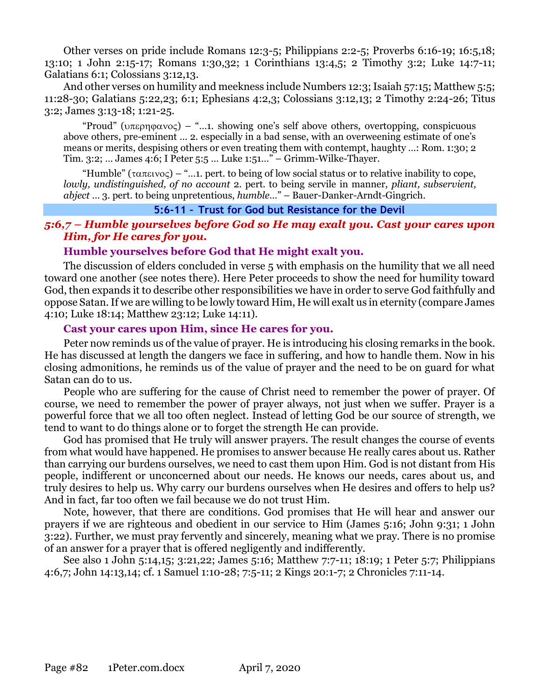Other verses on pride include Romans 12:3-5; Philippians 2:2-5; Proverbs 6:16-19; 16:5,18; 13:10; 1 John 2:15-17; Romans 1:30,32; 1 Corinthians 13:4,5; 2 Timothy 3:2; Luke 14:7-11; Galatians 6:1; Colossians 3:12,13.

And other verses on humility and meekness include Numbers 12:3; Isaiah 57:15; Matthew 5:5; 11:28-30; Galatians 5:22,23; 6:1; Ephesians 4:2,3; Colossians 3:12,13; 2 Timothy 2:24-26; Titus 3:2; James 3:13-18; 1:21-25.

"Proud" ( $\nu \pi \epsilon \rho \eta \varphi \alpha \nu \varphi$ ) – "...1. showing one's self above others, overtopping, conspicuous above others, pre-eminent … 2. especially in a bad sense, with an overweening estimate of one's means or merits, despising others or even treating them with contempt, haughty …: Rom. 1:30; 2 Tim. 3:2; … James 4:6; I Peter 5:5 … Luke 1:51…" – Grimm-Wilke-Thayer.

"Humble" ( $\tau \alpha \pi \epsilon \nu o \varsigma$ ) – "...1. pert. to being of low social status or to relative inability to cope, *lowly, undistinguished, of no account* 2. pert. to being servile in manner, *pliant, subservient, abject* … 3. pert. to being unpretentious, *humble*…" – Bauer-Danker-Arndt-Gingrich.

### **5:6-11 – Trust for God but Resistance for the Devil**

## *5:6,7 – Humble yourselves before God so He may exalt you. Cast your cares upon Him, for He cares for you.*

## **Humble yourselves before God that He might exalt you.**

The discussion of elders concluded in verse 5 with emphasis on the humility that we all need toward one another (see notes there). Here Peter proceeds to show the need for humility toward God, then expands it to describe other responsibilities we have in order to serve God faithfully and oppose Satan. If we are willing to be lowly toward Him, He will exalt us in eternity (compare James 4:10; Luke 18:14; Matthew 23:12; Luke 14:11).

## **Cast your cares upon Him, since He cares for you.**

Peter now reminds us of the value of prayer. He is introducing his closing remarks in the book. He has discussed at length the dangers we face in suffering, and how to handle them. Now in his closing admonitions, he reminds us of the value of prayer and the need to be on guard for what Satan can do to us.

People who are suffering for the cause of Christ need to remember the power of prayer. Of course, we need to remember the power of prayer always, not just when we suffer. Prayer is a powerful force that we all too often neglect. Instead of letting God be our source of strength, we tend to want to do things alone or to forget the strength He can provide.

God has promised that He truly will answer prayers. The result changes the course of events from what would have happened. He promises to answer because He really cares about us. Rather than carrying our burdens ourselves, we need to cast them upon Him. God is not distant from His people, indifferent or unconcerned about our needs. He knows our needs, cares about us, and truly desires to help us. Why carry our burdens ourselves when He desires and offers to help us? And in fact, far too often we fail because we do not trust Him.

Note, however, that there are conditions. God promises that He will hear and answer our prayers if we are righteous and obedient in our service to Him (James 5:16; John 9:31; 1 John 3:22). Further, we must pray fervently and sincerely, meaning what we pray. There is no promise of an answer for a prayer that is offered negligently and indifferently.

See also 1 John 5:14,15; 3:21,22; James 5:16; Matthew 7:7-11; 18:19; 1 Peter 5:7; Philippians 4:6,7; John 14:13,14; cf. 1 Samuel 1:10-28; 7:5-11; 2 Kings 20:1-7; 2 Chronicles 7:11-14.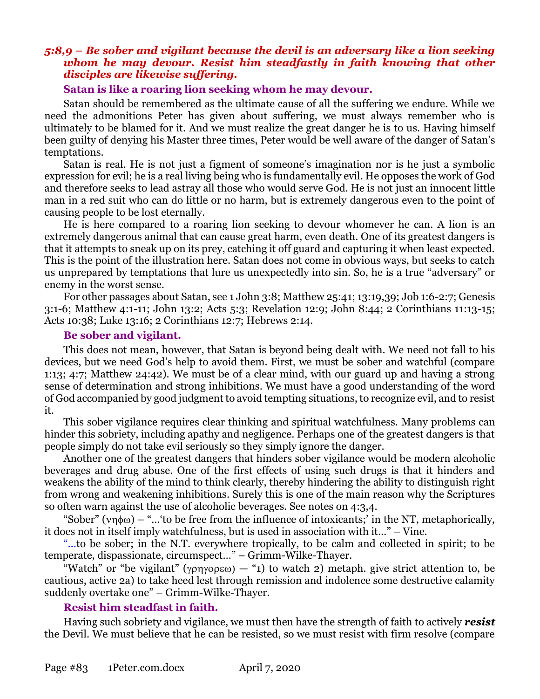## *5:8,9 – Be sober and vigilant because the devil is an adversary like a lion seeking whom he may devour. Resist him steadfastly in faith knowing that other disciples are likewise suffering.*

### **Satan is like a roaring lion seeking whom he may devour.**

Satan should be remembered as the ultimate cause of all the suffering we endure. While we need the admonitions Peter has given about suffering, we must always remember who is ultimately to be blamed for it. And we must realize the great danger he is to us. Having himself been guilty of denying his Master three times, Peter would be well aware of the danger of Satan's temptations.

Satan is real. He is not just a figment of someone's imagination nor is he just a symbolic expression for evil; he is a real living being who is fundamentally evil. He opposes the work of God and therefore seeks to lead astray all those who would serve God. He is not just an innocent little man in a red suit who can do little or no harm, but is extremely dangerous even to the point of causing people to be lost eternally.

He is here compared to a roaring lion seeking to devour whomever he can. A lion is an extremely dangerous animal that can cause great harm, even death. One of its greatest dangers is that it attempts to sneak up on its prey, catching it off guard and capturing it when least expected. This is the point of the illustration here. Satan does not come in obvious ways, but seeks to catch us unprepared by temptations that lure us unexpectedly into sin. So, he is a true "adversary" or enemy in the worst sense.

For other passages about Satan, see 1 John 3:8; Matthew 25:41; 13:19,39; Job 1:6-2:7; Genesis 3:1-6; Matthew 4:1-11; John 13:2; Acts 5:3; Revelation 12:9; John 8:44; 2 Corinthians 11:13-15; Acts 10:38; Luke 13:16; 2 Corinthians 12:7; Hebrews 2:14.

#### **Be sober and vigilant.**

This does not mean, however, that Satan is beyond being dealt with. We need not fall to his devices, but we need God's help to avoid them. First, we must be sober and watchful (compare 1:13; 4:7; Matthew 24:42). We must be of a clear mind, with our guard up and having a strong sense of determination and strong inhibitions. We must have a good understanding of the word of God accompanied by good judgment to avoid tempting situations, to recognize evil, and to resist it.

This sober vigilance requires clear thinking and spiritual watchfulness. Many problems can hinder this sobriety, including apathy and negligence. Perhaps one of the greatest dangers is that people simply do not take evil seriously so they simply ignore the danger.

Another one of the greatest dangers that hinders sober vigilance would be modern alcoholic beverages and drug abuse. One of the first effects of using such drugs is that it hinders and weakens the ability of the mind to think clearly, thereby hindering the ability to distinguish right from wrong and weakening inhibitions. Surely this is one of the main reason why the Scriptures so often warn against the use of alcoholic beverages. See notes on 4:3,4.

"Sober" ( $\nu$ n $\phi$ ω) – "...'to be free from the influence of intoxicants;' in the NT, metaphorically, it does not in itself imply watchfulness, but is used in association with it…" – Vine.

"…to be sober; in the N.T. everywhere tropically, to be calm and collected in spirit; to be temperate, dispassionate, circumspect…" – Grimm-Wilke-Thayer.

"Watch" or "be vigilant" ( $\gamma \rho \gamma \rho \rho \varepsilon \omega$ ) — "1) to watch 2) metaph. give strict attention to, be cautious, active 2a) to take heed lest through remission and indolence some destructive calamity suddenly overtake one" – Grimm-Wilke-Thayer.

## **Resist him steadfast in faith.**

Having such sobriety and vigilance, we must then have the strength of faith to actively *resist* the Devil. We must believe that he can be resisted, so we must resist with firm resolve (compare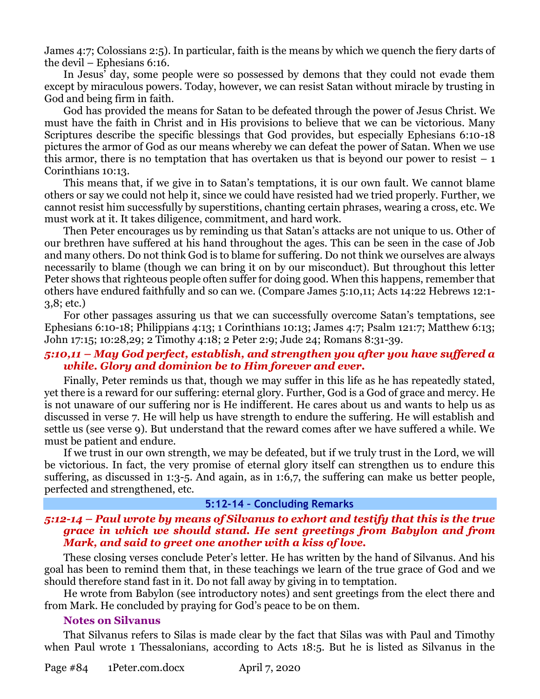James 4:7; Colossians 2:5). In particular, faith is the means by which we quench the fiery darts of the devil – Ephesians 6:16.

In Jesus' day, some people were so possessed by demons that they could not evade them except by miraculous powers. Today, however, we can resist Satan without miracle by trusting in God and being firm in faith.

God has provided the means for Satan to be defeated through the power of Jesus Christ. We must have the faith in Christ and in His provisions to believe that we can be victorious. Many Scriptures describe the specific blessings that God provides, but especially Ephesians 6:10-18 pictures the armor of God as our means whereby we can defeat the power of Satan. When we use this armor, there is no temptation that has overtaken us that is beyond our power to resist  $-1$ Corinthians 10:13.

This means that, if we give in to Satan's temptations, it is our own fault. We cannot blame others or say we could not help it, since we could have resisted had we tried properly. Further, we cannot resist him successfully by superstitions, chanting certain phrases, wearing a cross, etc. We must work at it. It takes diligence, commitment, and hard work.

Then Peter encourages us by reminding us that Satan's attacks are not unique to us. Other of our brethren have suffered at his hand throughout the ages. This can be seen in the case of Job and many others. Do not think God is to blame for suffering. Do not think we ourselves are always necessarily to blame (though we can bring it on by our misconduct). But throughout this letter Peter shows that righteous people often suffer for doing good. When this happens, remember that others have endured faithfully and so can we. (Compare James 5:10,11; Acts 14:22 Hebrews 12:1- 3,8; etc.)

For other passages assuring us that we can successfully overcome Satan's temptations, see Ephesians 6:10-18; Philippians 4:13; 1 Corinthians 10:13; James 4:7; Psalm 121:7; Matthew 6:13; John 17:15; 10:28,29; 2 Timothy 4:18; 2 Peter 2:9; Jude 24; Romans 8:31-39.

## *5:10,11 – May God perfect, establish, and strengthen you after you have suffered a while. Glory and dominion be to Him forever and ever.*

Finally, Peter reminds us that, though we may suffer in this life as he has repeatedly stated, yet there is a reward for our suffering: eternal glory. Further, God is a God of grace and mercy. He is not unaware of our suffering nor is He indifferent. He cares about us and wants to help us as discussed in verse 7. He will help us have strength to endure the suffering. He will establish and settle us (see verse 9). But understand that the reward comes after we have suffered a while. We must be patient and endure.

If we trust in our own strength, we may be defeated, but if we truly trust in the Lord, we will be victorious. In fact, the very promise of eternal glory itself can strengthen us to endure this suffering, as discussed in 1:3-5. And again, as in 1:6,7, the suffering can make us better people, perfected and strengthened, etc.

#### **5:12-14 – Concluding Remarks**

### *5:12-14 – Paul wrote by means of Silvanus to exhort and testify that this is the true grace in which we should stand. He sent greetings from Babylon and from Mark, and said to greet one another with a kiss of love.*

These closing verses conclude Peter's letter. He has written by the hand of Silvanus. And his goal has been to remind them that, in these teachings we learn of the true grace of God and we should therefore stand fast in it. Do not fall away by giving in to temptation.

He wrote from Babylon (see introductory notes) and sent greetings from the elect there and from Mark. He concluded by praying for God's peace to be on them.

#### **Notes on Silvanus**

That Silvanus refers to Silas is made clear by the fact that Silas was with Paul and Timothy when Paul wrote 1 Thessalonians, according to Acts 18:5. But he is listed as Silvanus in the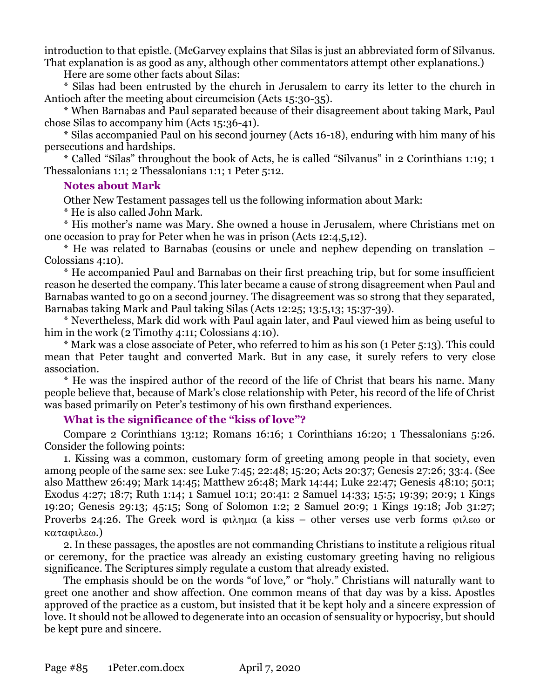introduction to that epistle. (McGarvey explains that Silas is just an abbreviated form of Silvanus. That explanation is as good as any, although other commentators attempt other explanations.)

Here are some other facts about Silas:

\* Silas had been entrusted by the church in Jerusalem to carry its letter to the church in Antioch after the meeting about circumcision (Acts 15:30-35).

\* When Barnabas and Paul separated because of their disagreement about taking Mark, Paul chose Silas to accompany him (Acts 15:36-41).

\* Silas accompanied Paul on his second journey (Acts 16-18), enduring with him many of his persecutions and hardships.

\* Called "Silas" throughout the book of Acts, he is called "Silvanus" in 2 Corinthians 1:19; 1 Thessalonians 1:1; 2 Thessalonians 1:1; 1 Peter 5:12.

### **Notes about Mark**

Other New Testament passages tell us the following information about Mark:

\* He is also called John Mark.

\* His mother's name was Mary. She owned a house in Jerusalem, where Christians met on one occasion to pray for Peter when he was in prison (Acts 12:4,5,12).

\* He was related to Barnabas (cousins or uncle and nephew depending on translation – Colossians 4:10).

\* He accompanied Paul and Barnabas on their first preaching trip, but for some insufficient reason he deserted the company. This later became a cause of strong disagreement when Paul and Barnabas wanted to go on a second journey. The disagreement was so strong that they separated, Barnabas taking Mark and Paul taking Silas (Acts 12:25; 13:5,13; 15:37-39).

\* Nevertheless, Mark did work with Paul again later, and Paul viewed him as being useful to him in the work (2 Timothy 4:11; Colossians 4:10).

\* Mark was a close associate of Peter, who referred to him as his son (1 Peter 5:13). This could mean that Peter taught and converted Mark. But in any case, it surely refers to very close association.

\* He was the inspired author of the record of the life of Christ that bears his name. Many people believe that, because of Mark's close relationship with Peter, his record of the life of Christ was based primarily on Peter's testimony of his own firsthand experiences.

## **What is the significance of the "kiss of love"?**

Compare 2 Corinthians 13:12; Romans 16:16; 1 Corinthians 16:20; 1 Thessalonians 5:26. Consider the following points:

1. Kissing was a common, customary form of greeting among people in that society, even among people of the same sex: see Luke 7:45; 22:48; 15:20; Acts 20:37; Genesis 27:26; 33:4. (See also Matthew 26:49; Mark 14:45; Matthew 26:48; Mark 14:44; Luke 22:47; Genesis 48:10; 50:1; Exodus 4:27; 18:7; Ruth 1:14; 1 Samuel 10:1; 20:41: 2 Samuel 14:33; 15:5; 19:39; 20:9; 1 Kings 19:20; Genesis 29:13; 45:15; Song of Solomon 1:2; 2 Samuel 20:9; 1 Kings 19:18; Job 31:27; Proverbs 24:26. The Greek word is  $\varphi\lambda\eta\mu\alpha$  (a kiss – other verses use verb forms  $\varphi\lambda\epsilon\omega$  or καταφιλεω.)

2. In these passages, the apostles are not commanding Christians to institute a religious ritual or ceremony, for the practice was already an existing customary greeting having no religious significance. The Scriptures simply regulate a custom that already existed.

The emphasis should be on the words "of love," or "holy." Christians will naturally want to greet one another and show affection. One common means of that day was by a kiss. Apostles approved of the practice as a custom, but insisted that it be kept holy and a sincere expression of love. It should not be allowed to degenerate into an occasion of sensuality or hypocrisy, but should be kept pure and sincere.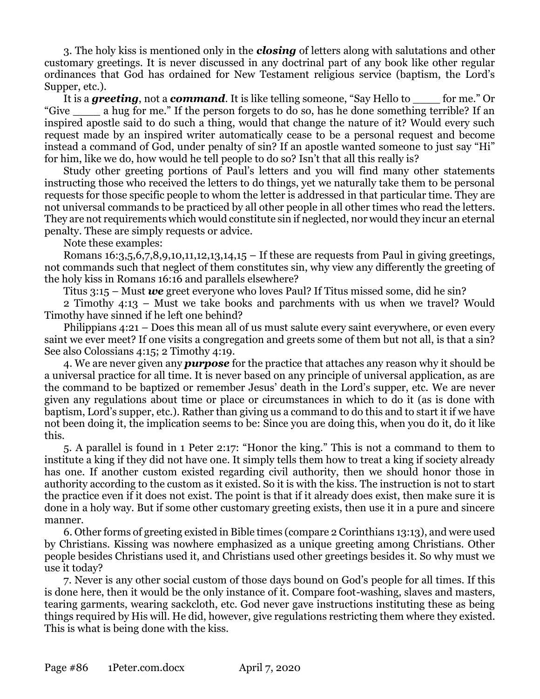3. The holy kiss is mentioned only in the *closing* of letters along with salutations and other customary greetings. It is never discussed in any doctrinal part of any book like other regular ordinances that God has ordained for New Testament religious service (baptism, the Lord's Supper, etc.).

It is a **greeting**, not a *command*. It is like telling someone, "Say Hello to for me." Or "Give \_\_\_\_ a hug for me." If the person forgets to do so, has he done something terrible? If an inspired apostle said to do such a thing, would that change the nature of it? Would every such request made by an inspired writer automatically cease to be a personal request and become instead a command of God, under penalty of sin? If an apostle wanted someone to just say "Hi" for him, like we do, how would he tell people to do so? Isn't that all this really is?

Study other greeting portions of Paul's letters and you will find many other statements instructing those who received the letters to do things, yet we naturally take them to be personal requests for those specific people to whom the letter is addressed in that particular time. They are not universal commands to be practiced by all other people in all other times who read the letters. They are not requirements which would constitute sin if neglected, nor would they incur an eternal penalty. These are simply requests or advice.

Note these examples:

Romans  $16:3,5,6,7,8,9,10,11,12,13,14,15$  – If these are requests from Paul in giving greetings, not commands such that neglect of them constitutes sin, why view any differently the greeting of the holy kiss in Romans 16:16 and parallels elsewhere?

Titus 3:15 – Must *we* greet everyone who loves Paul? If Titus missed some, did he sin?

2 Timothy 4:13 – Must we take books and parchments with us when we travel? Would Timothy have sinned if he left one behind?

Philippians 4:21 – Does this mean all of us must salute every saint everywhere, or even every saint we ever meet? If one visits a congregation and greets some of them but not all, is that a sin? See also Colossians 4:15; 2 Timothy 4:19.

4. We are never given any *purpose* for the practice that attaches any reason why it should be a universal practice for all time. It is never based on any principle of universal application, as are the command to be baptized or remember Jesus' death in the Lord's supper, etc. We are never given any regulations about time or place or circumstances in which to do it (as is done with baptism, Lord's supper, etc.). Rather than giving us a command to do this and to start it if we have not been doing it, the implication seems to be: Since you are doing this, when you do it, do it like this.

5. A parallel is found in 1 Peter 2:17: "Honor the king." This is not a command to them to institute a king if they did not have one. It simply tells them how to treat a king if society already has one. If another custom existed regarding civil authority, then we should honor those in authority according to the custom as it existed. So it is with the kiss. The instruction is not to start the practice even if it does not exist. The point is that if it already does exist, then make sure it is done in a holy way. But if some other customary greeting exists, then use it in a pure and sincere manner.

6. Other forms of greeting existed in Bible times (compare 2 Corinthians 13:13), and were used by Christians. Kissing was nowhere emphasized as a unique greeting among Christians. Other people besides Christians used it, and Christians used other greetings besides it. So why must we use it today?

7. Never is any other social custom of those days bound on God's people for all times. If this is done here, then it would be the only instance of it. Compare foot-washing, slaves and masters, tearing garments, wearing sackcloth, etc. God never gave instructions instituting these as being things required by His will. He did, however, give regulations restricting them where they existed. This is what is being done with the kiss.